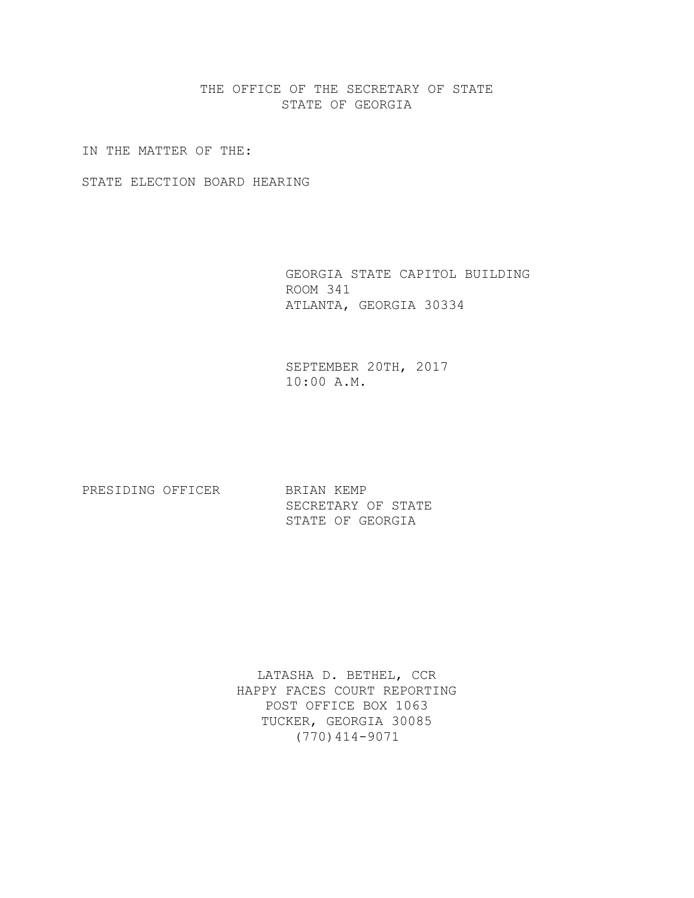THE OFFICE OF THE SECRETARY OF STATE STATE OF GEORGIA

IN THE MATTER OF THE:

STATE ELECTION BOARD HEARING

 GEORGIA STATE CAPITOL BUILDING ROOM 341 ATLANTA, GEORGIA 30334

 SEPTEMBER 20TH, 2017 10:00 A.M.

PRESIDING OFFICER BRIAN KEMP

 SECRETARY OF STATE STATE OF GEORGIA

LATASHA D. BETHEL, CCR HAPPY FACES COURT REPORTING POST OFFICE BOX 1063 TUCKER, GEORGIA 30085 (770)414-9071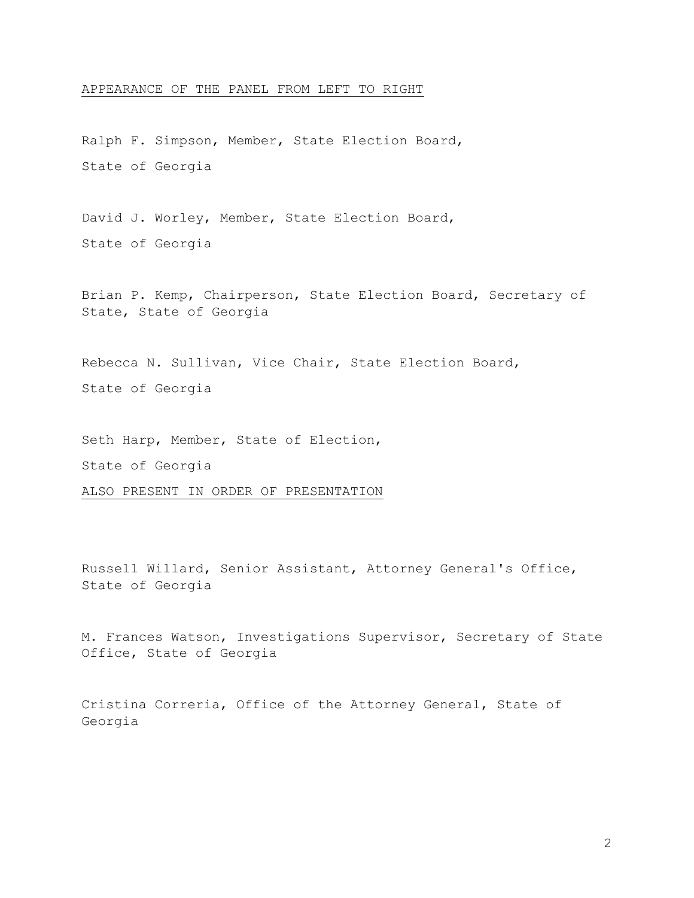### APPEARANCE OF THE PANEL FROM LEFT TO RIGHT

Ralph F. Simpson, Member, State Election Board, State of Georgia

David J. Worley, Member, State Election Board, State of Georgia

Brian P. Kemp, Chairperson, State Election Board, Secretary of State, State of Georgia

Rebecca N. Sullivan, Vice Chair, State Election Board, State of Georgia

Seth Harp, Member, State of Election,

State of Georgia

ALSO PRESENT IN ORDER OF PRESENTATION

Russell Willard, Senior Assistant, Attorney General's Office, State of Georgia

M. Frances Watson, Investigations Supervisor, Secretary of State Office, State of Georgia

Cristina Correria, Office of the Attorney General, State of Georgia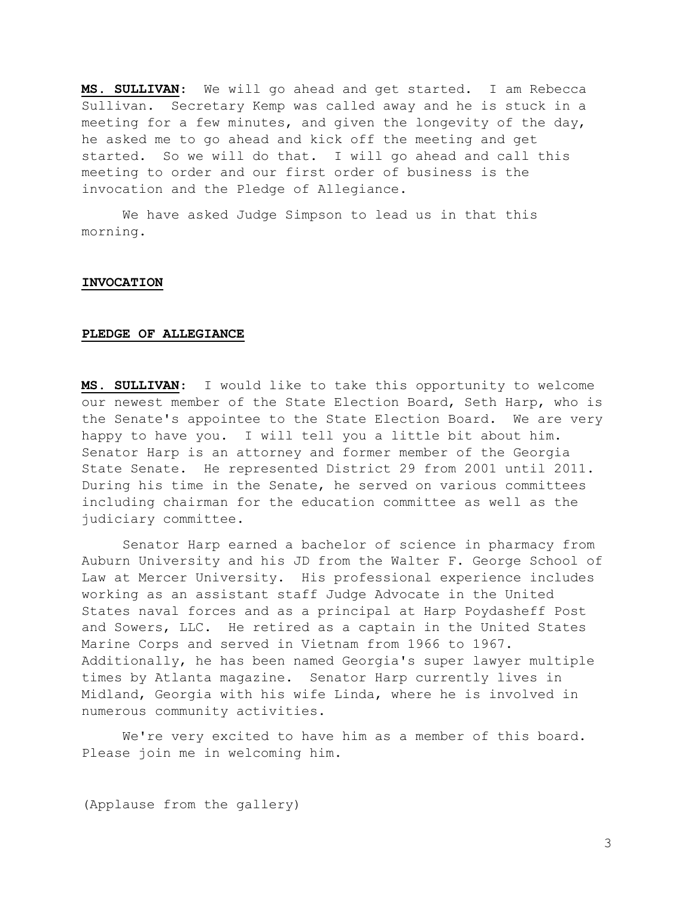MS. SULLIVAN: We will go ahead and get started. I am Rebecca Sullivan. Secretary Kemp was called away and he is stuck in a meeting for a few minutes, and given the longevity of the day, he asked me to go ahead and kick off the meeting and get started. So we will do that. I will go ahead and call this meeting to order and our first order of business is the invocation and the Pledge of Allegiance.

 We have asked Judge Simpson to lead us in that this morning.

## INVOCATION

### PLEDGE OF ALLEGIANCE

MS. SULLIVAN: I would like to take this opportunity to welcome our newest member of the State Election Board, Seth Harp, who is the Senate's appointee to the State Election Board. We are very happy to have you. I will tell you a little bit about him. Senator Harp is an attorney and former member of the Georgia State Senate. He represented District 29 from 2001 until 2011. During his time in the Senate, he served on various committees including chairman for the education committee as well as the judiciary committee.

 Senator Harp earned a bachelor of science in pharmacy from Auburn University and his JD from the Walter F. George School of Law at Mercer University. His professional experience includes working as an assistant staff Judge Advocate in the United States naval forces and as a principal at Harp Poydasheff Post and Sowers, LLC. He retired as a captain in the United States Marine Corps and served in Vietnam from 1966 to 1967. Additionally, he has been named Georgia's super lawyer multiple times by Atlanta magazine. Senator Harp currently lives in Midland, Georgia with his wife Linda, where he is involved in numerous community activities.

 We're very excited to have him as a member of this board. Please join me in welcoming him.

(Applause from the gallery)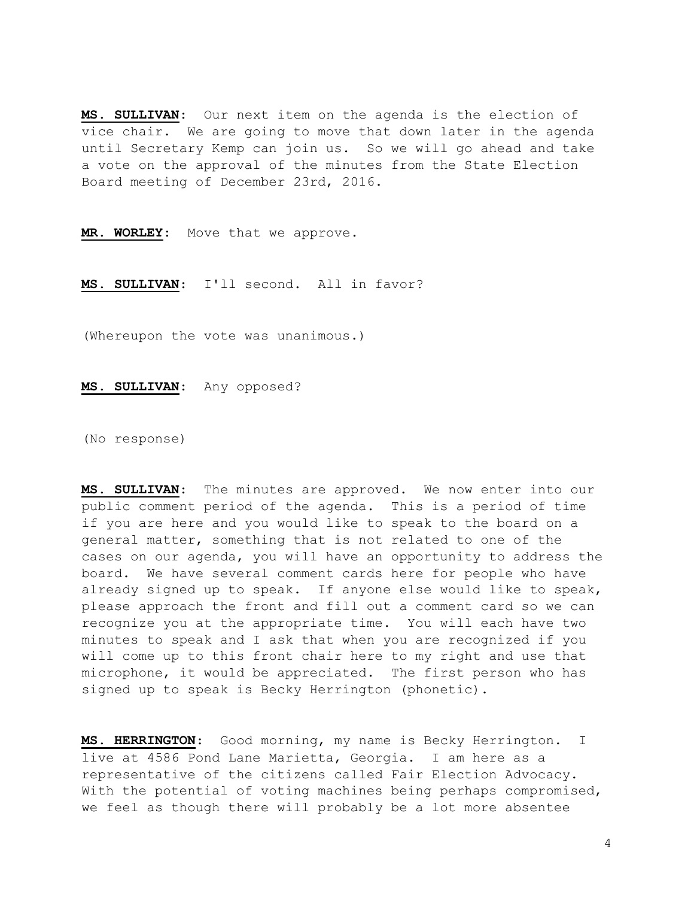MS. SULLIVAN: Our next item on the agenda is the election of vice chair. We are going to move that down later in the agenda until Secretary Kemp can join us. So we will go ahead and take a vote on the approval of the minutes from the State Election Board meeting of December 23rd, 2016.

MR. WORLEY: Move that we approve.

MS. SULLIVAN: I'll second. All in favor?

(Whereupon the vote was unanimous.)

MS. SULLIVAN: Any opposed?

(No response)

MS. SULLIVAN: The minutes are approved. We now enter into our public comment period of the agenda. This is a period of time if you are here and you would like to speak to the board on a general matter, something that is not related to one of the cases on our agenda, you will have an opportunity to address the board. We have several comment cards here for people who have already signed up to speak. If anyone else would like to speak, please approach the front and fill out a comment card so we can recognize you at the appropriate time. You will each have two minutes to speak and I ask that when you are recognized if you will come up to this front chair here to my right and use that microphone, it would be appreciated. The first person who has signed up to speak is Becky Herrington (phonetic).

MS. HERRINGTON: Good morning, my name is Becky Herrington. I live at 4586 Pond Lane Marietta, Georgia. I am here as a representative of the citizens called Fair Election Advocacy. With the potential of voting machines being perhaps compromised, we feel as though there will probably be a lot more absentee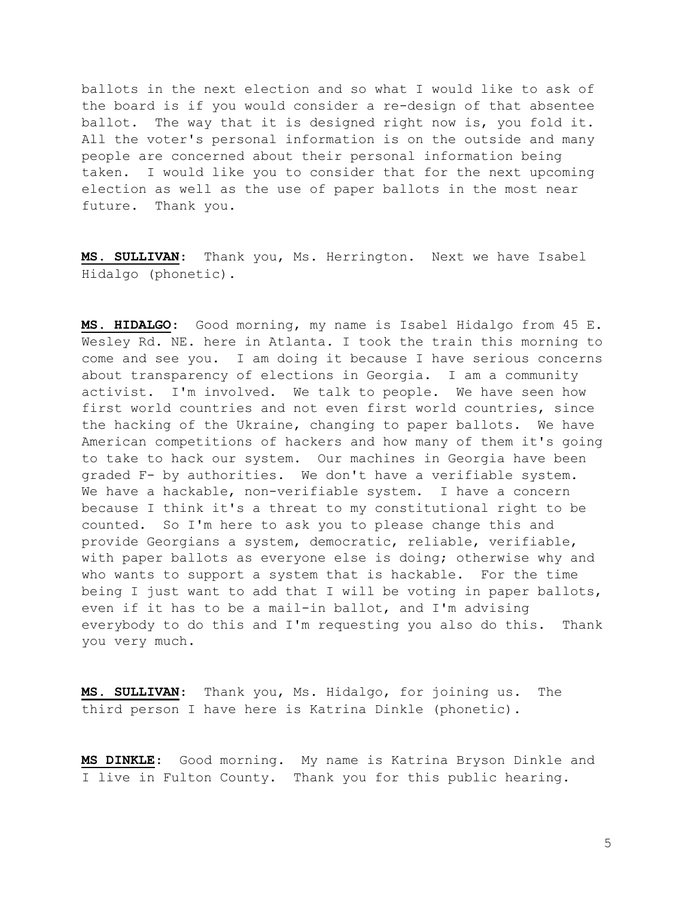ballots in the next election and so what I would like to ask of the board is if you would consider a re-design of that absentee ballot. The way that it is designed right now is, you fold it. All the voter's personal information is on the outside and many people are concerned about their personal information being taken. I would like you to consider that for the next upcoming election as well as the use of paper ballots in the most near future. Thank you.

MS. SULLIVAN: Thank you, Ms. Herrington. Next we have Isabel Hidalgo (phonetic).

MS. HIDALGO: Good morning, my name is Isabel Hidalgo from 45 E. Wesley Rd. NE. here in Atlanta. I took the train this morning to come and see you. I am doing it because I have serious concerns about transparency of elections in Georgia. I am a community activist. I'm involved. We talk to people. We have seen how first world countries and not even first world countries, since the hacking of the Ukraine, changing to paper ballots. We have American competitions of hackers and how many of them it's going to take to hack our system. Our machines in Georgia have been graded F- by authorities. We don't have a verifiable system. We have a hackable, non-verifiable system. I have a concern because I think it's a threat to my constitutional right to be counted. So I'm here to ask you to please change this and provide Georgians a system, democratic, reliable, verifiable, with paper ballots as everyone else is doing; otherwise why and who wants to support a system that is hackable. For the time being I just want to add that I will be voting in paper ballots, even if it has to be a mail-in ballot, and I'm advising everybody to do this and I'm requesting you also do this. Thank you very much.

MS. SULLIVAN: Thank you, Ms. Hidalgo, for joining us. The third person I have here is Katrina Dinkle (phonetic).

MS DINKLE: Good morning. My name is Katrina Bryson Dinkle and I live in Fulton County. Thank you for this public hearing.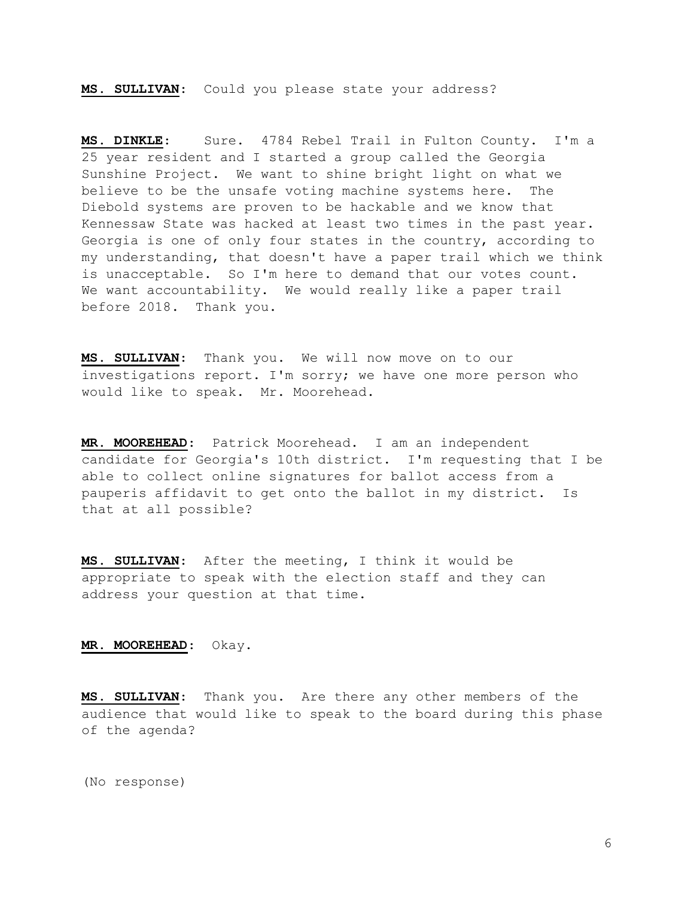MS. SULLIVAN: Could you please state your address?

MS. DINKLE: Sure. 4784 Rebel Trail in Fulton County. I'm a 25 year resident and I started a group called the Georgia Sunshine Project. We want to shine bright light on what we believe to be the unsafe voting machine systems here. The Diebold systems are proven to be hackable and we know that Kennessaw State was hacked at least two times in the past year. Georgia is one of only four states in the country, according to my understanding, that doesn't have a paper trail which we think is unacceptable. So I'm here to demand that our votes count. We want accountability. We would really like a paper trail before 2018. Thank you.

MS. SULLIVAN: Thank you. We will now move on to our investigations report. I'm sorry; we have one more person who would like to speak. Mr. Moorehead.

MR. MOOREHEAD: Patrick Moorehead. I am an independent candidate for Georgia's 10th district. I'm requesting that I be able to collect online signatures for ballot access from a pauperis affidavit to get onto the ballot in my district. Is that at all possible?

MS. SULLIVAN: After the meeting, I think it would be appropriate to speak with the election staff and they can address your question at that time.

MR. MOOREHEAD: Okay.

MS. SULLIVAN: Thank you. Are there any other members of the audience that would like to speak to the board during this phase of the agenda?

(No response)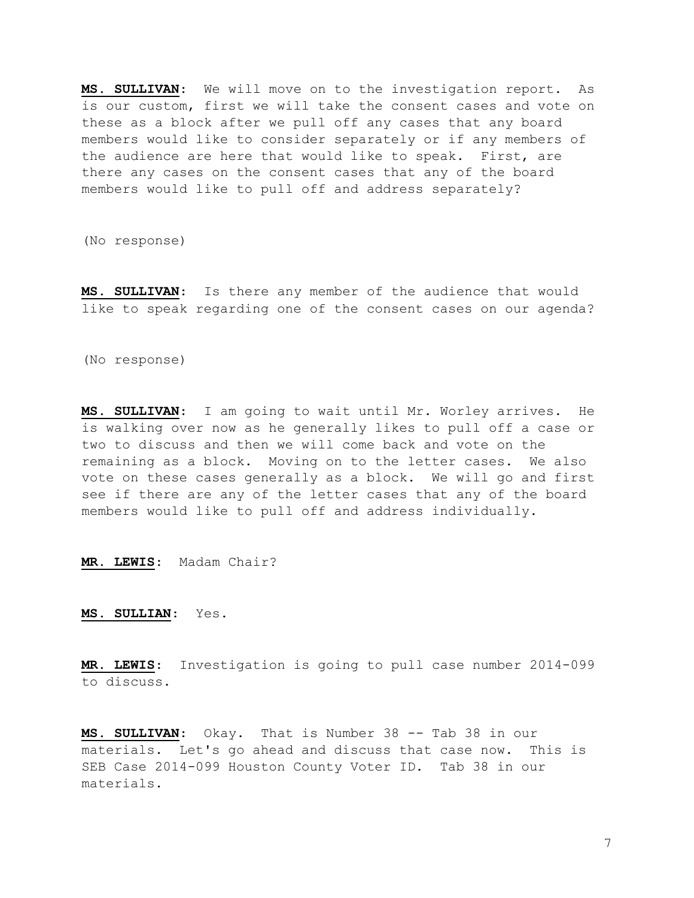MS. SULLIVAN: We will move on to the investigation report. As is our custom, first we will take the consent cases and vote on these as a block after we pull off any cases that any board members would like to consider separately or if any members of the audience are here that would like to speak. First, are there any cases on the consent cases that any of the board members would like to pull off and address separately?

(No response)

MS. SULLIVAN: Is there any member of the audience that would like to speak regarding one of the consent cases on our agenda?

(No response)

MS. SULLIVAN: I am going to wait until Mr. Worley arrives. He is walking over now as he generally likes to pull off a case or two to discuss and then we will come back and vote on the remaining as a block. Moving on to the letter cases. We also vote on these cases generally as a block. We will go and first see if there are any of the letter cases that any of the board members would like to pull off and address individually.

MR. LEWIS: Madam Chair?

MS. SULLIAN: Yes.

MR. LEWIS: Investigation is going to pull case number 2014-099 to discuss.

MS. SULLIVAN: Okay. That is Number 38 -- Tab 38 in our materials. Let's go ahead and discuss that case now. This is SEB Case 2014-099 Houston County Voter ID. Tab 38 in our materials.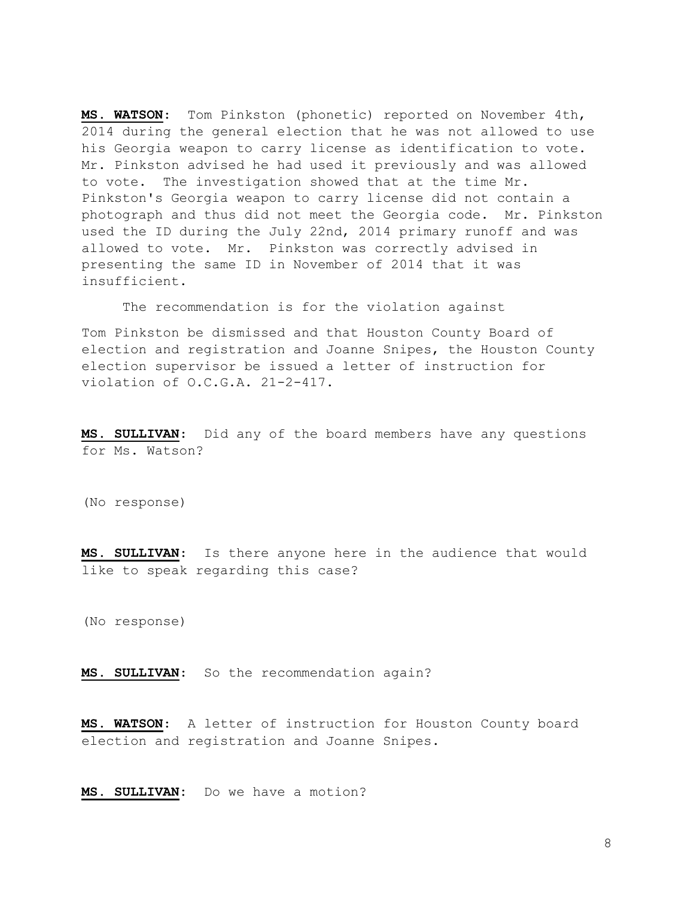MS. WATSON: Tom Pinkston (phonetic) reported on November 4th, 2014 during the general election that he was not allowed to use his Georgia weapon to carry license as identification to vote. Mr. Pinkston advised he had used it previously and was allowed to vote. The investigation showed that at the time Mr. Pinkston's Georgia weapon to carry license did not contain a photograph and thus did not meet the Georgia code. Mr. Pinkston used the ID during the July 22nd, 2014 primary runoff and was allowed to vote. Mr. Pinkston was correctly advised in presenting the same ID in November of 2014 that it was insufficient.

The recommendation is for the violation against

Tom Pinkston be dismissed and that Houston County Board of election and registration and Joanne Snipes, the Houston County election supervisor be issued a letter of instruction for violation of O.C.G.A. 21-2-417.

MS. SULLIVAN: Did any of the board members have any questions for Ms. Watson?

(No response)

MS. SULLIVAN: Is there anyone here in the audience that would like to speak regarding this case?

(No response)

MS. SULLIVAN: So the recommendation again?

MS. WATSON: A letter of instruction for Houston County board election and registration and Joanne Snipes.

MS. SULLIVAN: Do we have a motion?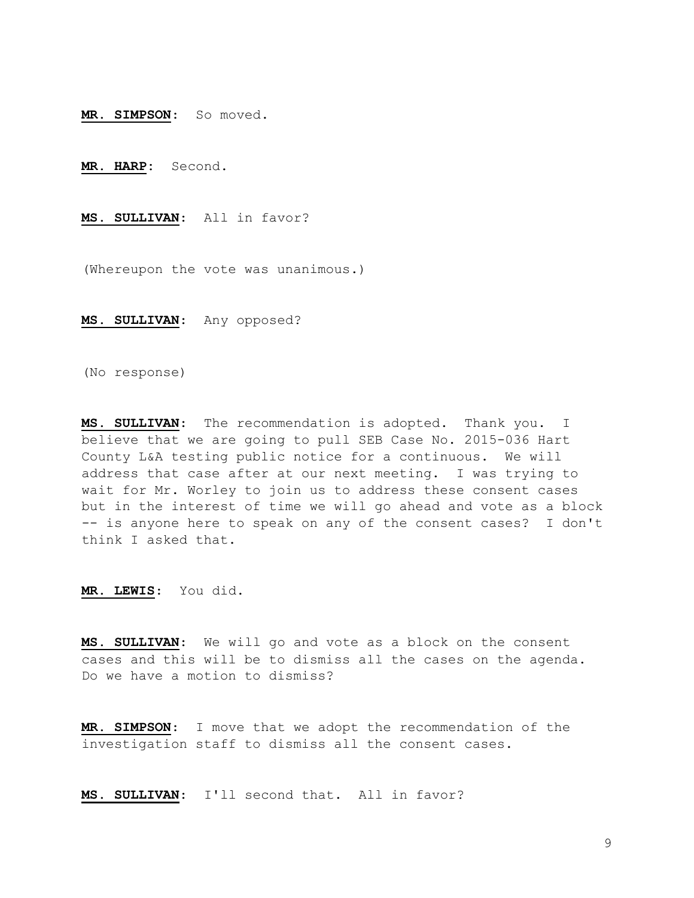MR. SIMPSON: So moved.

MR. HARP: Second.

MS. SULLIVAN: All in favor?

(Whereupon the vote was unanimous.)

MS. SULLIVAN: Any opposed?

(No response)

MS. SULLIVAN: The recommendation is adopted. Thank you. I believe that we are going to pull SEB Case No. 2015-036 Hart County L&A testing public notice for a continuous. We will address that case after at our next meeting. I was trying to wait for Mr. Worley to join us to address these consent cases but in the interest of time we will go ahead and vote as a block -- is anyone here to speak on any of the consent cases? I don't think I asked that.

MR. LEWIS: You did.

MS. SULLIVAN: We will go and vote as a block on the consent cases and this will be to dismiss all the cases on the agenda. Do we have a motion to dismiss?

MR. SIMPSON: I move that we adopt the recommendation of the investigation staff to dismiss all the consent cases.

MS. SULLIVAN: I'll second that. All in favor?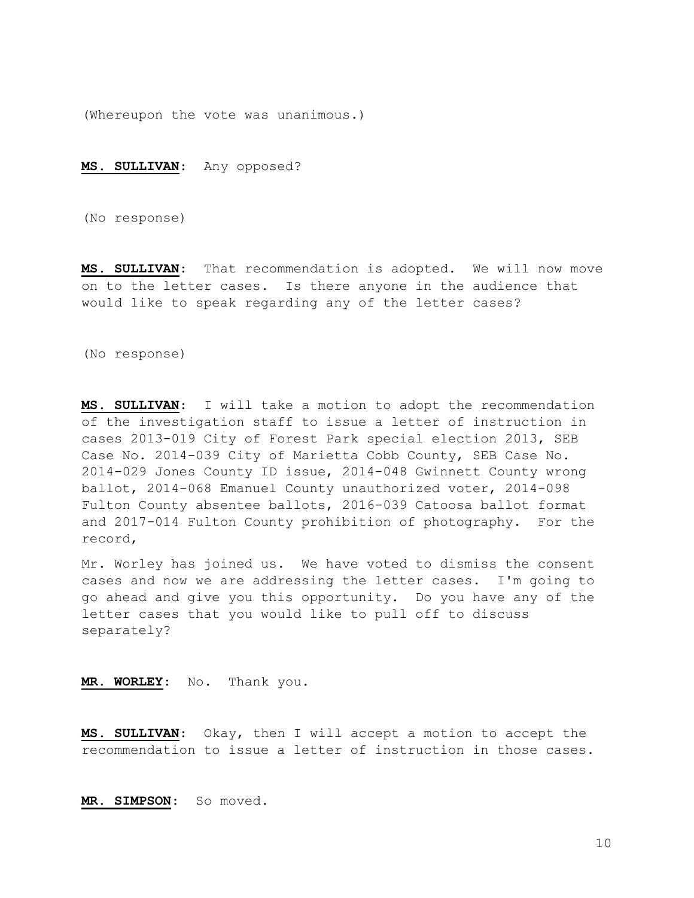(Whereupon the vote was unanimous.)

### MS. SULLIVAN: Any opposed?

(No response)

MS. SULLIVAN: That recommendation is adopted. We will now move on to the letter cases. Is there anyone in the audience that would like to speak regarding any of the letter cases?

(No response)

MS. SULLIVAN: I will take a motion to adopt the recommendation of the investigation staff to issue a letter of instruction in cases 2013-019 City of Forest Park special election 2013, SEB Case No. 2014-039 City of Marietta Cobb County, SEB Case No. 2014-029 Jones County ID issue, 2014-048 Gwinnett County wrong ballot, 2014-068 Emanuel County unauthorized voter, 2014-098 Fulton County absentee ballots, 2016-039 Catoosa ballot format and 2017-014 Fulton County prohibition of photography. For the record,

Mr. Worley has joined us. We have voted to dismiss the consent cases and now we are addressing the letter cases. I'm going to go ahead and give you this opportunity. Do you have any of the letter cases that you would like to pull off to discuss separately?

MR. WORLEY: No. Thank you.

MS. SULLIVAN: Okay, then I will accept a motion to accept the recommendation to issue a letter of instruction in those cases.

MR. SIMPSON: So moved.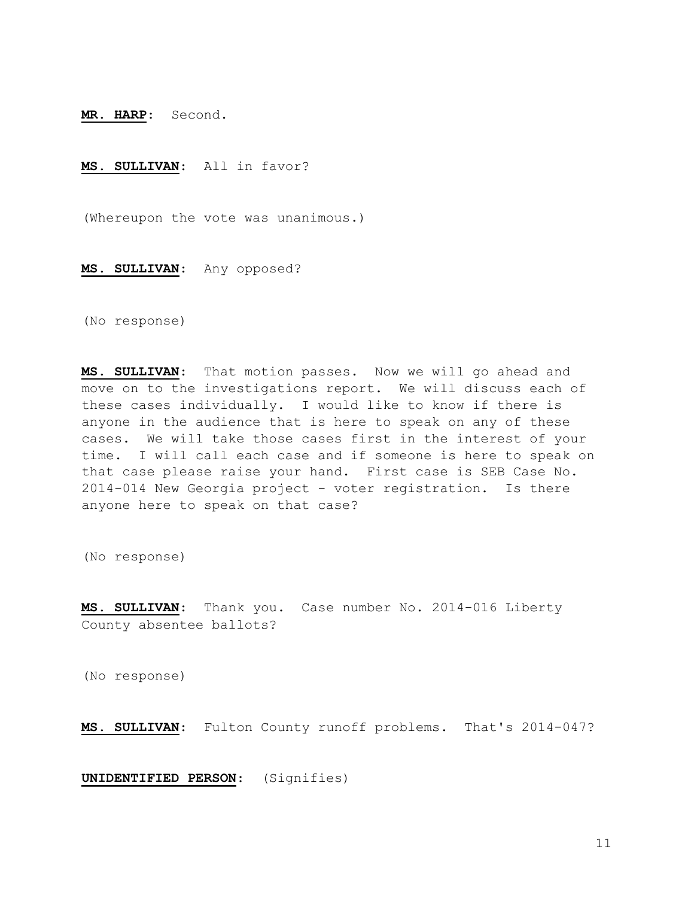MR. HARP: Second.

MS. SULLIVAN: All in favor?

(Whereupon the vote was unanimous.)

MS. SULLIVAN: Any opposed?

(No response)

MS. SULLIVAN: That motion passes. Now we will go ahead and move on to the investigations report. We will discuss each of these cases individually. I would like to know if there is anyone in the audience that is here to speak on any of these cases. We will take those cases first in the interest of your time. I will call each case and if someone is here to speak on that case please raise your hand. First case is SEB Case No. 2014-014 New Georgia project - voter registration. Is there anyone here to speak on that case?

(No response)

MS. SULLIVAN: Thank you. Case number No. 2014-016 Liberty County absentee ballots?

(No response)

MS. SULLIVAN: Fulton County runoff problems. That's 2014-047?

UNIDENTIFIED PERSON: (Signifies)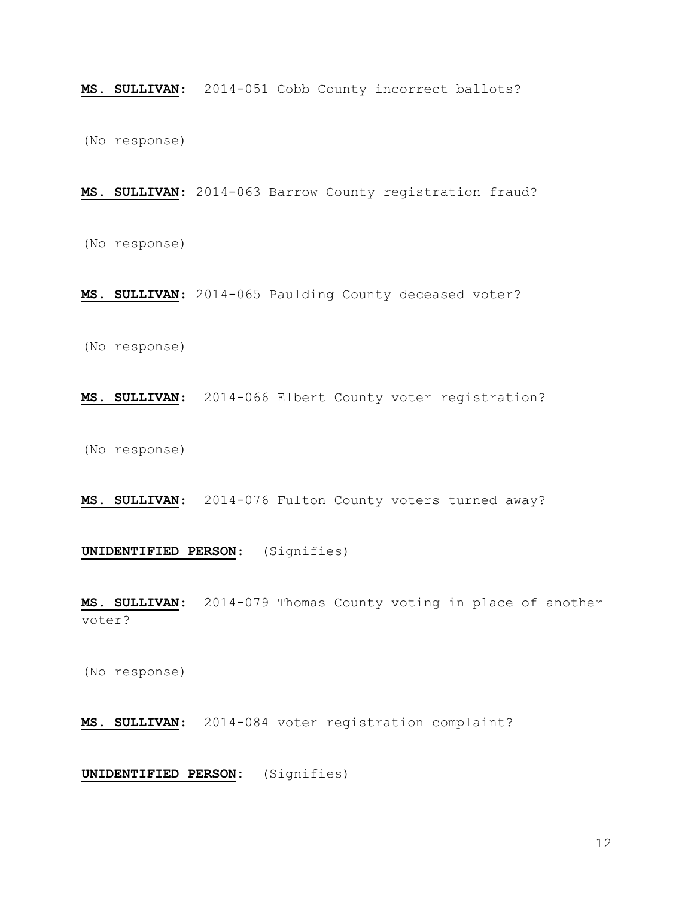MS. SULLIVAN: 2014-051 Cobb County incorrect ballots?

(No response)

MS. SULLIVAN: 2014-063 Barrow County registration fraud?

(No response)

MS. SULLIVAN: 2014-065 Paulding County deceased voter?

(No response)

MS. SULLIVAN: 2014-066 Elbert County voter registration?

(No response)

MS. SULLIVAN: 2014-076 Fulton County voters turned away?

# UNIDENTIFIED PERSON: (Signifies)

MS. SULLIVAN: 2014-079 Thomas County voting in place of another voter?

(No response)

MS. SULLIVAN: 2014-084 voter registration complaint?

UNIDENTIFIED PERSON: (Signifies)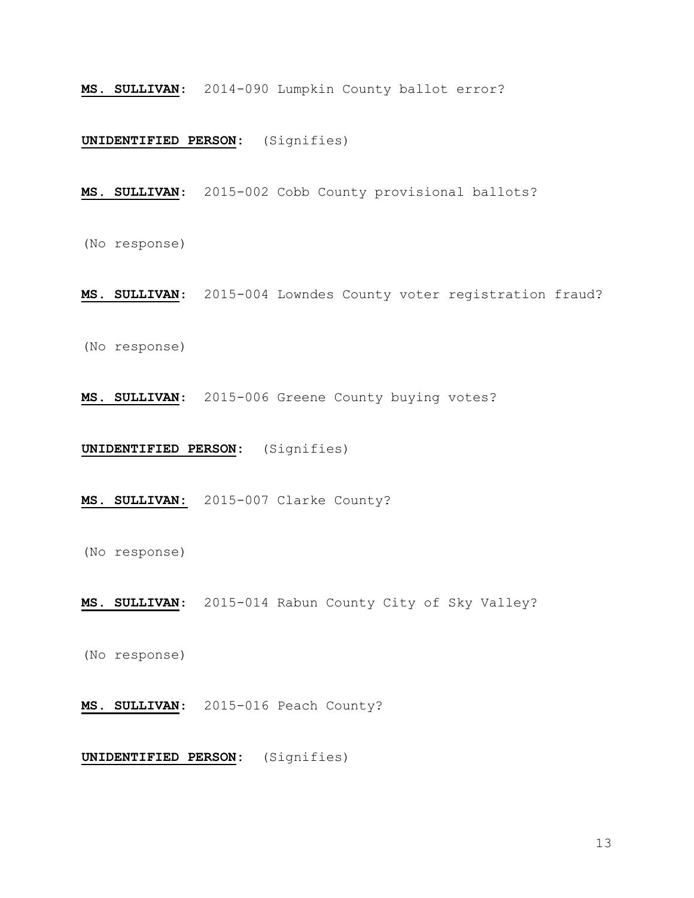MS. SULLIVAN: 2014-090 Lumpkin County ballot error?

# UNIDENTIFIED PERSON: (Signifies)

MS. SULLIVAN: 2015-002 Cobb County provisional ballots?

(No response)

MS. SULLIVAN: 2015-004 Lowndes County voter registration fraud?

(No response)

MS. SULLIVAN: 2015-006 Greene County buying votes?

UNIDENTIFIED PERSON: (Signifies)

MS. SULLIVAN: 2015-007 Clarke County?

(No response)

MS. SULLIVAN: 2015-014 Rabun County City of Sky Valley?

(No response)

MS. SULLIVAN: 2015-016 Peach County?

UNIDENTIFIED PERSON: (Signifies)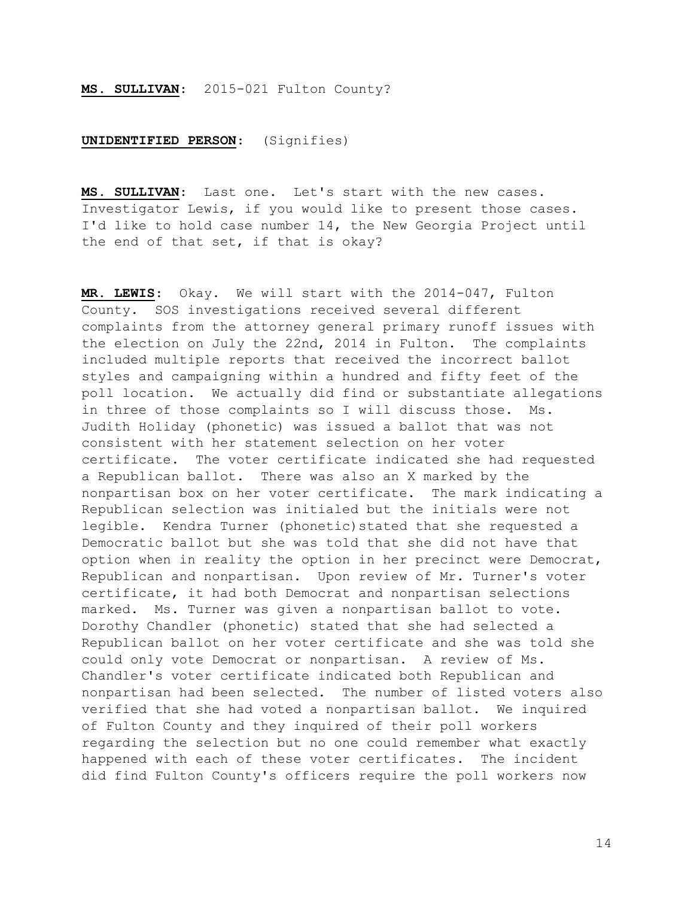# MS. SULLIVAN: 2015-021 Fulton County?

## UNIDENTIFIED PERSON: (Signifies)

MS. SULLIVAN: Last one. Let's start with the new cases. Investigator Lewis, if you would like to present those cases. I'd like to hold case number 14, the New Georgia Project until the end of that set, if that is okay?

MR. LEWIS: Okay. We will start with the 2014-047, Fulton County. SOS investigations received several different complaints from the attorney general primary runoff issues with the election on July the 22nd, 2014 in Fulton. The complaints included multiple reports that received the incorrect ballot styles and campaigning within a hundred and fifty feet of the poll location. We actually did find or substantiate allegations in three of those complaints so I will discuss those. Ms. Judith Holiday (phonetic) was issued a ballot that was not consistent with her statement selection on her voter certificate. The voter certificate indicated she had requested a Republican ballot. There was also an X marked by the nonpartisan box on her voter certificate. The mark indicating a Republican selection was initialed but the initials were not legible. Kendra Turner (phonetic) stated that she requested a Democratic ballot but she was told that she did not have that option when in reality the option in her precinct were Democrat, Republican and nonpartisan. Upon review of Mr. Turner's voter certificate, it had both Democrat and nonpartisan selections marked. Ms. Turner was given a nonpartisan ballot to vote. Dorothy Chandler (phonetic) stated that she had selected a Republican ballot on her voter certificate and she was told she could only vote Democrat or nonpartisan. A review of Ms. Chandler's voter certificate indicated both Republican and nonpartisan had been selected. The number of listed voters also verified that she had voted a nonpartisan ballot. We inquired of Fulton County and they inquired of their poll workers regarding the selection but no one could remember what exactly happened with each of these voter certificates. The incident did find Fulton County's officers require the poll workers now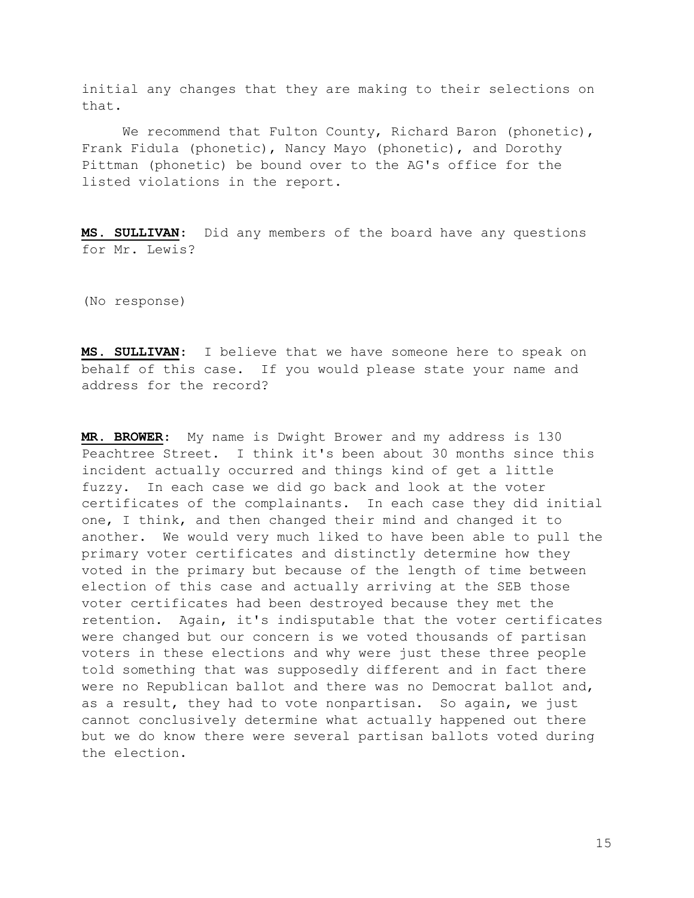initial any changes that they are making to their selections on that.

We recommend that Fulton County, Richard Baron (phonetic), Frank Fidula (phonetic), Nancy Mayo (phonetic), and Dorothy Pittman (phonetic) be bound over to the AG's office for the listed violations in the report.

MS. SULLIVAN: Did any members of the board have any questions for Mr. Lewis?

(No response)

MS. SULLIVAN: I believe that we have someone here to speak on behalf of this case. If you would please state your name and address for the record?

MR. BROWER: My name is Dwight Brower and my address is 130 Peachtree Street. I think it's been about 30 months since this incident actually occurred and things kind of get a little fuzzy. In each case we did go back and look at the voter certificates of the complainants. In each case they did initial one, I think, and then changed their mind and changed it to another. We would very much liked to have been able to pull the primary voter certificates and distinctly determine how they voted in the primary but because of the length of time between election of this case and actually arriving at the SEB those voter certificates had been destroyed because they met the retention. Again, it's indisputable that the voter certificates were changed but our concern is we voted thousands of partisan voters in these elections and why were just these three people told something that was supposedly different and in fact there were no Republican ballot and there was no Democrat ballot and, as a result, they had to vote nonpartisan. So again, we just cannot conclusively determine what actually happened out there but we do know there were several partisan ballots voted during the election.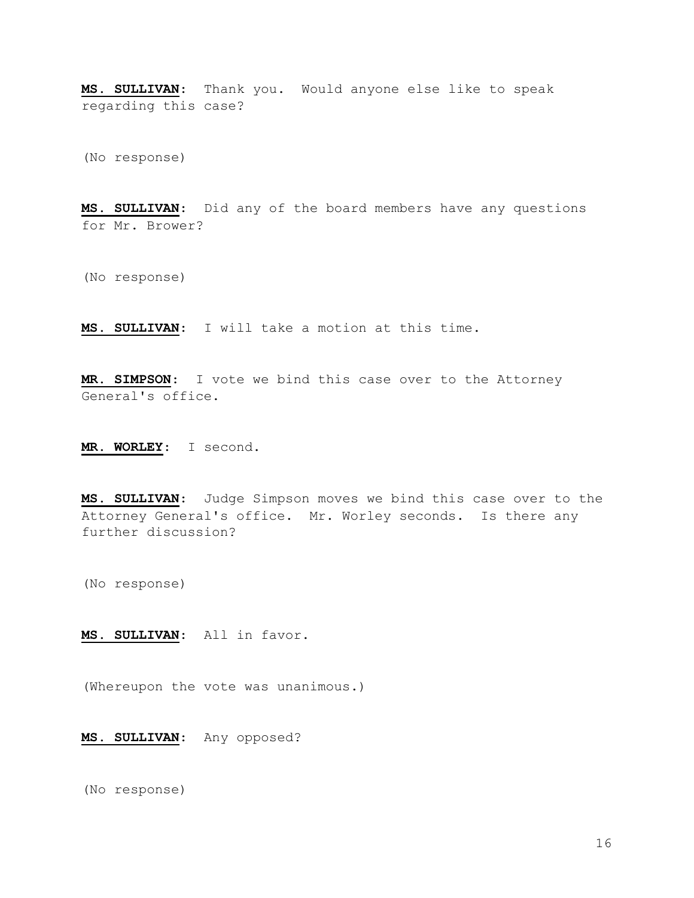MS. SULLIVAN: Thank you. Would anyone else like to speak regarding this case?

(No response)

MS. SULLIVAN: Did any of the board members have any questions for Mr. Brower?

(No response)

MS. SULLIVAN: I will take a motion at this time.

MR. SIMPSON: I vote we bind this case over to the Attorney General's office.

MR. WORLEY: I second.

MS. SULLIVAN: Judge Simpson moves we bind this case over to the Attorney General's office. Mr. Worley seconds. Is there any further discussion?

(No response)

MS. SULLIVAN: All in favor.

(Whereupon the vote was unanimous.)

MS. SULLIVAN: Any opposed?

(No response)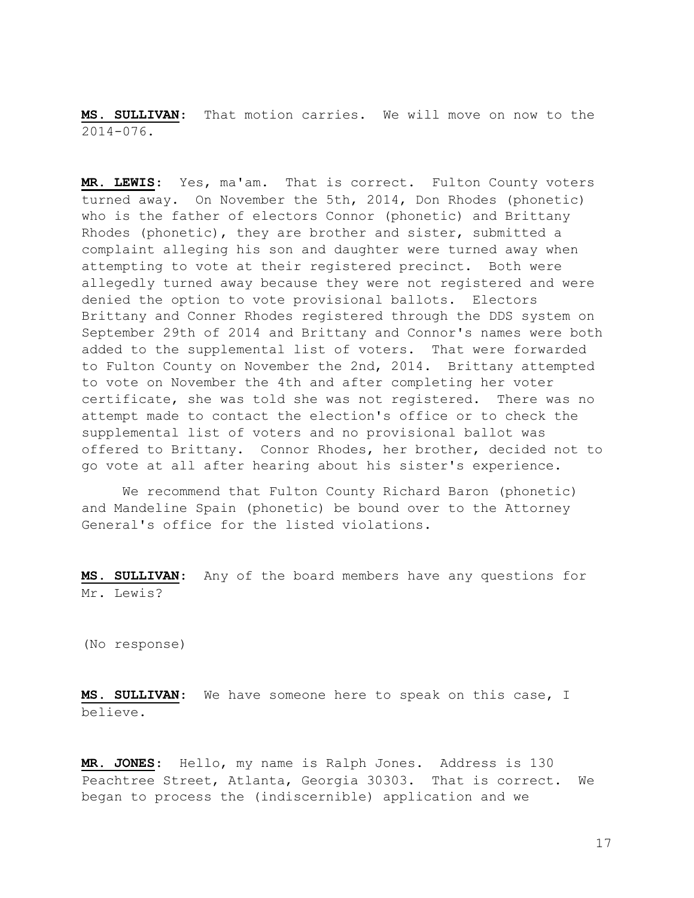MS. SULLIVAN: That motion carries. We will move on now to the 2014-076.

MR. LEWIS: Yes, ma'am. That is correct. Fulton County voters turned away. On November the 5th, 2014, Don Rhodes (phonetic) who is the father of electors Connor (phonetic) and Brittany Rhodes (phonetic), they are brother and sister, submitted a complaint alleging his son and daughter were turned away when attempting to vote at their registered precinct. Both were allegedly turned away because they were not registered and were denied the option to vote provisional ballots. Electors Brittany and Conner Rhodes registered through the DDS system on September 29th of 2014 and Brittany and Connor's names were both added to the supplemental list of voters. That were forwarded to Fulton County on November the 2nd, 2014. Brittany attempted to vote on November the 4th and after completing her voter certificate, she was told she was not registered. There was no attempt made to contact the election's office or to check the supplemental list of voters and no provisional ballot was offered to Brittany. Connor Rhodes, her brother, decided not to go vote at all after hearing about his sister's experience.

 We recommend that Fulton County Richard Baron (phonetic) and Mandeline Spain (phonetic) be bound over to the Attorney General's office for the listed violations.

MS. SULLIVAN: Any of the board members have any questions for Mr. Lewis?

(No response)

MS. SULLIVAN: We have someone here to speak on this case, I believe.

MR. JONES: Hello, my name is Ralph Jones. Address is 130 Peachtree Street, Atlanta, Georgia 30303. That is correct. We began to process the (indiscernible) application and we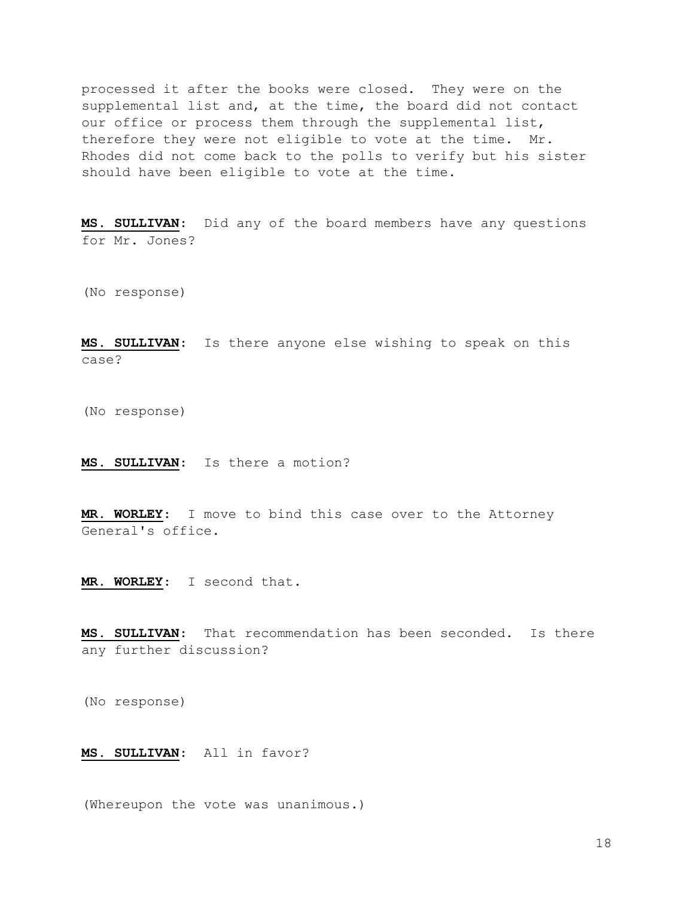processed it after the books were closed. They were on the supplemental list and, at the time, the board did not contact our office or process them through the supplemental list, therefore they were not eligible to vote at the time. Mr. Rhodes did not come back to the polls to verify but his sister should have been eligible to vote at the time.

MS. SULLIVAN: Did any of the board members have any questions for Mr. Jones?

(No response)

MS. SULLIVAN: Is there anyone else wishing to speak on this case?

(No response)

MS. SULLIVAN: Is there a motion?

MR. WORLEY: I move to bind this case over to the Attorney General's office.

MR. WORLEY: I second that.

MS. SULLIVAN: That recommendation has been seconded. Is there any further discussion?

(No response)

## MS. SULLIVAN: All in favor?

(Whereupon the vote was unanimous.)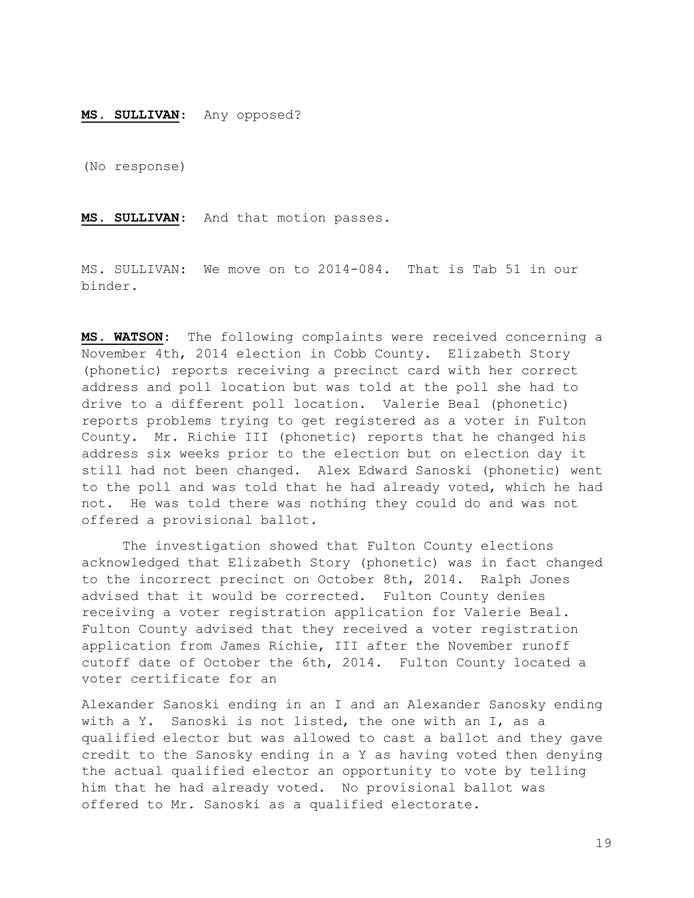## MS. SULLIVAN: Any opposed?

(No response)

MS. SULLIVAN: And that motion passes.

MS. SULLIVAN: We move on to 2014-084. That is Tab 51 in our binder.

MS. WATSON: The following complaints were received concerning a November 4th, 2014 election in Cobb County. Elizabeth Story (phonetic) reports receiving a precinct card with her correct address and poll location but was told at the poll she had to drive to a different poll location. Valerie Beal (phonetic) reports problems trying to get registered as a voter in Fulton County. Mr. Richie III (phonetic) reports that he changed his address six weeks prior to the election but on election day it still had not been changed. Alex Edward Sanoski (phonetic) went to the poll and was told that he had already voted, which he had not. He was told there was nothing they could do and was not offered a provisional ballot.

 The investigation showed that Fulton County elections acknowledged that Elizabeth Story (phonetic) was in fact changed to the incorrect precinct on October 8th, 2014. Ralph Jones advised that it would be corrected. Fulton County denies receiving a voter registration application for Valerie Beal. Fulton County advised that they received a voter registration application from James Richie, III after the November runoff cutoff date of October the 6th, 2014. Fulton County located a voter certificate for an

Alexander Sanoski ending in an I and an Alexander Sanosky ending with a Y. Sanoski is not listed, the one with an I, as a qualified elector but was allowed to cast a ballot and they gave credit to the Sanosky ending in a Y as having voted then denying the actual qualified elector an opportunity to vote by telling him that he had already voted. No provisional ballot was offered to Mr. Sanoski as a qualified electorate.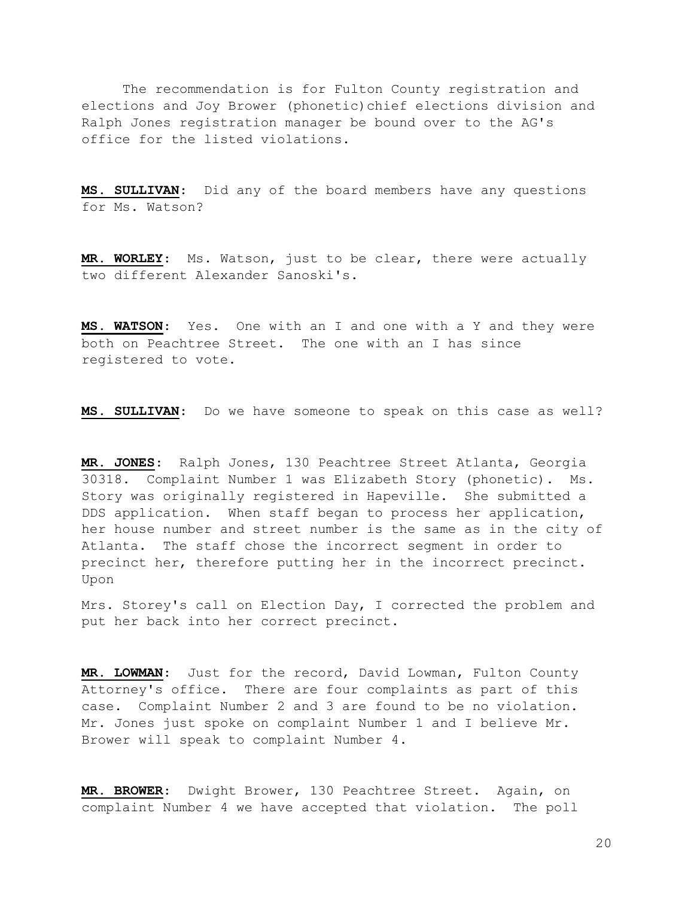The recommendation is for Fulton County registration and elections and Joy Brower (phonetic)chief elections division and Ralph Jones registration manager be bound over to the AG's office for the listed violations.

MS. SULLIVAN: Did any of the board members have any questions for Ms. Watson?

MR. WORLEY: Ms. Watson, just to be clear, there were actually two different Alexander Sanoski's.

MS. WATSON: Yes. One with an I and one with a Y and they were both on Peachtree Street. The one with an I has since registered to vote.

MS. SULLIVAN: Do we have someone to speak on this case as well?

MR. JONES: Ralph Jones, 130 Peachtree Street Atlanta, Georgia 30318. Complaint Number 1 was Elizabeth Story (phonetic). Ms. Story was originally registered in Hapeville. She submitted a DDS application. When staff began to process her application, her house number and street number is the same as in the city of Atlanta. The staff chose the incorrect segment in order to precinct her, therefore putting her in the incorrect precinct. Upon

Mrs. Storey's call on Election Day, I corrected the problem and put her back into her correct precinct.

MR. LOWMAN: Just for the record, David Lowman, Fulton County Attorney's office. There are four complaints as part of this case. Complaint Number 2 and 3 are found to be no violation. Mr. Jones just spoke on complaint Number 1 and I believe Mr. Brower will speak to complaint Number 4.

MR. BROWER: Dwight Brower, 130 Peachtree Street. Again, on complaint Number 4 we have accepted that violation. The poll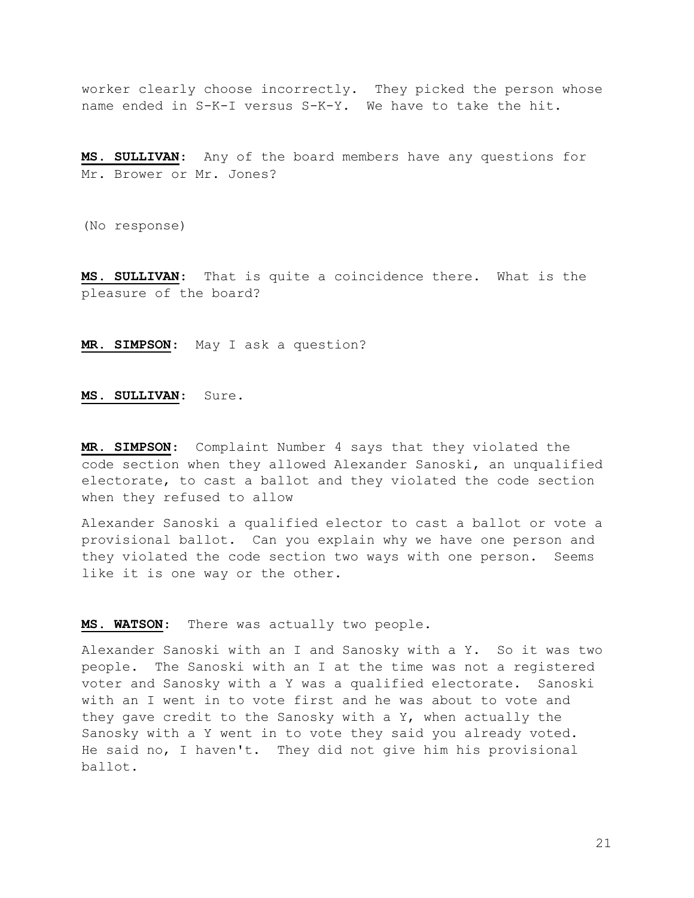worker clearly choose incorrectly. They picked the person whose name ended in S-K-I versus S-K-Y. We have to take the hit.

MS. SULLIVAN: Any of the board members have any questions for Mr. Brower or Mr. Jones?

(No response)

MS. SULLIVAN: That is quite a coincidence there. What is the pleasure of the board?

MR. SIMPSON: May I ask a question?

MS. SULLIVAN: Sure.

MR. SIMPSON: Complaint Number 4 says that they violated the code section when they allowed Alexander Sanoski, an unqualified electorate, to cast a ballot and they violated the code section when they refused to allow

Alexander Sanoski a qualified elector to cast a ballot or vote a provisional ballot. Can you explain why we have one person and they violated the code section two ways with one person. Seems like it is one way or the other.

MS. WATSON: There was actually two people.

Alexander Sanoski with an I and Sanosky with a Y. So it was two people. The Sanoski with an I at the time was not a registered voter and Sanosky with a Y was a qualified electorate. Sanoski with an I went in to vote first and he was about to vote and they gave credit to the Sanosky with a Y, when actually the Sanosky with a Y went in to vote they said you already voted. He said no, I haven't. They did not give him his provisional ballot.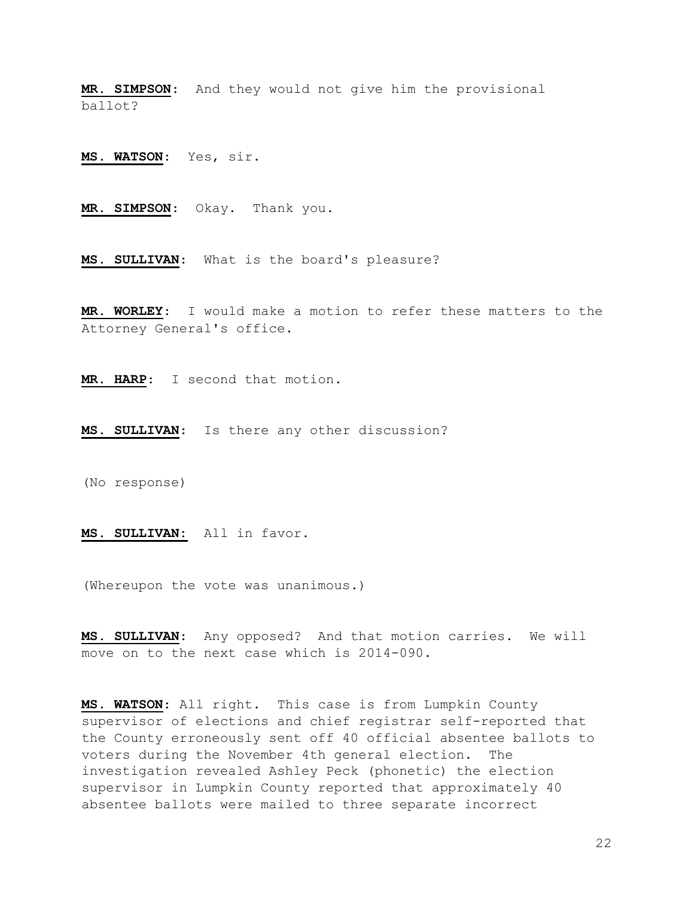MR. SIMPSON: And they would not give him the provisional ballot?

MS. WATSON: Yes, sir.

MR. SIMPSON: Okay. Thank you.

MS. SULLIVAN: What is the board's pleasure?

MR. WORLEY: I would make a motion to refer these matters to the Attorney General's office.

MR. HARP: I second that motion.

MS. SULLIVAN: Is there any other discussion?

(No response)

MS. SULLIVAN: All in favor.

(Whereupon the vote was unanimous.)

MS. SULLIVAN: Any opposed? And that motion carries. We will move on to the next case which is 2014-090.

MS. WATSON: All right. This case is from Lumpkin County supervisor of elections and chief registrar self-reported that the County erroneously sent off 40 official absentee ballots to voters during the November 4th general election. The investigation revealed Ashley Peck (phonetic) the election supervisor in Lumpkin County reported that approximately 40 absentee ballots were mailed to three separate incorrect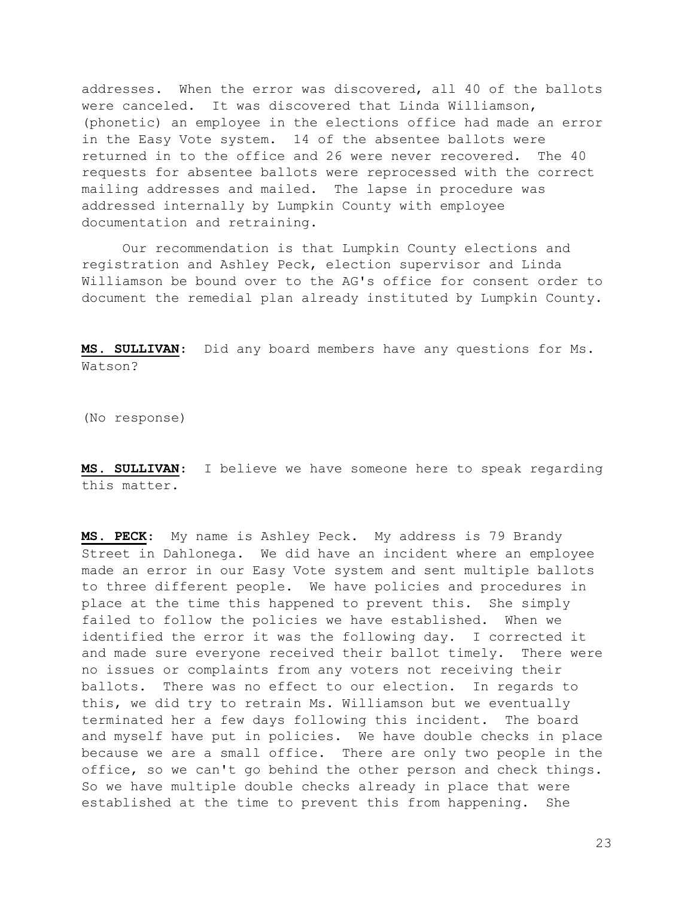addresses. When the error was discovered, all 40 of the ballots were canceled. It was discovered that Linda Williamson, (phonetic) an employee in the elections office had made an error in the Easy Vote system. 14 of the absentee ballots were returned in to the office and 26 were never recovered. The 40 requests for absentee ballots were reprocessed with the correct mailing addresses and mailed. The lapse in procedure was addressed internally by Lumpkin County with employee documentation and retraining.

 Our recommendation is that Lumpkin County elections and registration and Ashley Peck, election supervisor and Linda Williamson be bound over to the AG's office for consent order to document the remedial plan already instituted by Lumpkin County.

MS. SULLIVAN: Did any board members have any questions for Ms. Watson?

(No response)

MS. SULLIVAN: I believe we have someone here to speak regarding this matter.

MS. PECK: My name is Ashley Peck. My address is 79 Brandy Street in Dahlonega. We did have an incident where an employee made an error in our Easy Vote system and sent multiple ballots to three different people. We have policies and procedures in place at the time this happened to prevent this. She simply failed to follow the policies we have established. When we identified the error it was the following day. I corrected it and made sure everyone received their ballot timely. There were no issues or complaints from any voters not receiving their ballots. There was no effect to our election. In regards to this, we did try to retrain Ms. Williamson but we eventually terminated her a few days following this incident. The board and myself have put in policies. We have double checks in place because we are a small office. There are only two people in the office, so we can't go behind the other person and check things. So we have multiple double checks already in place that were established at the time to prevent this from happening. She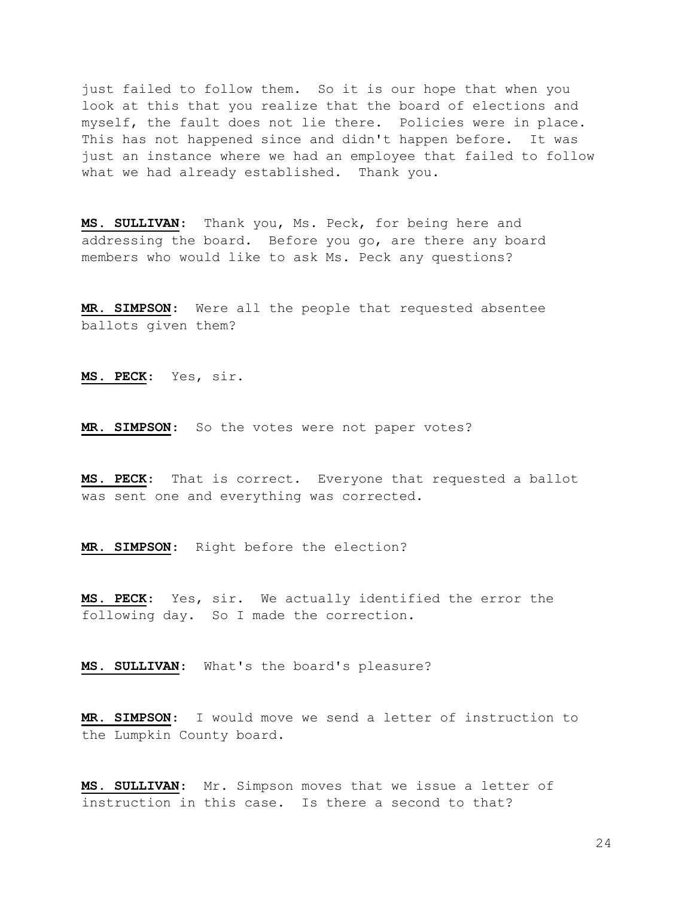just failed to follow them. So it is our hope that when you look at this that you realize that the board of elections and myself, the fault does not lie there. Policies were in place. This has not happened since and didn't happen before. It was just an instance where we had an employee that failed to follow what we had already established. Thank you.

MS. SULLIVAN: Thank you, Ms. Peck, for being here and addressing the board. Before you go, are there any board members who would like to ask Ms. Peck any questions?

MR. SIMPSON: Were all the people that requested absentee ballots given them?

MS. PECK: Yes, sir.

MR. SIMPSON: So the votes were not paper votes?

MS. PECK: That is correct. Everyone that requested a ballot was sent one and everything was corrected.

MR. SIMPSON: Right before the election?

MS. PECK: Yes, sir. We actually identified the error the following day. So I made the correction.

MS. SULLIVAN: What's the board's pleasure?

MR. SIMPSON: I would move we send a letter of instruction to the Lumpkin County board.

MS. SULLIVAN: Mr. Simpson moves that we issue a letter of instruction in this case. Is there a second to that?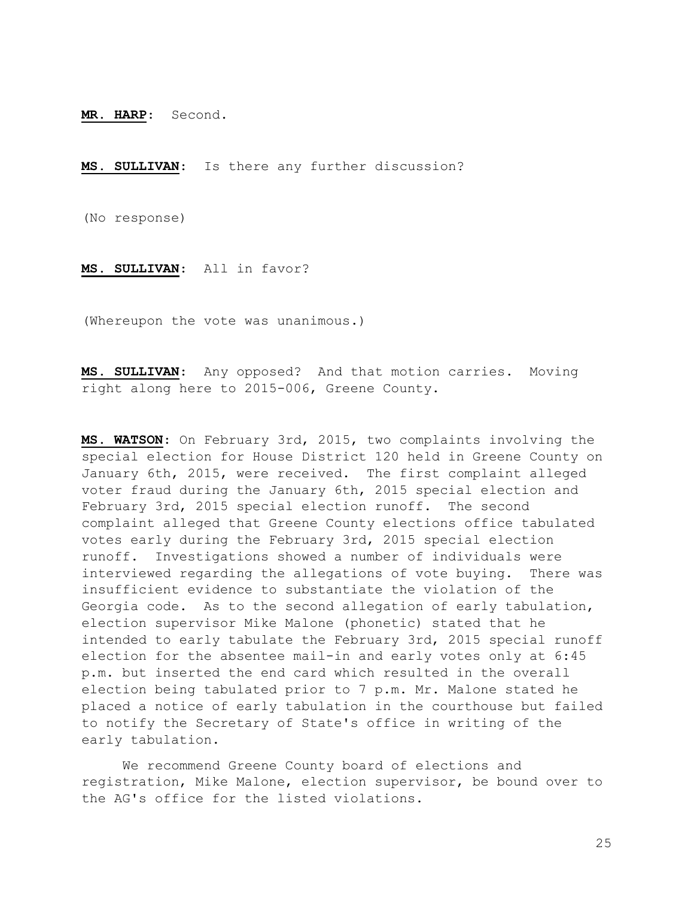MR. HARP: Second.

MS. SULLIVAN: Is there any further discussion?

(No response)

MS. SULLIVAN: All in favor?

(Whereupon the vote was unanimous.)

MS. SULLIVAN: Any opposed? And that motion carries. Moving right along here to 2015-006, Greene County.

MS. WATSON: On February 3rd, 2015, two complaints involving the special election for House District 120 held in Greene County on January 6th, 2015, were received. The first complaint alleged voter fraud during the January 6th, 2015 special election and February 3rd, 2015 special election runoff. The second complaint alleged that Greene County elections office tabulated votes early during the February 3rd, 2015 special election runoff. Investigations showed a number of individuals were interviewed regarding the allegations of vote buying. There was insufficient evidence to substantiate the violation of the Georgia code. As to the second allegation of early tabulation, election supervisor Mike Malone (phonetic) stated that he intended to early tabulate the February 3rd, 2015 special runoff election for the absentee mail-in and early votes only at 6:45 p.m. but inserted the end card which resulted in the overall election being tabulated prior to 7 p.m. Mr. Malone stated he placed a notice of early tabulation in the courthouse but failed to notify the Secretary of State's office in writing of the early tabulation.

 We recommend Greene County board of elections and registration, Mike Malone, election supervisor, be bound over to the AG's office for the listed violations.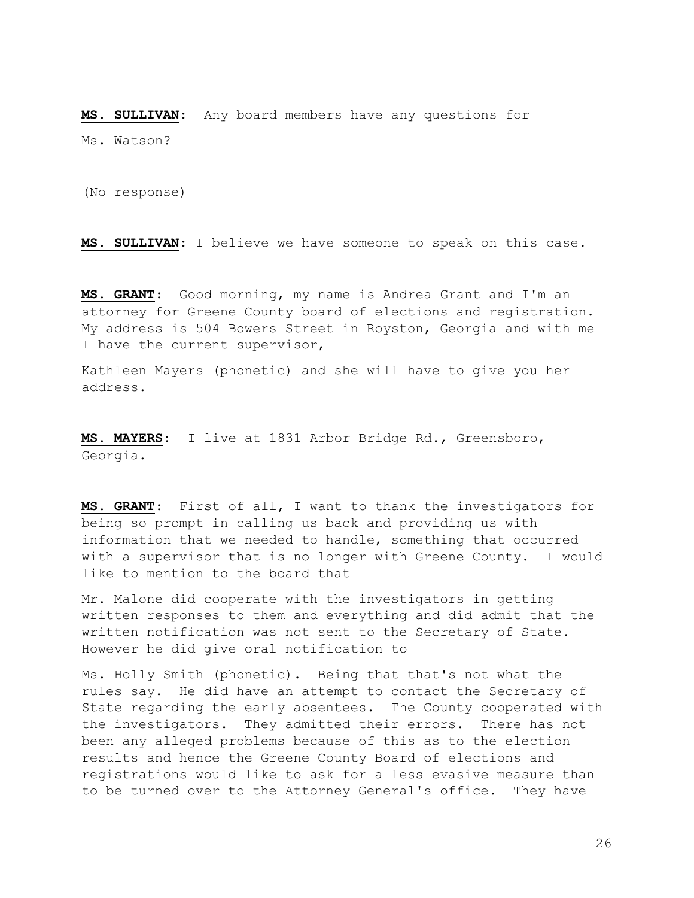MS. SULLIVAN: Any board members have any questions for Ms. Watson?

(No response)

MS. SULLIVAN: I believe we have someone to speak on this case.

MS. GRANT: Good morning, my name is Andrea Grant and I'm an attorney for Greene County board of elections and registration. My address is 504 Bowers Street in Royston, Georgia and with me I have the current supervisor,

Kathleen Mayers (phonetic) and she will have to give you her address.

MS. MAYERS: I live at 1831 Arbor Bridge Rd., Greensboro, Georgia.

MS. GRANT: First of all, I want to thank the investigators for being so prompt in calling us back and providing us with information that we needed to handle, something that occurred with a supervisor that is no longer with Greene County. I would like to mention to the board that

Mr. Malone did cooperate with the investigators in getting written responses to them and everything and did admit that the written notification was not sent to the Secretary of State. However he did give oral notification to

Ms. Holly Smith (phonetic). Being that that's not what the rules say. He did have an attempt to contact the Secretary of State regarding the early absentees. The County cooperated with the investigators. They admitted their errors. There has not been any alleged problems because of this as to the election results and hence the Greene County Board of elections and registrations would like to ask for a less evasive measure than to be turned over to the Attorney General's office. They have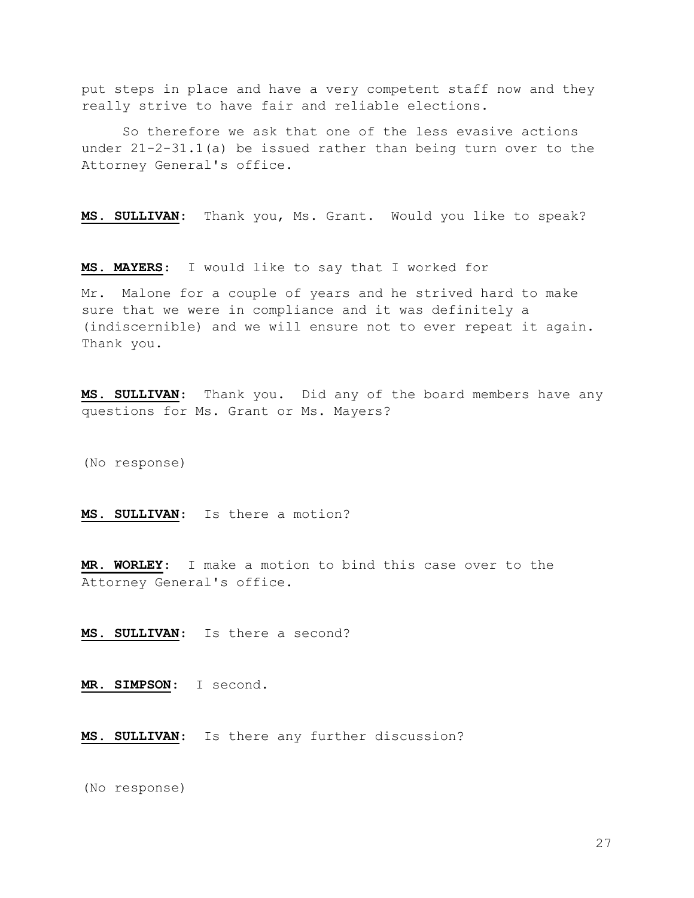put steps in place and have a very competent staff now and they really strive to have fair and reliable elections.

 So therefore we ask that one of the less evasive actions under 21-2-31.1(a) be issued rather than being turn over to the Attorney General's office.

MS. SULLIVAN: Thank you, Ms. Grant. Would you like to speak?

MS. MAYERS: I would like to say that I worked for

Mr. Malone for a couple of years and he strived hard to make sure that we were in compliance and it was definitely a (indiscernible) and we will ensure not to ever repeat it again. Thank you.

MS. SULLIVAN: Thank you. Did any of the board members have any questions for Ms. Grant or Ms. Mayers?

(No response)

MS. SULLIVAN: Is there a motion?

MR. WORLEY: I make a motion to bind this case over to the Attorney General's office.

MS. SULLIVAN: Is there a second?

MR. SIMPSON: I second.

MS. SULLIVAN: Is there any further discussion?

(No response)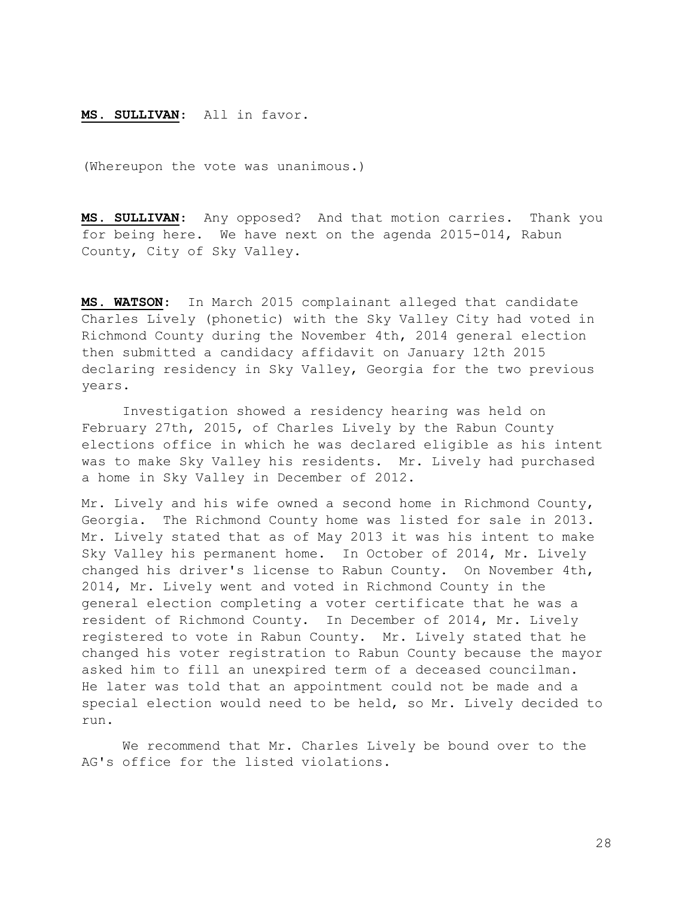## MS. SULLIVAN: All in favor.

(Whereupon the vote was unanimous.)

MS. SULLIVAN: Any opposed? And that motion carries. Thank you for being here. We have next on the agenda 2015-014, Rabun County, City of Sky Valley.

MS. WATSON: In March 2015 complainant alleged that candidate Charles Lively (phonetic) with the Sky Valley City had voted in Richmond County during the November 4th, 2014 general election then submitted a candidacy affidavit on January 12th 2015 declaring residency in Sky Valley, Georgia for the two previous years.

 Investigation showed a residency hearing was held on February 27th, 2015, of Charles Lively by the Rabun County elections office in which he was declared eligible as his intent was to make Sky Valley his residents. Mr. Lively had purchased a home in Sky Valley in December of 2012.

Mr. Lively and his wife owned a second home in Richmond County, Georgia. The Richmond County home was listed for sale in 2013. Mr. Lively stated that as of May 2013 it was his intent to make Sky Valley his permanent home. In October of 2014, Mr. Lively changed his driver's license to Rabun County. On November 4th, 2014, Mr. Lively went and voted in Richmond County in the general election completing a voter certificate that he was a resident of Richmond County. In December of 2014, Mr. Lively registered to vote in Rabun County. Mr. Lively stated that he changed his voter registration to Rabun County because the mayor asked him to fill an unexpired term of a deceased councilman. He later was told that an appointment could not be made and a special election would need to be held, so Mr. Lively decided to run.

 We recommend that Mr. Charles Lively be bound over to the AG's office for the listed violations.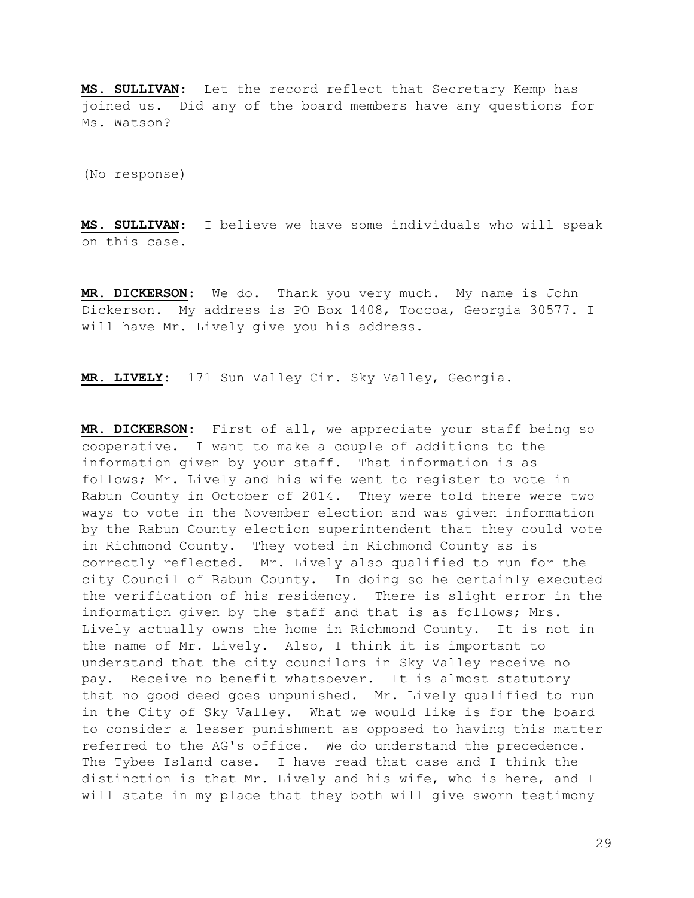MS. SULLIVAN: Let the record reflect that Secretary Kemp has joined us. Did any of the board members have any questions for Ms. Watson?

(No response)

MS. SULLIVAN: I believe we have some individuals who will speak on this case.

MR. DICKERSON: We do. Thank you very much. My name is John Dickerson. My address is PO Box 1408, Toccoa, Georgia 30577. I will have Mr. Lively give you his address.

MR. LIVELY: 171 Sun Valley Cir. Sky Valley, Georgia.

MR. DICKERSON: First of all, we appreciate your staff being so cooperative. I want to make a couple of additions to the information given by your staff. That information is as follows; Mr. Lively and his wife went to register to vote in Rabun County in October of 2014. They were told there were two ways to vote in the November election and was given information by the Rabun County election superintendent that they could vote in Richmond County. They voted in Richmond County as is correctly reflected. Mr. Lively also qualified to run for the city Council of Rabun County. In doing so he certainly executed the verification of his residency. There is slight error in the information given by the staff and that is as follows; Mrs. Lively actually owns the home in Richmond County. It is not in the name of Mr. Lively. Also, I think it is important to understand that the city councilors in Sky Valley receive no pay. Receive no benefit whatsoever. It is almost statutory that no good deed goes unpunished. Mr. Lively qualified to run in the City of Sky Valley. What we would like is for the board to consider a lesser punishment as opposed to having this matter referred to the AG's office. We do understand the precedence. The Tybee Island case. I have read that case and I think the distinction is that Mr. Lively and his wife, who is here, and I will state in my place that they both will give sworn testimony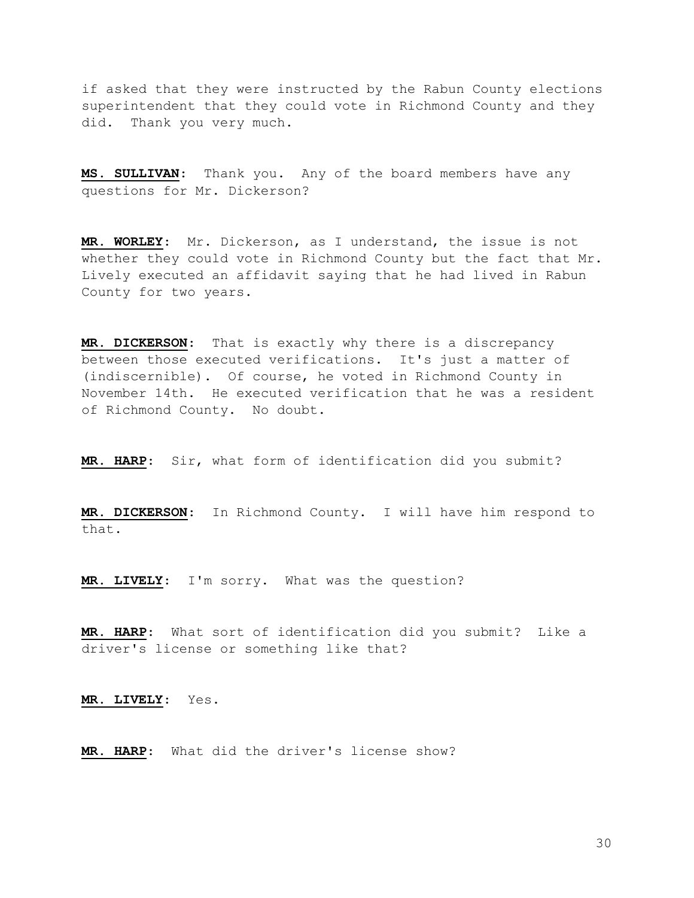if asked that they were instructed by the Rabun County elections superintendent that they could vote in Richmond County and they did. Thank you very much.

MS. SULLIVAN: Thank you. Any of the board members have any questions for Mr. Dickerson?

MR. WORLEY: Mr. Dickerson, as I understand, the issue is not whether they could vote in Richmond County but the fact that Mr. Lively executed an affidavit saying that he had lived in Rabun County for two years.

MR. DICKERSON: That is exactly why there is a discrepancy between those executed verifications. It's just a matter of (indiscernible). Of course, he voted in Richmond County in November 14th. He executed verification that he was a resident of Richmond County. No doubt.

MR. HARP: Sir, what form of identification did you submit?

MR. DICKERSON: In Richmond County. I will have him respond to that.

MR. LIVELY: I'm sorry. What was the question?

MR. HARP: What sort of identification did you submit? Like a driver's license or something like that?

MR. LIVELY: Yes.

MR. HARP: What did the driver's license show?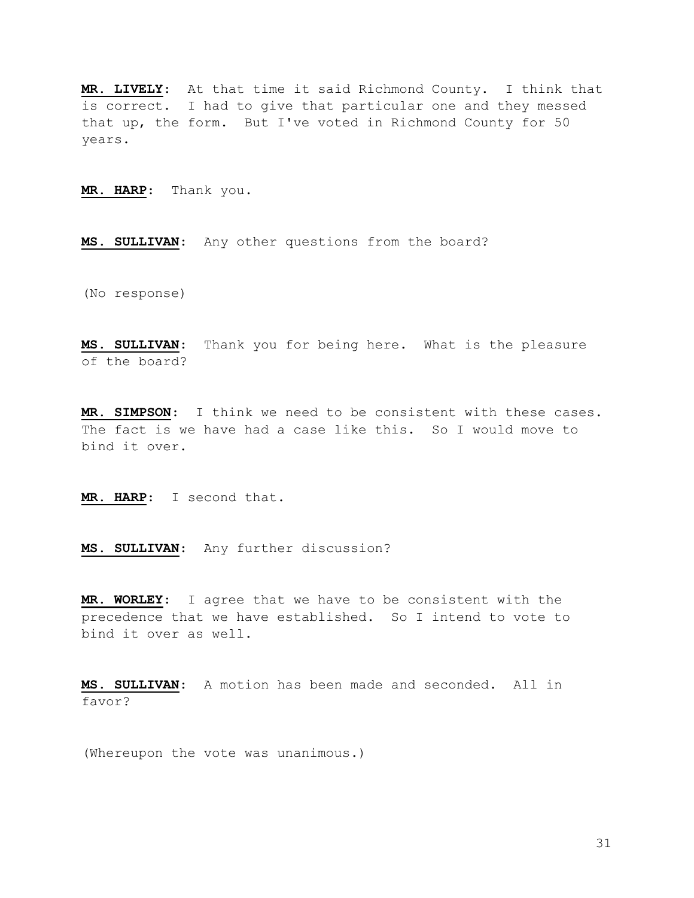MR. LIVELY: At that time it said Richmond County. I think that is correct. I had to give that particular one and they messed that up, the form. But I've voted in Richmond County for 50 years.

MR. HARP: Thank you.

MS. SULLIVAN: Any other questions from the board?

(No response)

MS. SULLIVAN: Thank you for being here. What is the pleasure of the board?

MR. SIMPSON: I think we need to be consistent with these cases. The fact is we have had a case like this. So I would move to bind it over.

MR. HARP: I second that.

MS. SULLIVAN: Any further discussion?

MR. WORLEY: I agree that we have to be consistent with the precedence that we have established. So I intend to vote to bind it over as well.

MS. SULLIVAN: A motion has been made and seconded. All in favor?

(Whereupon the vote was unanimous.)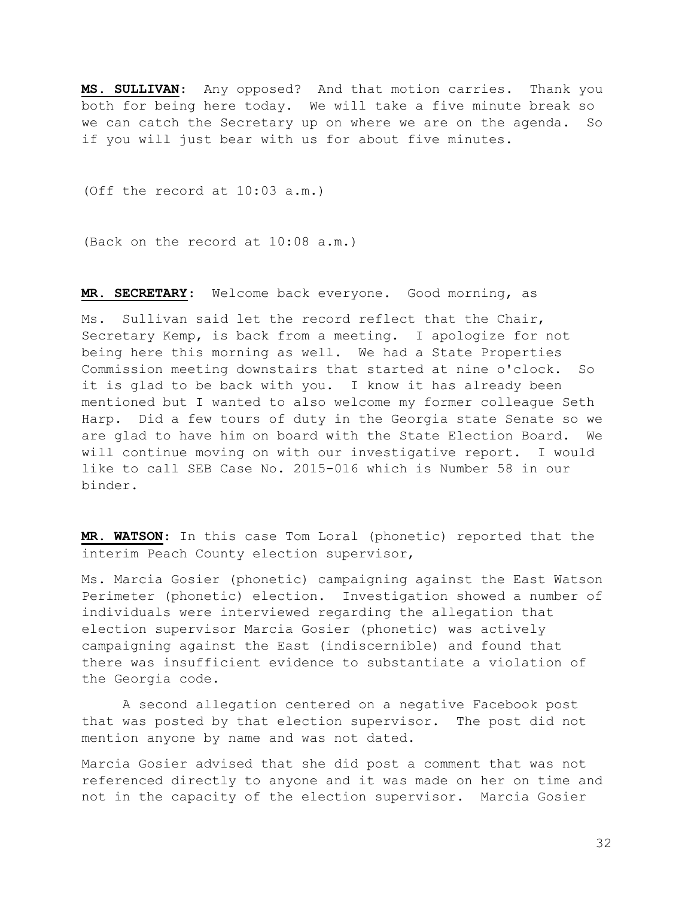MS. SULLIVAN: Any opposed? And that motion carries. Thank you both for being here today. We will take a five minute break so we can catch the Secretary up on where we are on the agenda. So if you will just bear with us for about five minutes.

(Off the record at 10:03 a.m.)

(Back on the record at 10:08 a.m.)

MR. SECRETARY: Welcome back everyone. Good morning, as

Ms. Sullivan said let the record reflect that the Chair, Secretary Kemp, is back from a meeting. I apologize for not being here this morning as well. We had a State Properties Commission meeting downstairs that started at nine o'clock. So it is glad to be back with you. I know it has already been mentioned but I wanted to also welcome my former colleague Seth Harp. Did a few tours of duty in the Georgia state Senate so we are glad to have him on board with the State Election Board. We will continue moving on with our investigative report. I would like to call SEB Case No. 2015-016 which is Number 58 in our binder.

MR. WATSON: In this case Tom Loral (phonetic) reported that the interim Peach County election supervisor,

Ms. Marcia Gosier (phonetic) campaigning against the East Watson Perimeter (phonetic) election. Investigation showed a number of individuals were interviewed regarding the allegation that election supervisor Marcia Gosier (phonetic) was actively campaigning against the East (indiscernible) and found that there was insufficient evidence to substantiate a violation of the Georgia code.

 A second allegation centered on a negative Facebook post that was posted by that election supervisor. The post did not mention anyone by name and was not dated.

Marcia Gosier advised that she did post a comment that was not referenced directly to anyone and it was made on her on time and not in the capacity of the election supervisor. Marcia Gosier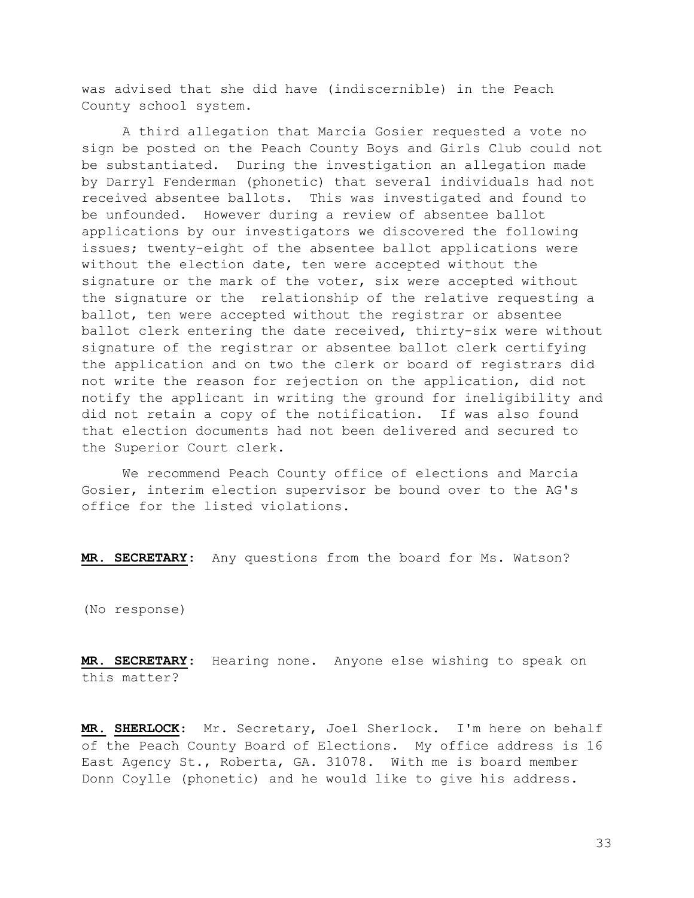was advised that she did have (indiscernible) in the Peach County school system.

 A third allegation that Marcia Gosier requested a vote no sign be posted on the Peach County Boys and Girls Club could not be substantiated. During the investigation an allegation made by Darryl Fenderman (phonetic) that several individuals had not received absentee ballots. This was investigated and found to be unfounded. However during a review of absentee ballot applications by our investigators we discovered the following issues; twenty-eight of the absentee ballot applications were without the election date, ten were accepted without the signature or the mark of the voter, six were accepted without the signature or the relationship of the relative requesting a ballot, ten were accepted without the registrar or absentee ballot clerk entering the date received, thirty-six were without signature of the registrar or absentee ballot clerk certifying the application and on two the clerk or board of registrars did not write the reason for rejection on the application, did not notify the applicant in writing the ground for ineligibility and did not retain a copy of the notification. If was also found that election documents had not been delivered and secured to the Superior Court clerk.

 We recommend Peach County office of elections and Marcia Gosier, interim election supervisor be bound over to the AG's office for the listed violations.

MR. SECRETARY: Any questions from the board for Ms. Watson?

(No response)

MR. SECRETARY: Hearing none. Anyone else wishing to speak on this matter?

MR. SHERLOCK: Mr. Secretary, Joel Sherlock. I'm here on behalf of the Peach County Board of Elections. My office address is 16 East Agency St., Roberta, GA. 31078. With me is board member Donn Coylle (phonetic) and he would like to give his address.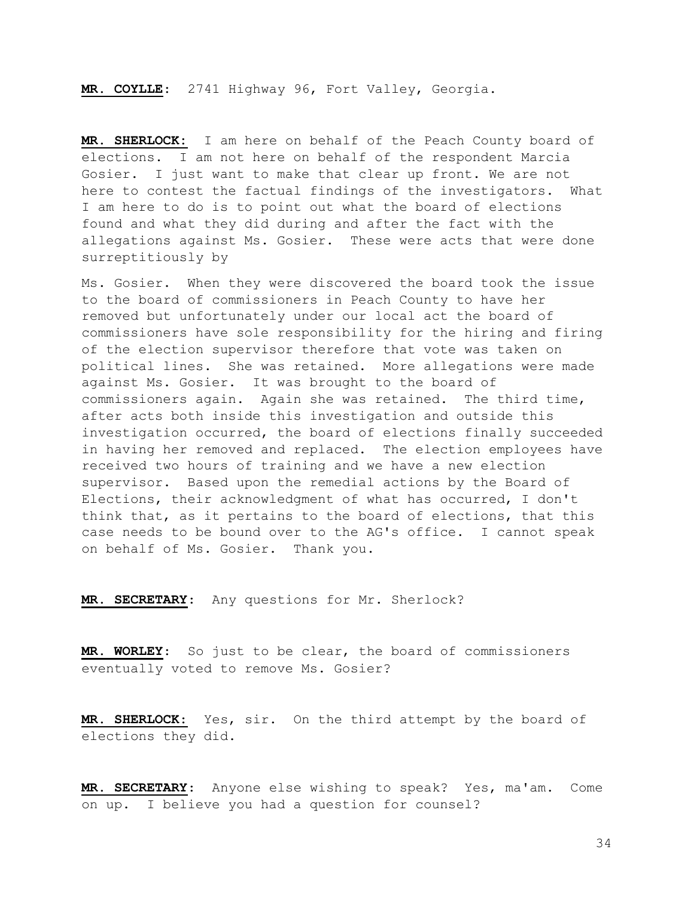MR. COYLLE: 2741 Highway 96, Fort Valley, Georgia.

MR. SHERLOCK: I am here on behalf of the Peach County board of elections. I am not here on behalf of the respondent Marcia Gosier. I just want to make that clear up front. We are not here to contest the factual findings of the investigators. What I am here to do is to point out what the board of elections found and what they did during and after the fact with the allegations against Ms. Gosier. These were acts that were done surreptitiously by

Ms. Gosier. When they were discovered the board took the issue to the board of commissioners in Peach County to have her removed but unfortunately under our local act the board of commissioners have sole responsibility for the hiring and firing of the election supervisor therefore that vote was taken on political lines. She was retained. More allegations were made against Ms. Gosier. It was brought to the board of commissioners again. Again she was retained. The third time, after acts both inside this investigation and outside this investigation occurred, the board of elections finally succeeded in having her removed and replaced. The election employees have received two hours of training and we have a new election supervisor. Based upon the remedial actions by the Board of Elections, their acknowledgment of what has occurred, I don't think that, as it pertains to the board of elections, that this case needs to be bound over to the AG's office. I cannot speak on behalf of Ms. Gosier. Thank you.

MR. SECRETARY: Any questions for Mr. Sherlock?

MR. WORLEY: So just to be clear, the board of commissioners eventually voted to remove Ms. Gosier?

MR. SHERLOCK: Yes, sir. On the third attempt by the board of elections they did.

MR. SECRETARY: Anyone else wishing to speak? Yes, ma'am. Come on up. I believe you had a question for counsel?

34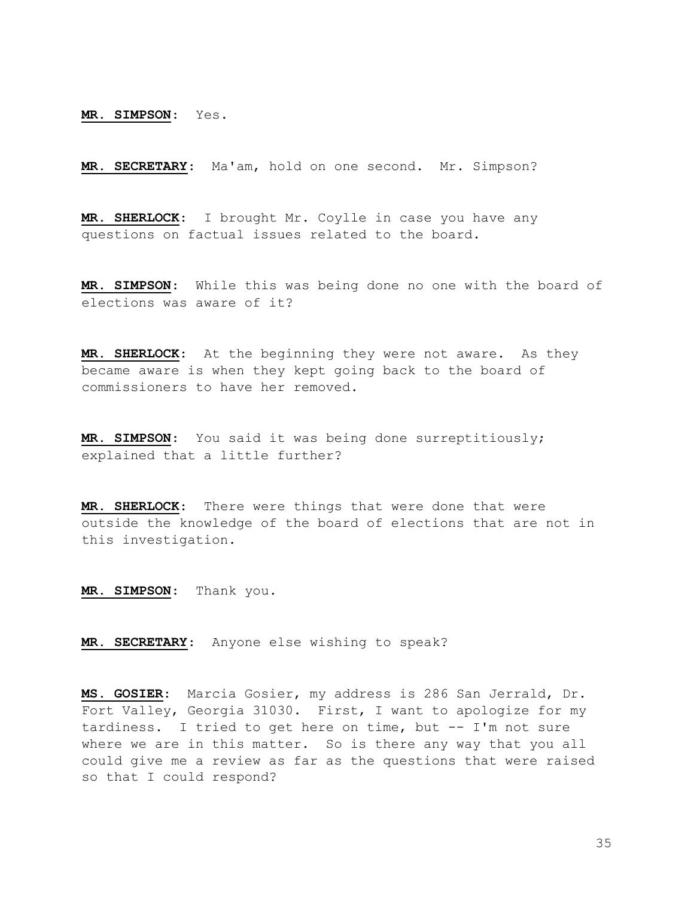MR. SIMPSON: Yes.

MR. SECRETARY: Ma'am, hold on one second. Mr. Simpson?

MR. SHERLOCK: I brought Mr. Coylle in case you have any questions on factual issues related to the board.

MR. SIMPSON: While this was being done no one with the board of elections was aware of it?

MR. SHERLOCK: At the beginning they were not aware. As they became aware is when they kept going back to the board of commissioners to have her removed.

MR. SIMPSON: You said it was being done surreptitiously; explained that a little further?

MR. SHERLOCK: There were things that were done that were outside the knowledge of the board of elections that are not in this investigation.

MR. SIMPSON: Thank you.

MR. SECRETARY: Anyone else wishing to speak?

MS. GOSIER: Marcia Gosier, my address is 286 San Jerrald, Dr. Fort Valley, Georgia 31030. First, I want to apologize for my tardiness. I tried to get here on time, but -- I'm not sure where we are in this matter. So is there any way that you all could give me a review as far as the questions that were raised so that I could respond?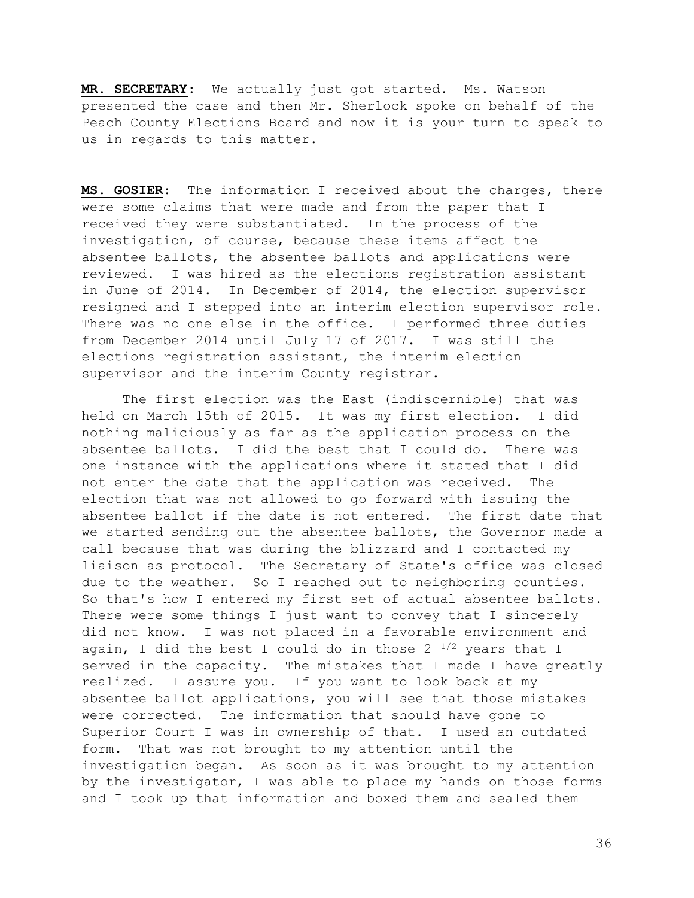MR. SECRETARY: We actually just got started. Ms. Watson presented the case and then Mr. Sherlock spoke on behalf of the Peach County Elections Board and now it is your turn to speak to us in regards to this matter.

MS. GOSIER: The information I received about the charges, there were some claims that were made and from the paper that I received they were substantiated. In the process of the investigation, of course, because these items affect the absentee ballots, the absentee ballots and applications were reviewed. I was hired as the elections registration assistant in June of 2014. In December of 2014, the election supervisor resigned and I stepped into an interim election supervisor role. There was no one else in the office. I performed three duties from December 2014 until July 17 of 2017. I was still the elections registration assistant, the interim election supervisor and the interim County registrar.

 The first election was the East (indiscernible) that was held on March 15th of 2015. It was my first election. I did nothing maliciously as far as the application process on the absentee ballots. I did the best that I could do. There was one instance with the applications where it stated that I did not enter the date that the application was received. The election that was not allowed to go forward with issuing the absentee ballot if the date is not entered. The first date that we started sending out the absentee ballots, the Governor made a call because that was during the blizzard and I contacted my liaison as protocol. The Secretary of State's office was closed due to the weather. So I reached out to neighboring counties. So that's how I entered my first set of actual absentee ballots. There were some things I just want to convey that I sincerely did not know. I was not placed in a favorable environment and again, I did the best I could do in those 2  $^{1/2}$  years that I served in the capacity. The mistakes that I made I have greatly realized. I assure you. If you want to look back at my absentee ballot applications, you will see that those mistakes were corrected. The information that should have gone to Superior Court I was in ownership of that. I used an outdated form. That was not brought to my attention until the investigation began. As soon as it was brought to my attention by the investigator, I was able to place my hands on those forms and I took up that information and boxed them and sealed them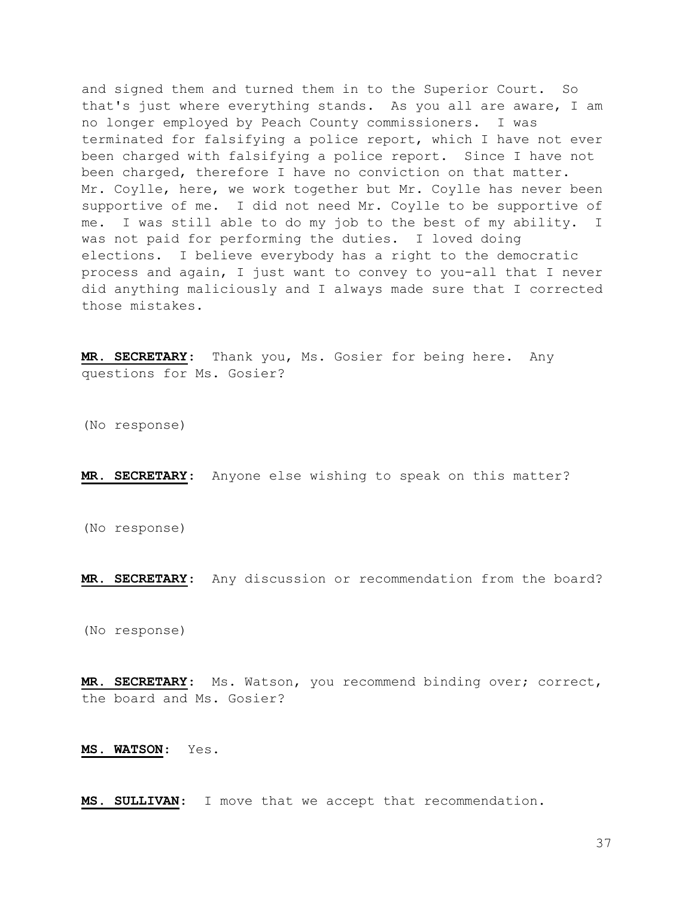and signed them and turned them in to the Superior Court. So that's just where everything stands. As you all are aware, I am no longer employed by Peach County commissioners. I was terminated for falsifying a police report, which I have not ever been charged with falsifying a police report. Since I have not been charged, therefore I have no conviction on that matter. Mr. Coylle, here, we work together but Mr. Coylle has never been supportive of me. I did not need Mr. Coylle to be supportive of me. I was still able to do my job to the best of my ability. I was not paid for performing the duties. I loved doing elections. I believe everybody has a right to the democratic process and again, I just want to convey to you-all that I never did anything maliciously and I always made sure that I corrected those mistakes.

MR. SECRETARY: Thank you, Ms. Gosier for being here. Any questions for Ms. Gosier?

(No response)

MR. SECRETARY: Anyone else wishing to speak on this matter?

(No response)

MR. SECRETARY: Any discussion or recommendation from the board?

(No response)

MR. SECRETARY: Ms. Watson, you recommend binding over; correct, the board and Ms. Gosier?

MS. WATSON: Yes.

MS. SULLIVAN: I move that we accept that recommendation.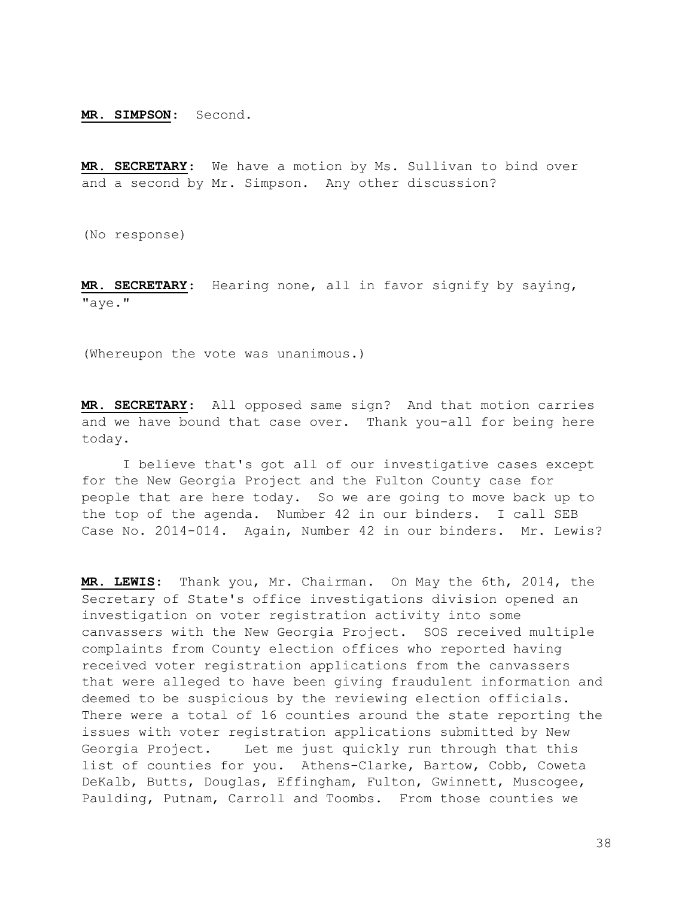MR. SIMPSON: Second.

MR. SECRETARY: We have a motion by Ms. Sullivan to bind over and a second by Mr. Simpson. Any other discussion?

(No response)

MR. SECRETARY: Hearing none, all in favor signify by saying, "aye."

(Whereupon the vote was unanimous.)

MR. SECRETARY: All opposed same sign? And that motion carries and we have bound that case over. Thank you-all for being here today.

 I believe that's got all of our investigative cases except for the New Georgia Project and the Fulton County case for people that are here today. So we are going to move back up to the top of the agenda. Number 42 in our binders. I call SEB Case No. 2014-014. Again, Number 42 in our binders. Mr. Lewis?

MR. LEWIS: Thank you, Mr. Chairman. On May the 6th, 2014, the Secretary of State's office investigations division opened an investigation on voter registration activity into some canvassers with the New Georgia Project. SOS received multiple complaints from County election offices who reported having received voter registration applications from the canvassers that were alleged to have been giving fraudulent information and deemed to be suspicious by the reviewing election officials. There were a total of 16 counties around the state reporting the issues with voter registration applications submitted by New Georgia Project. Let me just quickly run through that this list of counties for you. Athens-Clarke, Bartow, Cobb, Coweta DeKalb, Butts, Douglas, Effingham, Fulton, Gwinnett, Muscogee, Paulding, Putnam, Carroll and Toombs. From those counties we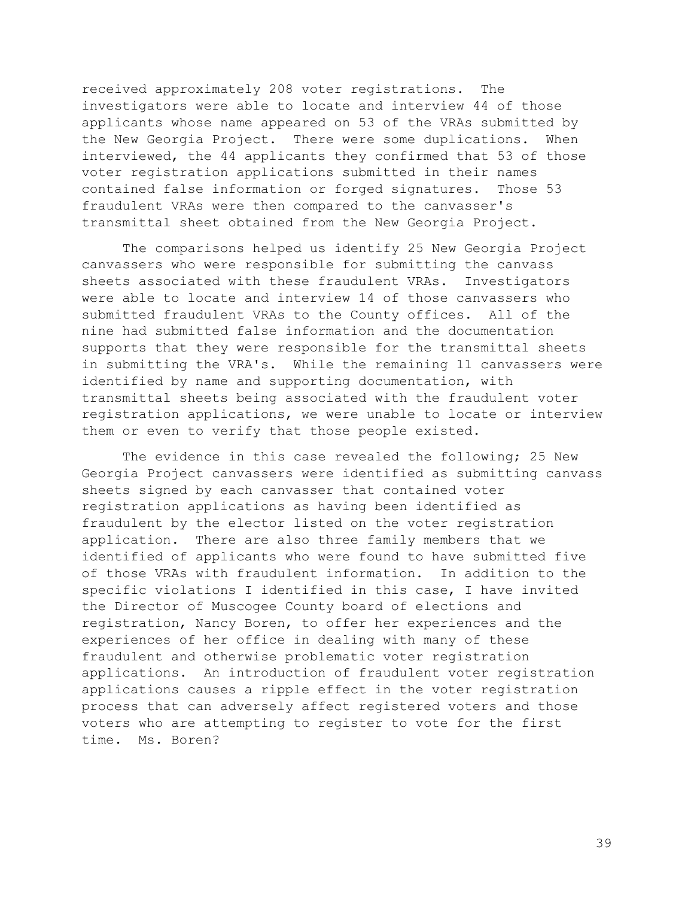received approximately 208 voter registrations. The investigators were able to locate and interview 44 of those applicants whose name appeared on 53 of the VRAs submitted by the New Georgia Project. There were some duplications. When interviewed, the 44 applicants they confirmed that 53 of those voter registration applications submitted in their names contained false information or forged signatures. Those 53 fraudulent VRAs were then compared to the canvasser's transmittal sheet obtained from the New Georgia Project.

 The comparisons helped us identify 25 New Georgia Project canvassers who were responsible for submitting the canvass sheets associated with these fraudulent VRAs. Investigators were able to locate and interview 14 of those canvassers who submitted fraudulent VRAs to the County offices. All of the nine had submitted false information and the documentation supports that they were responsible for the transmittal sheets in submitting the VRA's. While the remaining 11 canvassers were identified by name and supporting documentation, with transmittal sheets being associated with the fraudulent voter registration applications, we were unable to locate or interview them or even to verify that those people existed.

 The evidence in this case revealed the following; 25 New Georgia Project canvassers were identified as submitting canvass sheets signed by each canvasser that contained voter registration applications as having been identified as fraudulent by the elector listed on the voter registration application. There are also three family members that we identified of applicants who were found to have submitted five of those VRAs with fraudulent information. In addition to the specific violations I identified in this case, I have invited the Director of Muscogee County board of elections and registration, Nancy Boren, to offer her experiences and the experiences of her office in dealing with many of these fraudulent and otherwise problematic voter registration applications. An introduction of fraudulent voter registration applications causes a ripple effect in the voter registration process that can adversely affect registered voters and those voters who are attempting to register to vote for the first time. Ms. Boren?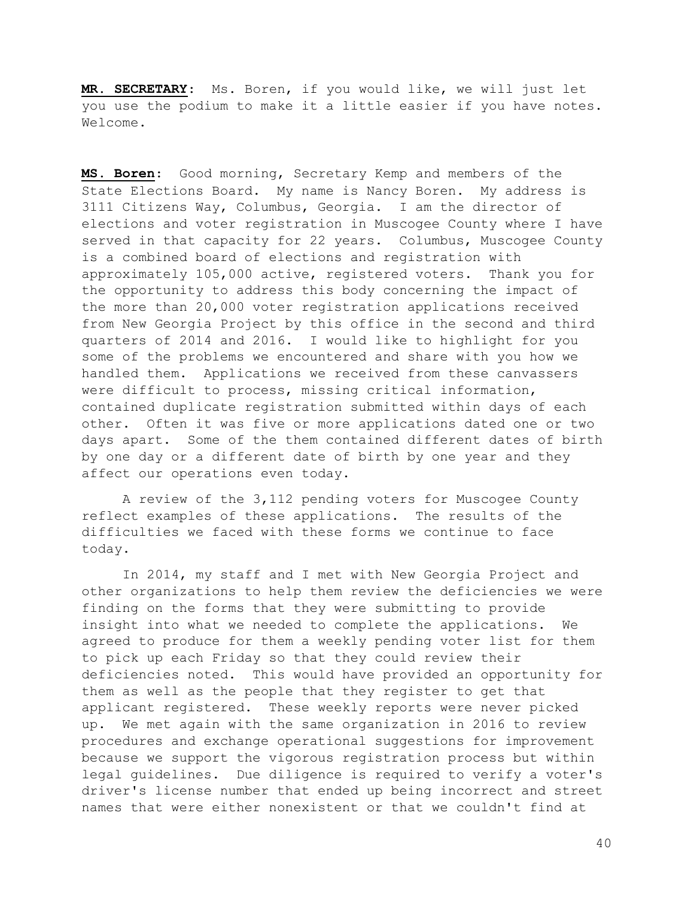MR. SECRETARY: Ms. Boren, if you would like, we will just let you use the podium to make it a little easier if you have notes. Welcome.

MS. Boren: Good morning, Secretary Kemp and members of the State Elections Board. My name is Nancy Boren. My address is 3111 Citizens Way, Columbus, Georgia. I am the director of elections and voter registration in Muscogee County where I have served in that capacity for 22 years. Columbus, Muscogee County is a combined board of elections and registration with approximately 105,000 active, registered voters. Thank you for the opportunity to address this body concerning the impact of the more than 20,000 voter registration applications received from New Georgia Project by this office in the second and third quarters of 2014 and 2016. I would like to highlight for you some of the problems we encountered and share with you how we handled them. Applications we received from these canvassers were difficult to process, missing critical information, contained duplicate registration submitted within days of each other. Often it was five or more applications dated one or two days apart. Some of the them contained different dates of birth by one day or a different date of birth by one year and they affect our operations even today.

 A review of the 3,112 pending voters for Muscogee County reflect examples of these applications. The results of the difficulties we faced with these forms we continue to face today.

 In 2014, my staff and I met with New Georgia Project and other organizations to help them review the deficiencies we were finding on the forms that they were submitting to provide insight into what we needed to complete the applications. We agreed to produce for them a weekly pending voter list for them to pick up each Friday so that they could review their deficiencies noted. This would have provided an opportunity for them as well as the people that they register to get that applicant registered. These weekly reports were never picked up. We met again with the same organization in 2016 to review procedures and exchange operational suggestions for improvement because we support the vigorous registration process but within legal guidelines. Due diligence is required to verify a voter's driver's license number that ended up being incorrect and street names that were either nonexistent or that we couldn't find at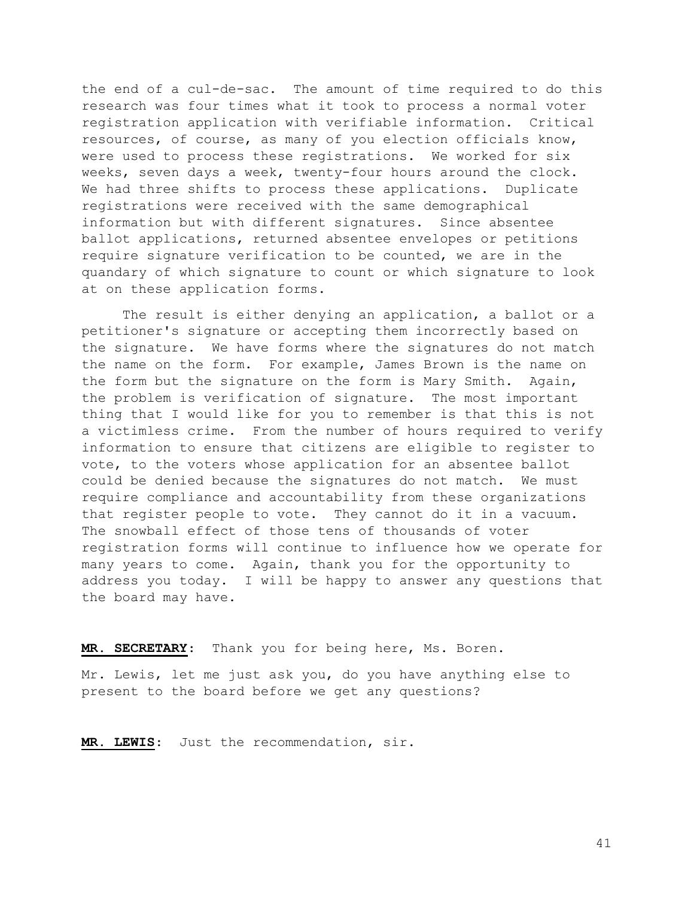the end of a cul-de-sac. The amount of time required to do this research was four times what it took to process a normal voter registration application with verifiable information. Critical resources, of course, as many of you election officials know, were used to process these registrations. We worked for six weeks, seven days a week, twenty-four hours around the clock. We had three shifts to process these applications. Duplicate registrations were received with the same demographical information but with different signatures. Since absentee ballot applications, returned absentee envelopes or petitions require signature verification to be counted, we are in the quandary of which signature to count or which signature to look at on these application forms.

 The result is either denying an application, a ballot or a petitioner's signature or accepting them incorrectly based on the signature. We have forms where the signatures do not match the name on the form. For example, James Brown is the name on the form but the signature on the form is Mary Smith. Again, the problem is verification of signature. The most important thing that I would like for you to remember is that this is not a victimless crime. From the number of hours required to verify information to ensure that citizens are eligible to register to vote, to the voters whose application for an absentee ballot could be denied because the signatures do not match. We must require compliance and accountability from these organizations that register people to vote. They cannot do it in a vacuum. The snowball effect of those tens of thousands of voter registration forms will continue to influence how we operate for many years to come. Again, thank you for the opportunity to address you today. I will be happy to answer any questions that the board may have.

MR. SECRETARY: Thank you for being here, Ms. Boren.

Mr. Lewis, let me just ask you, do you have anything else to present to the board before we get any questions?

MR. LEWIS: Just the recommendation, sir.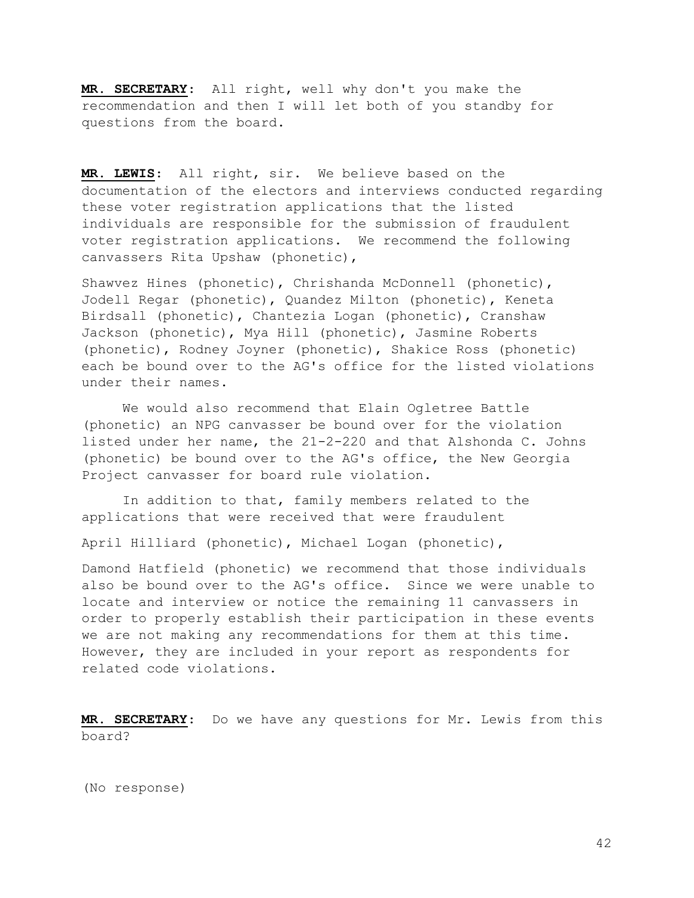MR. SECRETARY: All right, well why don't you make the recommendation and then I will let both of you standby for questions from the board.

MR. LEWIS: All right, sir. We believe based on the documentation of the electors and interviews conducted regarding these voter registration applications that the listed individuals are responsible for the submission of fraudulent voter registration applications. We recommend the following canvassers Rita Upshaw (phonetic),

Shawvez Hines (phonetic), Chrishanda McDonnell (phonetic), Jodell Regar (phonetic), Quandez Milton (phonetic), Keneta Birdsall (phonetic), Chantezia Logan (phonetic), Cranshaw Jackson (phonetic), Mya Hill (phonetic), Jasmine Roberts (phonetic), Rodney Joyner (phonetic), Shakice Ross (phonetic) each be bound over to the AG's office for the listed violations under their names.

 We would also recommend that Elain Ogletree Battle (phonetic) an NPG canvasser be bound over for the violation listed under her name, the 21-2-220 and that Alshonda C. Johns (phonetic) be bound over to the AG's office, the New Georgia Project canvasser for board rule violation.

 In addition to that, family members related to the applications that were received that were fraudulent

April Hilliard (phonetic), Michael Logan (phonetic),

Damond Hatfield (phonetic) we recommend that those individuals also be bound over to the AG's office. Since we were unable to locate and interview or notice the remaining 11 canvassers in order to properly establish their participation in these events we are not making any recommendations for them at this time. However, they are included in your report as respondents for related code violations.

MR. SECRETARY: Do we have any questions for Mr. Lewis from this board?

(No response)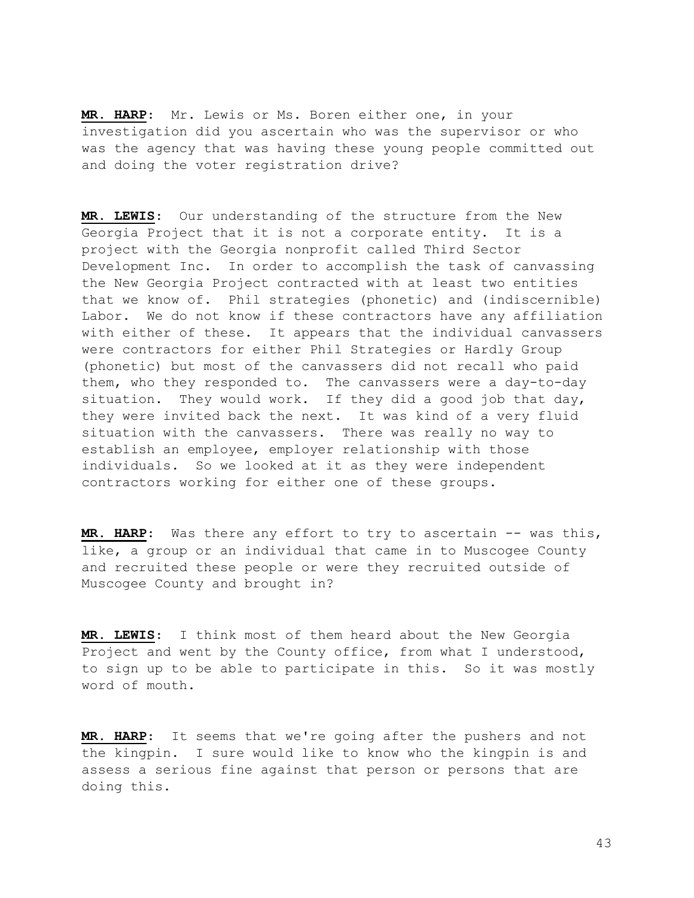MR. HARP: Mr. Lewis or Ms. Boren either one, in your investigation did you ascertain who was the supervisor or who was the agency that was having these young people committed out and doing the voter registration drive?

MR. LEWIS: Our understanding of the structure from the New Georgia Project that it is not a corporate entity. It is a project with the Georgia nonprofit called Third Sector Development Inc. In order to accomplish the task of canvassing the New Georgia Project contracted with at least two entities that we know of. Phil strategies (phonetic) and (indiscernible) Labor. We do not know if these contractors have any affiliation with either of these. It appears that the individual canvassers were contractors for either Phil Strategies or Hardly Group (phonetic) but most of the canvassers did not recall who paid them, who they responded to. The canvassers were a day-to-day situation. They would work. If they did a good job that day, they were invited back the next. It was kind of a very fluid situation with the canvassers. There was really no way to establish an employee, employer relationship with those individuals. So we looked at it as they were independent contractors working for either one of these groups.

MR. HARP: Was there any effort to try to ascertain -- was this, like, a group or an individual that came in to Muscogee County and recruited these people or were they recruited outside of Muscogee County and brought in?

MR. LEWIS: I think most of them heard about the New Georgia Project and went by the County office, from what I understood, to sign up to be able to participate in this. So it was mostly word of mouth.

MR. HARP: It seems that we're going after the pushers and not the kingpin. I sure would like to know who the kingpin is and assess a serious fine against that person or persons that are doing this.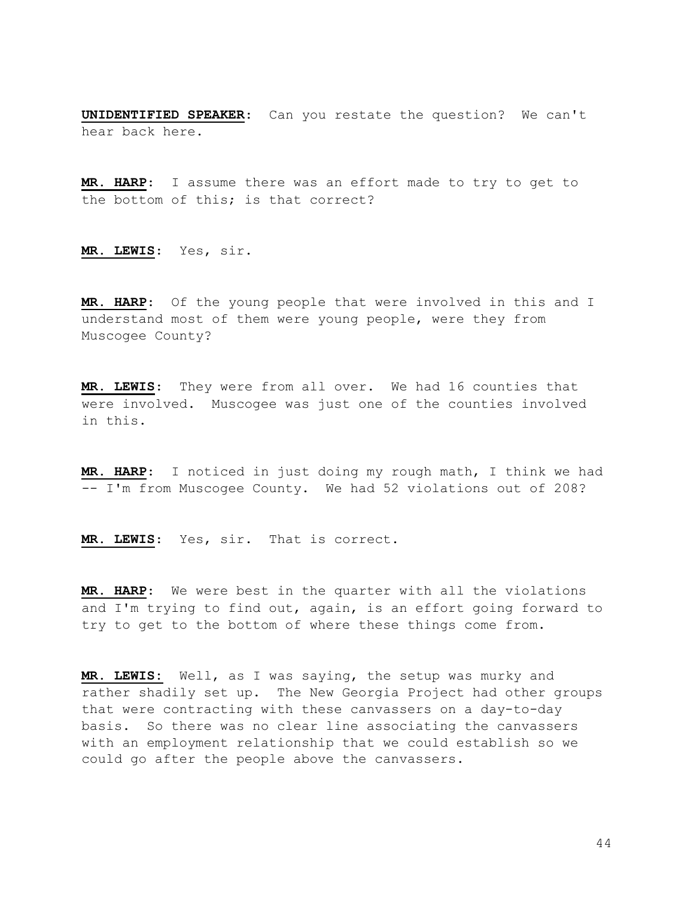UNIDENTIFIED SPEAKER: Can you restate the question? We can't hear back here.

MR. HARP: I assume there was an effort made to try to get to the bottom of this; is that correct?

MR. LEWIS: Yes, sir.

MR. HARP: Of the young people that were involved in this and I understand most of them were young people, were they from Muscogee County?

MR. LEWIS: They were from all over. We had 16 counties that were involved. Muscogee was just one of the counties involved in this.

MR. HARP: I noticed in just doing my rough math, I think we had -- I'm from Muscogee County. We had 52 violations out of 208?

MR. LEWIS: Yes, sir. That is correct.

MR. HARP: We were best in the quarter with all the violations and I'm trying to find out, again, is an effort going forward to try to get to the bottom of where these things come from.

MR. LEWIS: Well, as I was saying, the setup was murky and rather shadily set up. The New Georgia Project had other groups that were contracting with these canvassers on a day-to-day basis. So there was no clear line associating the canvassers with an employment relationship that we could establish so we could go after the people above the canvassers.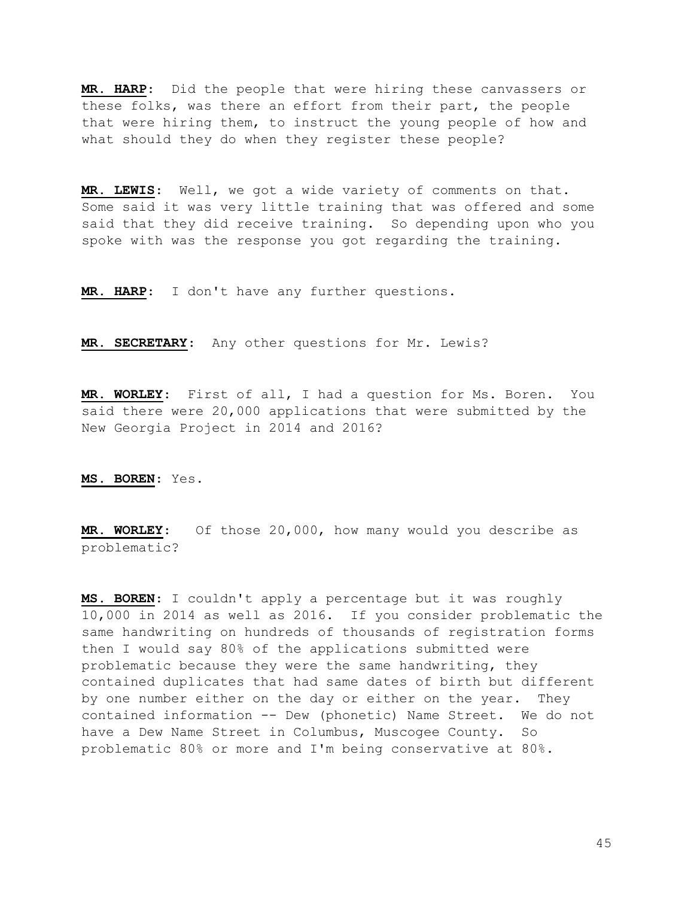MR. HARP: Did the people that were hiring these canvassers or these folks, was there an effort from their part, the people that were hiring them, to instruct the young people of how and what should they do when they register these people?

MR. LEWIS: Well, we got a wide variety of comments on that. Some said it was very little training that was offered and some said that they did receive training. So depending upon who you spoke with was the response you got regarding the training.

MR. HARP: I don't have any further questions.

MR. SECRETARY: Any other questions for Mr. Lewis?

MR. WORLEY: First of all, I had a question for Ms. Boren. You said there were 20,000 applications that were submitted by the New Georgia Project in 2014 and 2016?

MS. BOREN: Yes.

MR. WORLEY: Of those 20,000, how many would you describe as problematic?

MS. BOREN: I couldn't apply a percentage but it was roughly 10,000 in 2014 as well as 2016. If you consider problematic the same handwriting on hundreds of thousands of registration forms then I would say 80% of the applications submitted were problematic because they were the same handwriting, they contained duplicates that had same dates of birth but different by one number either on the day or either on the year. They contained information -- Dew (phonetic) Name Street. We do not have a Dew Name Street in Columbus, Muscogee County. So problematic 80% or more and I'm being conservative at 80%.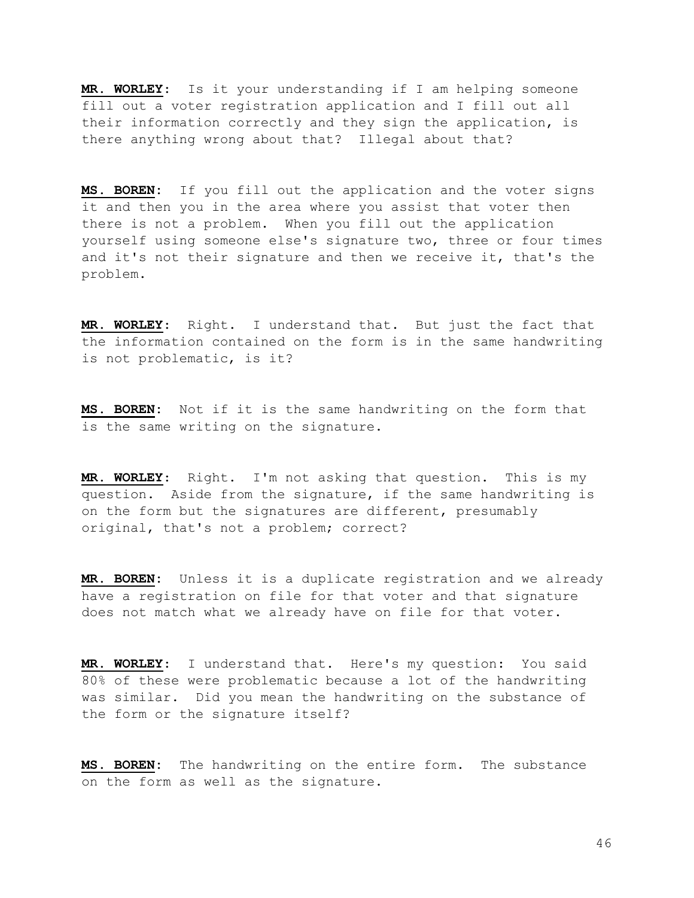MR. WORLEY: Is it your understanding if I am helping someone fill out a voter registration application and I fill out all their information correctly and they sign the application, is there anything wrong about that? Illegal about that?

MS. BOREN: If you fill out the application and the voter signs it and then you in the area where you assist that voter then there is not a problem. When you fill out the application yourself using someone else's signature two, three or four times and it's not their signature and then we receive it, that's the problem.

MR. WORLEY: Right. I understand that. But just the fact that the information contained on the form is in the same handwriting is not problematic, is it?

MS. BOREN: Not if it is the same handwriting on the form that is the same writing on the signature.

MR. WORLEY: Right. I'm not asking that question. This is my question. Aside from the signature, if the same handwriting is on the form but the signatures are different, presumably original, that's not a problem; correct?

MR. BOREN: Unless it is a duplicate registration and we already have a registration on file for that voter and that signature does not match what we already have on file for that voter.

MR. WORLEY: I understand that. Here's my question: You said 80% of these were problematic because a lot of the handwriting was similar. Did you mean the handwriting on the substance of the form or the signature itself?

MS. BOREN: The handwriting on the entire form. The substance on the form as well as the signature.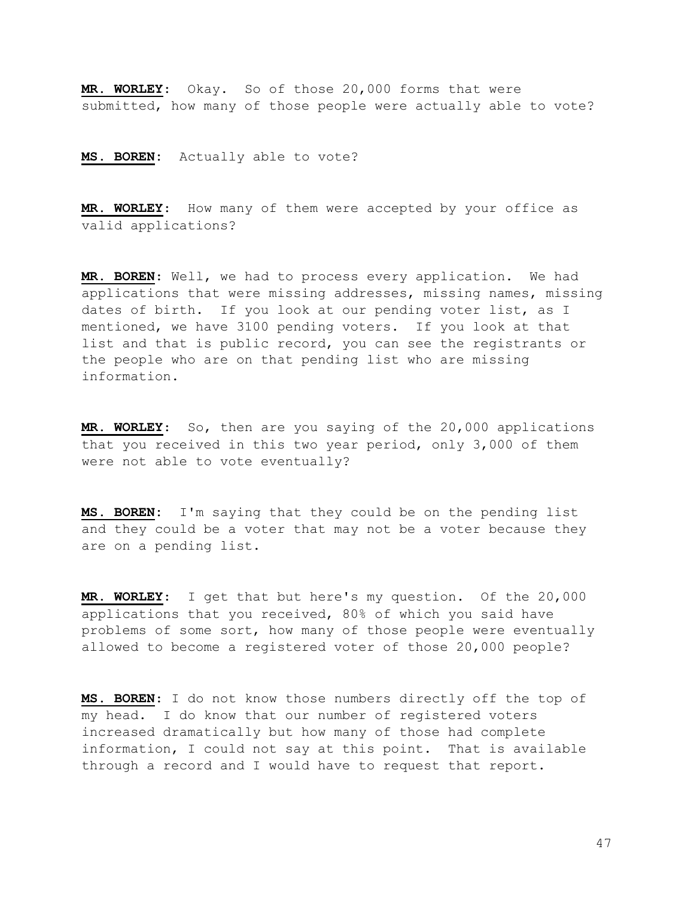MR. WORLEY: Okay. So of those 20,000 forms that were submitted, how many of those people were actually able to vote?

MS. BOREN: Actually able to vote?

MR. WORLEY: How many of them were accepted by your office as valid applications?

MR. BOREN: Well, we had to process every application. We had applications that were missing addresses, missing names, missing dates of birth. If you look at our pending voter list, as I mentioned, we have 3100 pending voters. If you look at that list and that is public record, you can see the registrants or the people who are on that pending list who are missing information.

MR. WORLEY: So, then are you saying of the 20,000 applications that you received in this two year period, only 3,000 of them were not able to vote eventually?

MS. BOREN: I'm saying that they could be on the pending list and they could be a voter that may not be a voter because they are on a pending list.

MR. WORLEY: I get that but here's my question. Of the 20,000 applications that you received, 80% of which you said have problems of some sort, how many of those people were eventually allowed to become a registered voter of those 20,000 people?

MS. BOREN: I do not know those numbers directly off the top of my head. I do know that our number of registered voters increased dramatically but how many of those had complete information, I could not say at this point. That is available through a record and I would have to request that report.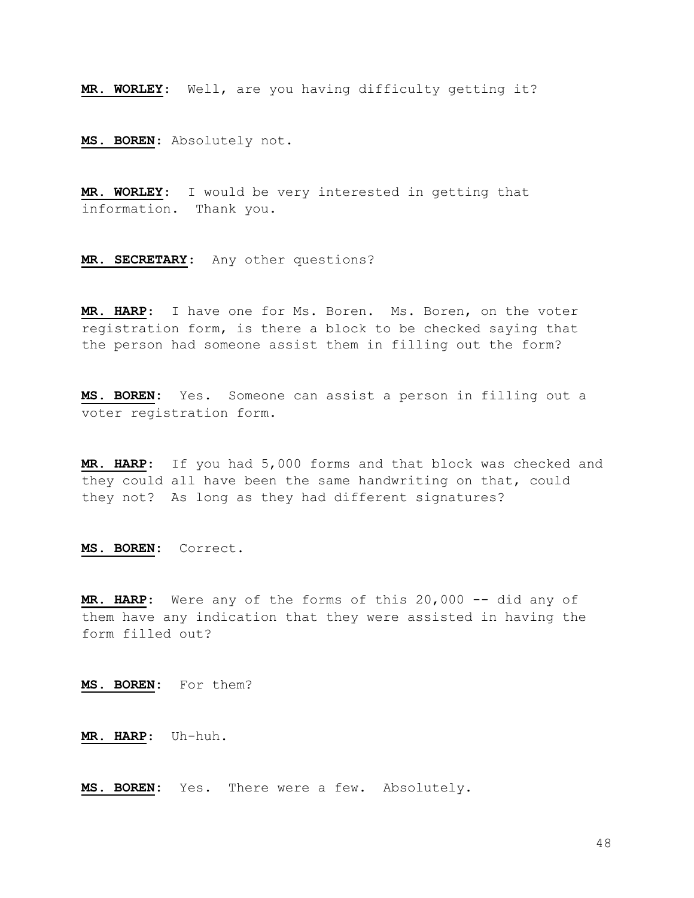MR. WORLEY: Well, are you having difficulty getting it?

MS. BOREN: Absolutely not.

MR. WORLEY: I would be very interested in getting that information. Thank you.

MR. SECRETARY: Any other questions?

MR. HARP: I have one for Ms. Boren. Ms. Boren, on the voter registration form, is there a block to be checked saying that the person had someone assist them in filling out the form?

MS. BOREN: Yes. Someone can assist a person in filling out a voter registration form.

MR. HARP: If you had 5,000 forms and that block was checked and they could all have been the same handwriting on that, could they not? As long as they had different signatures?

MS. BOREN: Correct.

MR. HARP: Were any of the forms of this 20,000 -- did any of them have any indication that they were assisted in having the form filled out?

MS. BOREN: For them?

MR. HARP: Uh-huh.

MS. BOREN: Yes. There were a few. Absolutely.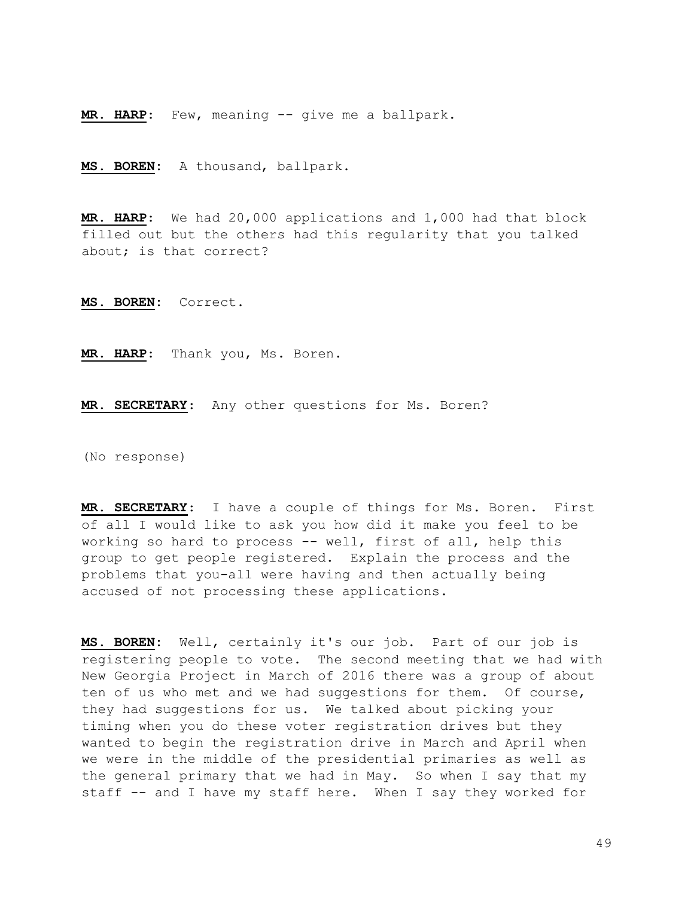MR. HARP: Few, meaning -- give me a ballpark.

MS. BOREN: A thousand, ballpark.

MR. HARP: We had 20,000 applications and 1,000 had that block filled out but the others had this regularity that you talked about; is that correct?

MS. BOREN: Correct.

MR. HARP: Thank you, Ms. Boren.

MR. SECRETARY: Any other questions for Ms. Boren?

(No response)

MR. SECRETARY: I have a couple of things for Ms. Boren. First of all I would like to ask you how did it make you feel to be working so hard to process -- well, first of all, help this group to get people registered. Explain the process and the problems that you-all were having and then actually being accused of not processing these applications.

MS. BOREN: Well, certainly it's our job. Part of our job is registering people to vote. The second meeting that we had with New Georgia Project in March of 2016 there was a group of about ten of us who met and we had suggestions for them. Of course, they had suggestions for us. We talked about picking your timing when you do these voter registration drives but they wanted to begin the registration drive in March and April when we were in the middle of the presidential primaries as well as the general primary that we had in May. So when I say that my staff -- and I have my staff here. When I say they worked for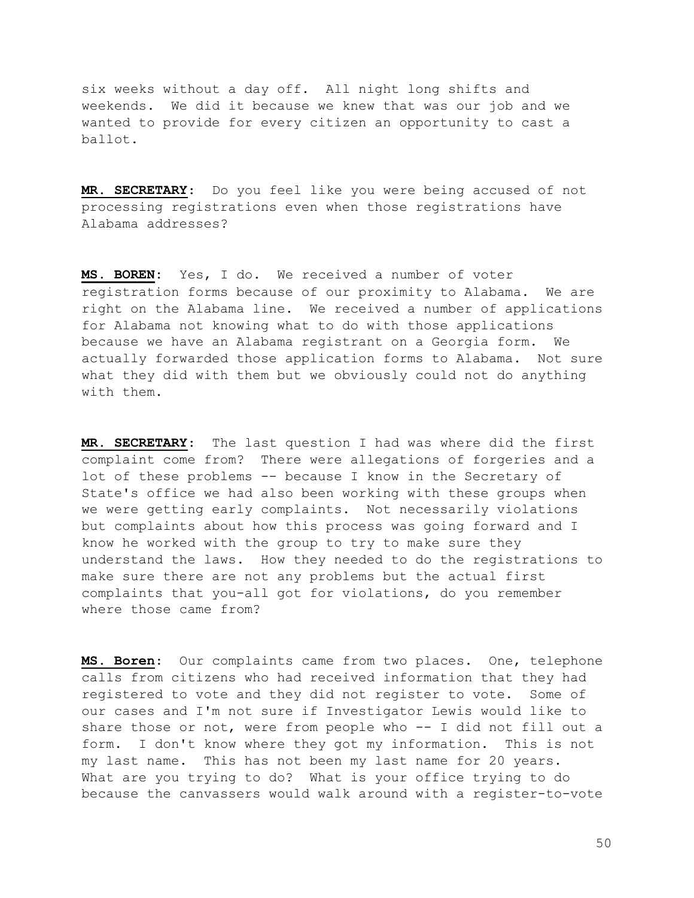six weeks without a day off. All night long shifts and weekends. We did it because we knew that was our job and we wanted to provide for every citizen an opportunity to cast a ballot.

MR. SECRETARY: Do you feel like you were being accused of not processing registrations even when those registrations have Alabama addresses?

MS. BOREN: Yes, I do. We received a number of voter registration forms because of our proximity to Alabama. We are right on the Alabama line. We received a number of applications for Alabama not knowing what to do with those applications because we have an Alabama registrant on a Georgia form. We actually forwarded those application forms to Alabama. Not sure what they did with them but we obviously could not do anything with them.

MR. SECRETARY: The last question I had was where did the first complaint come from? There were allegations of forgeries and a lot of these problems -- because I know in the Secretary of State's office we had also been working with these groups when we were getting early complaints. Not necessarily violations but complaints about how this process was going forward and I know he worked with the group to try to make sure they understand the laws. How they needed to do the registrations to make sure there are not any problems but the actual first complaints that you-all got for violations, do you remember where those came from?

MS. Boren: Our complaints came from two places. One, telephone calls from citizens who had received information that they had registered to vote and they did not register to vote. Some of our cases and I'm not sure if Investigator Lewis would like to share those or not, were from people who -- I did not fill out a form. I don't know where they got my information. This is not my last name. This has not been my last name for 20 years. What are you trying to do? What is your office trying to do because the canvassers would walk around with a register-to-vote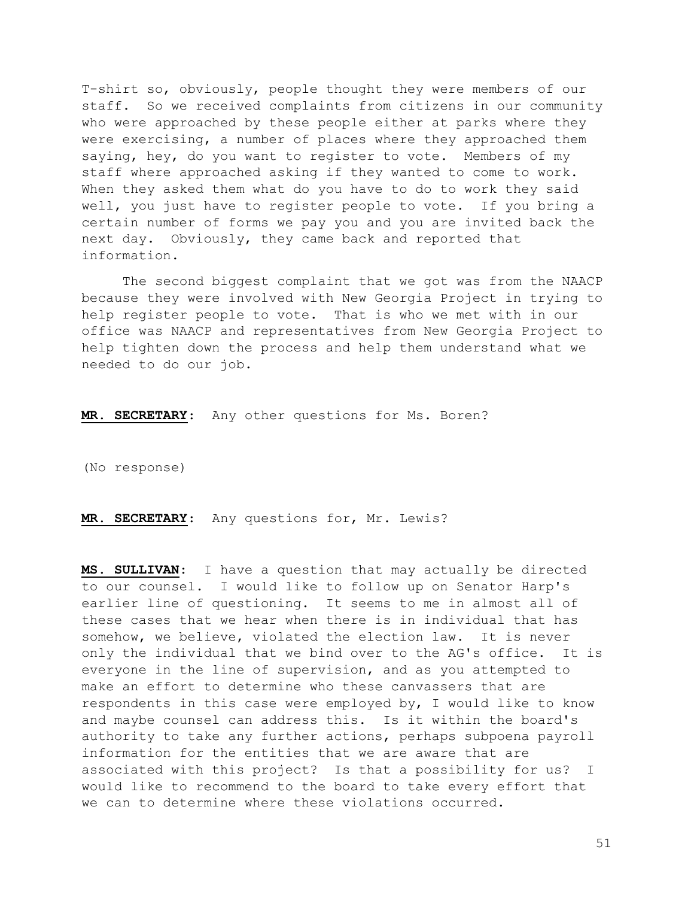T-shirt so, obviously, people thought they were members of our staff. So we received complaints from citizens in our community who were approached by these people either at parks where they were exercising, a number of places where they approached them saying, hey, do you want to register to vote. Members of my staff where approached asking if they wanted to come to work. When they asked them what do you have to do to work they said well, you just have to register people to vote. If you bring a certain number of forms we pay you and you are invited back the next day. Obviously, they came back and reported that information.

 The second biggest complaint that we got was from the NAACP because they were involved with New Georgia Project in trying to help register people to vote. That is who we met with in our office was NAACP and representatives from New Georgia Project to help tighten down the process and help them understand what we needed to do our job.

MR. SECRETARY: Any other questions for Ms. Boren?

(No response)

MR. SECRETARY: Any questions for, Mr. Lewis?

MS. SULLIVAN: I have a question that may actually be directed to our counsel. I would like to follow up on Senator Harp's earlier line of questioning. It seems to me in almost all of these cases that we hear when there is in individual that has somehow, we believe, violated the election law. It is never only the individual that we bind over to the AG's office. It is everyone in the line of supervision, and as you attempted to make an effort to determine who these canvassers that are respondents in this case were employed by, I would like to know and maybe counsel can address this. Is it within the board's authority to take any further actions, perhaps subpoena payroll information for the entities that we are aware that are associated with this project? Is that a possibility for us? I would like to recommend to the board to take every effort that we can to determine where these violations occurred.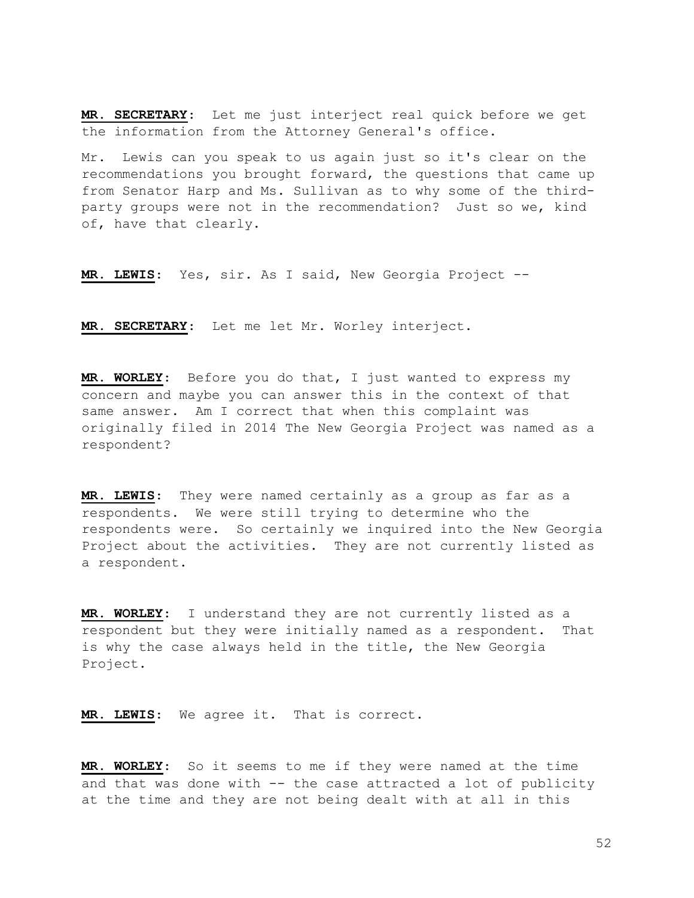MR. SECRETARY: Let me just interject real quick before we get the information from the Attorney General's office.

Mr. Lewis can you speak to us again just so it's clear on the recommendations you brought forward, the questions that came up from Senator Harp and Ms. Sullivan as to why some of the thirdparty groups were not in the recommendation? Just so we, kind of, have that clearly.

MR. LEWIS: Yes, sir. As I said, New Georgia Project --

MR. SECRETARY: Let me let Mr. Worley interject.

MR. WORLEY: Before you do that, I just wanted to express my concern and maybe you can answer this in the context of that same answer. Am I correct that when this complaint was originally filed in 2014 The New Georgia Project was named as a respondent?

MR. LEWIS: They were named certainly as a group as far as a respondents. We were still trying to determine who the respondents were. So certainly we inquired into the New Georgia Project about the activities. They are not currently listed as a respondent.

MR. WORLEY: I understand they are not currently listed as a respondent but they were initially named as a respondent. That is why the case always held in the title, the New Georgia Project.

MR. LEWIS: We agree it. That is correct.

MR. WORLEY: So it seems to me if they were named at the time and that was done with -- the case attracted a lot of publicity at the time and they are not being dealt with at all in this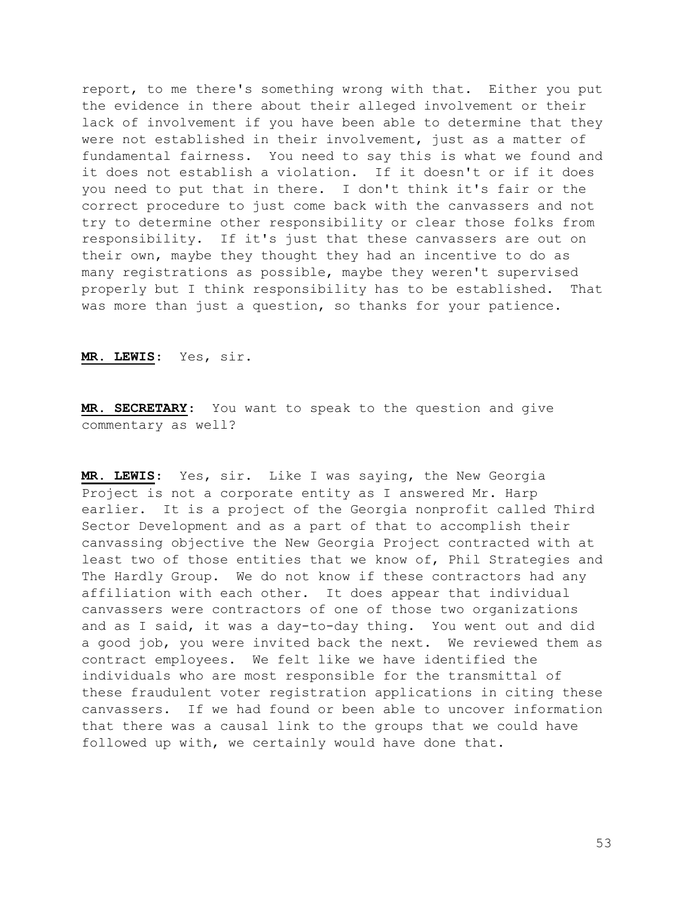report, to me there's something wrong with that. Either you put the evidence in there about their alleged involvement or their lack of involvement if you have been able to determine that they were not established in their involvement, just as a matter of fundamental fairness. You need to say this is what we found and it does not establish a violation. If it doesn't or if it does you need to put that in there. I don't think it's fair or the correct procedure to just come back with the canvassers and not try to determine other responsibility or clear those folks from responsibility. If it's just that these canvassers are out on their own, maybe they thought they had an incentive to do as many registrations as possible, maybe they weren't supervised properly but I think responsibility has to be established. That was more than just a question, so thanks for your patience.

MR. LEWIS: Yes, sir.

MR. SECRETARY: You want to speak to the question and give commentary as well?

MR. LEWIS: Yes, sir. Like I was saying, the New Georgia Project is not a corporate entity as I answered Mr. Harp earlier. It is a project of the Georgia nonprofit called Third Sector Development and as a part of that to accomplish their canvassing objective the New Georgia Project contracted with at least two of those entities that we know of, Phil Strategies and The Hardly Group. We do not know if these contractors had any affiliation with each other. It does appear that individual canvassers were contractors of one of those two organizations and as I said, it was a day-to-day thing. You went out and did a good job, you were invited back the next. We reviewed them as contract employees. We felt like we have identified the individuals who are most responsible for the transmittal of these fraudulent voter registration applications in citing these canvassers. If we had found or been able to uncover information that there was a causal link to the groups that we could have followed up with, we certainly would have done that.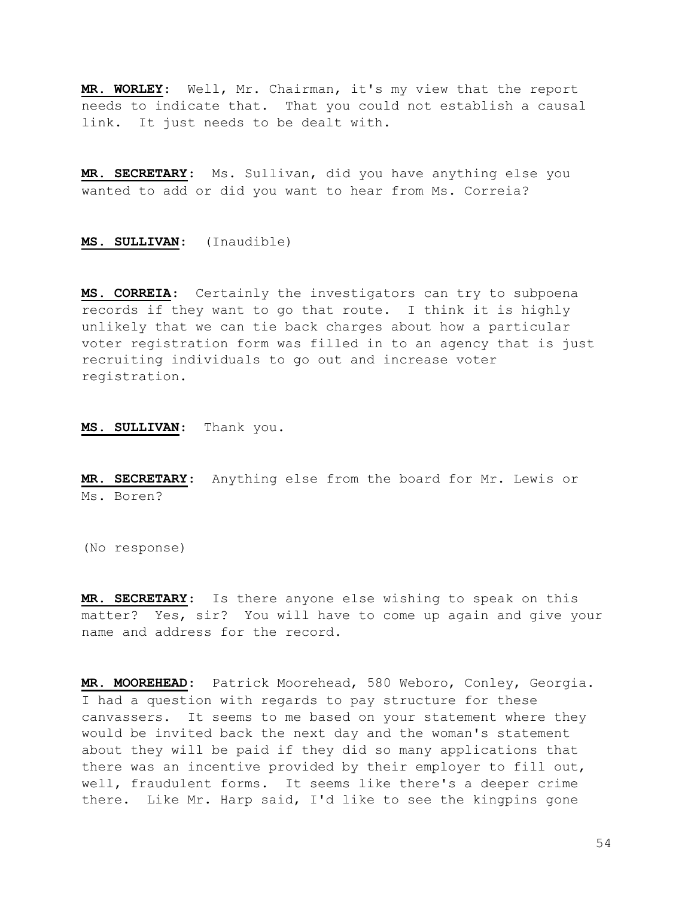MR. WORLEY: Well, Mr. Chairman, it's my view that the report needs to indicate that. That you could not establish a causal link. It just needs to be dealt with.

MR. SECRETARY: Ms. Sullivan, did you have anything else you wanted to add or did you want to hear from Ms. Correia?

MS. SULLIVAN: (Inaudible)

MS. CORREIA: Certainly the investigators can try to subpoena records if they want to go that route. I think it is highly unlikely that we can tie back charges about how a particular voter registration form was filled in to an agency that is just recruiting individuals to go out and increase voter registration.

MS. SULLIVAN: Thank you.

MR. SECRETARY: Anything else from the board for Mr. Lewis or Ms. Boren?

(No response)

MR. SECRETARY: Is there anyone else wishing to speak on this matter? Yes, sir? You will have to come up again and give your name and address for the record.

MR. MOOREHEAD: Patrick Moorehead, 580 Weboro, Conley, Georgia. I had a question with regards to pay structure for these canvassers. It seems to me based on your statement where they would be invited back the next day and the woman's statement about they will be paid if they did so many applications that there was an incentive provided by their employer to fill out, well, fraudulent forms. It seems like there's a deeper crime there. Like Mr. Harp said, I'd like to see the kingpins gone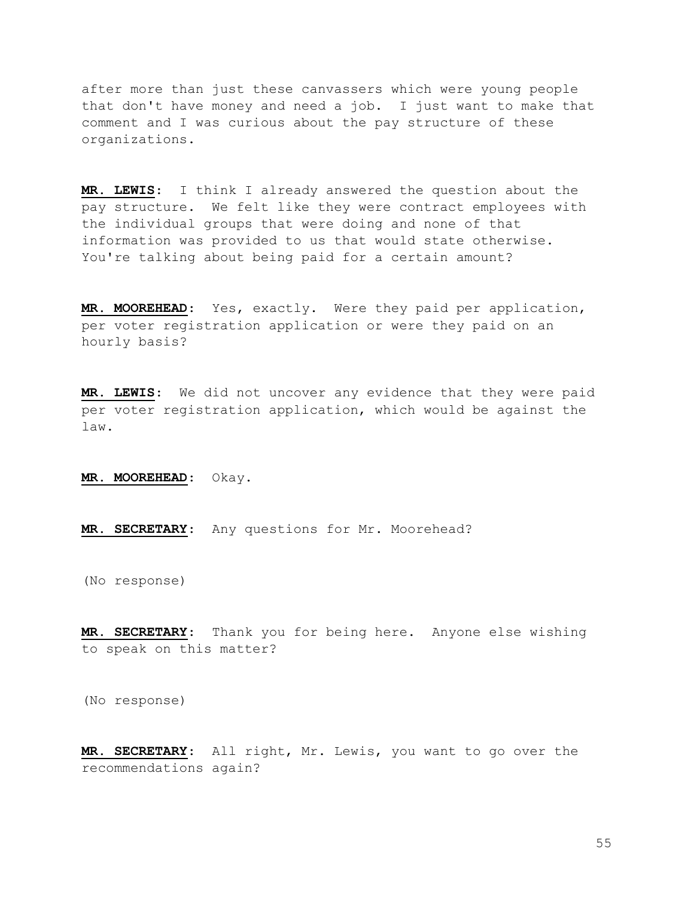after more than just these canvassers which were young people that don't have money and need a job. I just want to make that comment and I was curious about the pay structure of these organizations.

MR. LEWIS: I think I already answered the question about the pay structure. We felt like they were contract employees with the individual groups that were doing and none of that information was provided to us that would state otherwise. You're talking about being paid for a certain amount?

MR. MOOREHEAD: Yes, exactly. Were they paid per application, per voter registration application or were they paid on an hourly basis?

MR. LEWIS: We did not uncover any evidence that they were paid per voter registration application, which would be against the law.

MR. MOOREHEAD: Okay.

MR. SECRETARY: Any questions for Mr. Moorehead?

(No response)

MR. SECRETARY: Thank you for being here. Anyone else wishing to speak on this matter?

(No response)

MR. SECRETARY: All right, Mr. Lewis, you want to go over the recommendations again?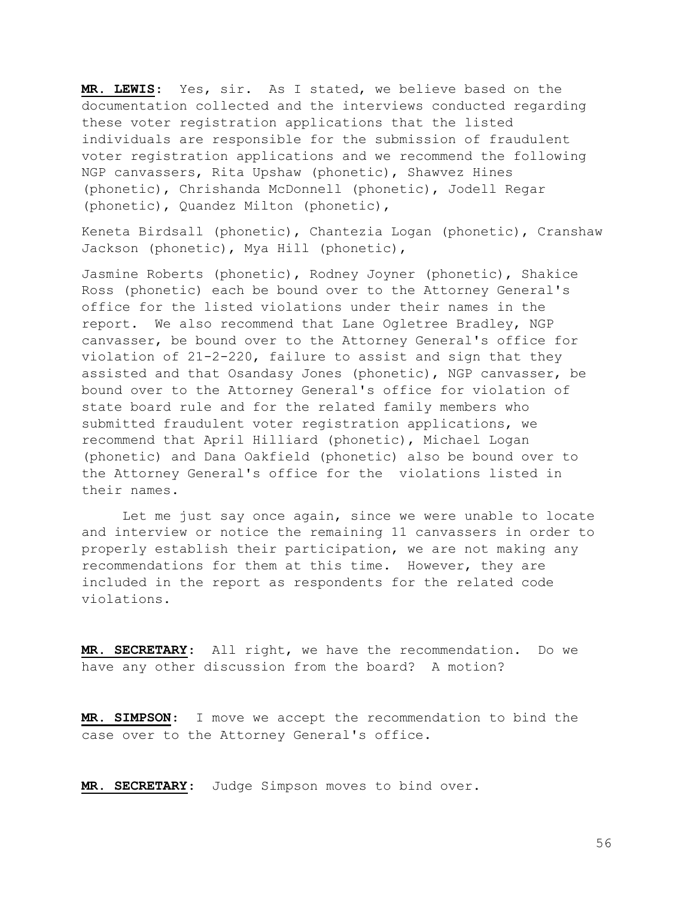MR. LEWIS: Yes, sir. As I stated, we believe based on the documentation collected and the interviews conducted regarding these voter registration applications that the listed individuals are responsible for the submission of fraudulent voter registration applications and we recommend the following NGP canvassers, Rita Upshaw (phonetic), Shawvez Hines (phonetic), Chrishanda McDonnell (phonetic), Jodell Regar (phonetic), Quandez Milton (phonetic),

Keneta Birdsall (phonetic), Chantezia Logan (phonetic), Cranshaw Jackson (phonetic), Mya Hill (phonetic),

Jasmine Roberts (phonetic), Rodney Joyner (phonetic), Shakice Ross (phonetic) each be bound over to the Attorney General's office for the listed violations under their names in the report. We also recommend that Lane Ogletree Bradley, NGP canvasser, be bound over to the Attorney General's office for violation of 21-2-220, failure to assist and sign that they assisted and that Osandasy Jones (phonetic), NGP canvasser, be bound over to the Attorney General's office for violation of state board rule and for the related family members who submitted fraudulent voter registration applications, we recommend that April Hilliard (phonetic), Michael Logan (phonetic) and Dana Oakfield (phonetic) also be bound over to the Attorney General's office for the violations listed in their names.

 Let me just say once again, since we were unable to locate and interview or notice the remaining 11 canvassers in order to properly establish their participation, we are not making any recommendations for them at this time. However, they are included in the report as respondents for the related code violations.

MR. SECRETARY: All right, we have the recommendation. Do we have any other discussion from the board? A motion?

MR. SIMPSON: I move we accept the recommendation to bind the case over to the Attorney General's office.

MR. SECRETARY: Judge Simpson moves to bind over.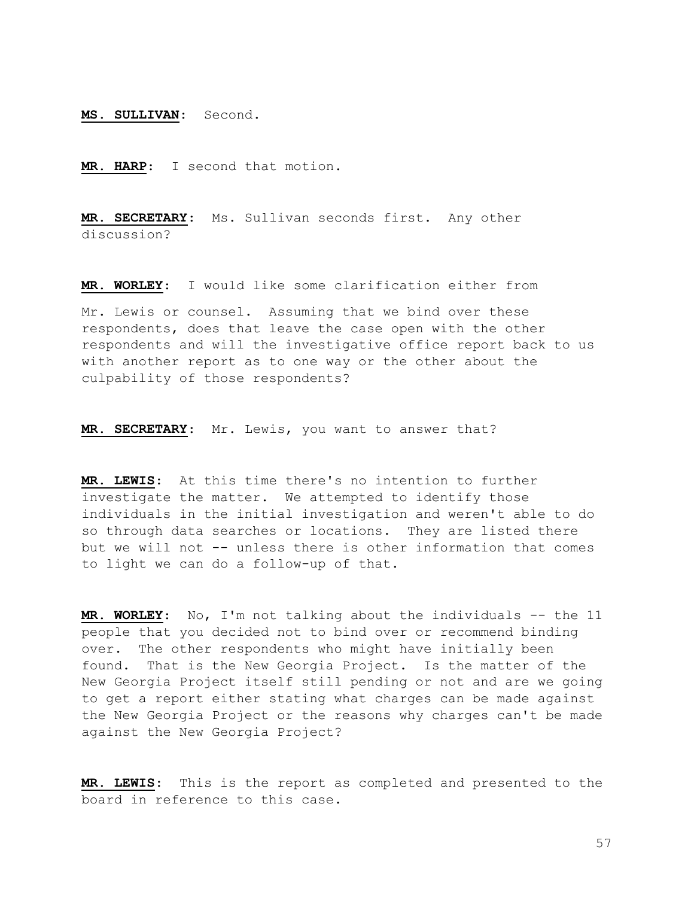MS. SULLIVAN: Second.

MR. HARP: I second that motion.

MR. SECRETARY: Ms. Sullivan seconds first. Any other discussion?

MR. WORLEY: I would like some clarification either from

Mr. Lewis or counsel. Assuming that we bind over these respondents, does that leave the case open with the other respondents and will the investigative office report back to us with another report as to one way or the other about the culpability of those respondents?

MR. SECRETARY: Mr. Lewis, you want to answer that?

MR. LEWIS: At this time there's no intention to further investigate the matter. We attempted to identify those individuals in the initial investigation and weren't able to do so through data searches or locations. They are listed there but we will not -- unless there is other information that comes to light we can do a follow-up of that.

MR. WORLEY: No, I'm not talking about the individuals -- the 11 people that you decided not to bind over or recommend binding over. The other respondents who might have initially been found. That is the New Georgia Project. Is the matter of the New Georgia Project itself still pending or not and are we going to get a report either stating what charges can be made against the New Georgia Project or the reasons why charges can't be made against the New Georgia Project?

MR. LEWIS: This is the report as completed and presented to the board in reference to this case.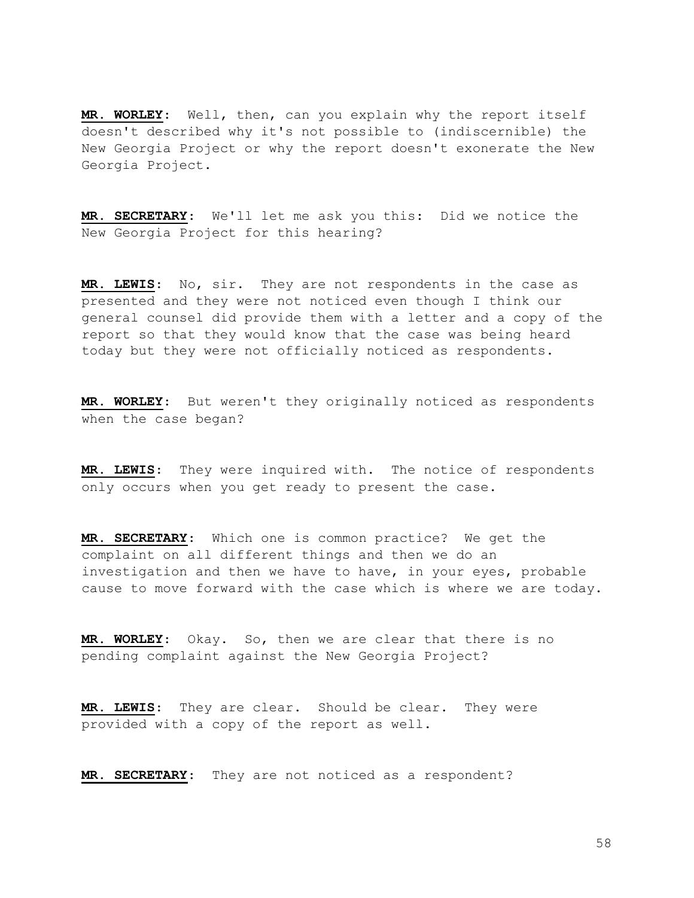MR. WORLEY: Well, then, can you explain why the report itself doesn't described why it's not possible to (indiscernible) the New Georgia Project or why the report doesn't exonerate the New Georgia Project.

MR. SECRETARY: We'll let me ask you this: Did we notice the New Georgia Project for this hearing?

MR. LEWIS: No, sir. They are not respondents in the case as presented and they were not noticed even though I think our general counsel did provide them with a letter and a copy of the report so that they would know that the case was being heard today but they were not officially noticed as respondents.

MR. WORLEY: But weren't they originally noticed as respondents when the case began?

MR. LEWIS: They were inquired with. The notice of respondents only occurs when you get ready to present the case.

MR. SECRETARY: Which one is common practice? We get the complaint on all different things and then we do an investigation and then we have to have, in your eyes, probable cause to move forward with the case which is where we are today.

MR. WORLEY: Okay. So, then we are clear that there is no pending complaint against the New Georgia Project?

MR. LEWIS: They are clear. Should be clear. They were provided with a copy of the report as well.

MR. SECRETARY: They are not noticed as a respondent?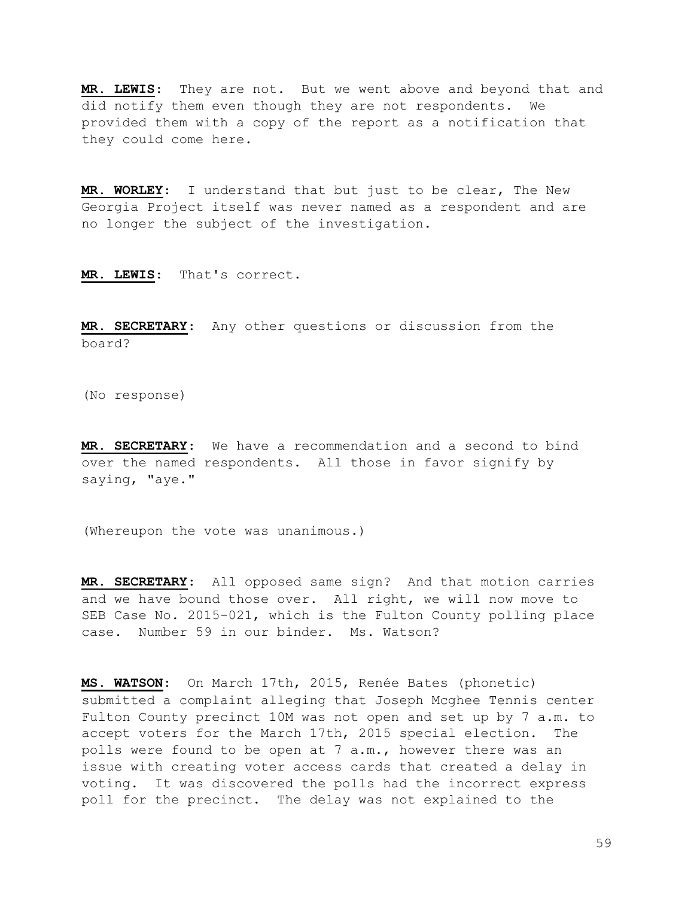MR. LEWIS: They are not. But we went above and beyond that and did notify them even though they are not respondents. We provided them with a copy of the report as a notification that they could come here.

MR. WORLEY: I understand that but just to be clear, The New Georgia Project itself was never named as a respondent and are no longer the subject of the investigation.

MR. LEWIS: That's correct.

MR. SECRETARY: Any other questions or discussion from the board?

(No response)

MR. SECRETARY: We have a recommendation and a second to bind over the named respondents. All those in favor signify by saying, "aye."

(Whereupon the vote was unanimous.)

MR. SECRETARY: All opposed same sign? And that motion carries and we have bound those over. All right, we will now move to SEB Case No. 2015-021, which is the Fulton County polling place case. Number 59 in our binder. Ms. Watson?

MS. WATSON: On March 17th, 2015, Renée Bates (phonetic) submitted a complaint alleging that Joseph Mcghee Tennis center Fulton County precinct 10M was not open and set up by 7 a.m. to accept voters for the March 17th, 2015 special election. The polls were found to be open at 7 a.m., however there was an issue with creating voter access cards that created a delay in voting. It was discovered the polls had the incorrect express poll for the precinct. The delay was not explained to the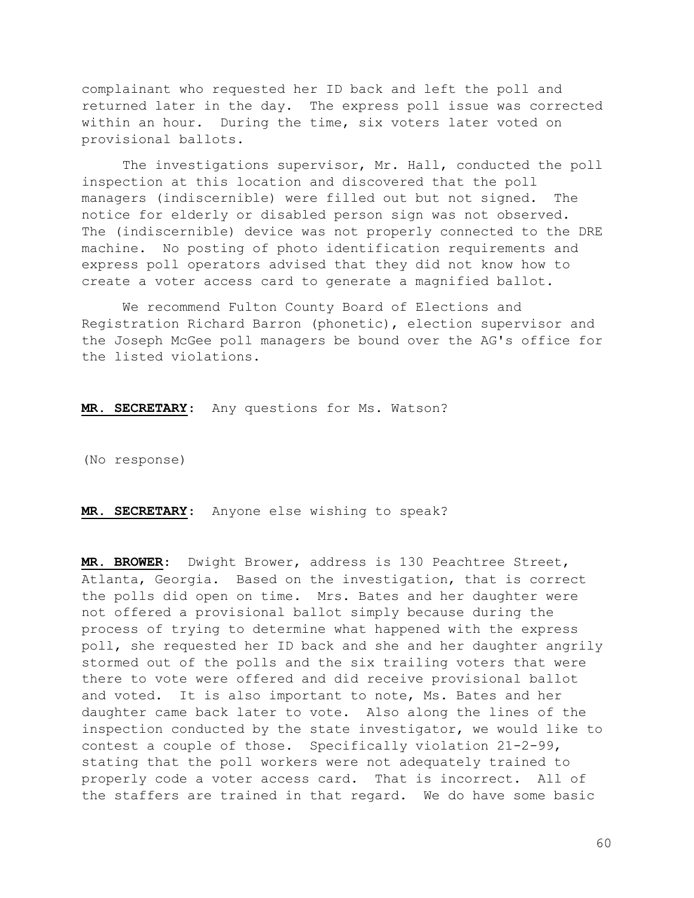complainant who requested her ID back and left the poll and returned later in the day. The express poll issue was corrected within an hour. During the time, six voters later voted on provisional ballots.

 The investigations supervisor, Mr. Hall, conducted the poll inspection at this location and discovered that the poll managers (indiscernible) were filled out but not signed. The notice for elderly or disabled person sign was not observed. The (indiscernible) device was not properly connected to the DRE machine. No posting of photo identification requirements and express poll operators advised that they did not know how to create a voter access card to generate a magnified ballot.

 We recommend Fulton County Board of Elections and Registration Richard Barron (phonetic), election supervisor and the Joseph McGee poll managers be bound over the AG's office for the listed violations.

MR. SECRETARY: Any questions for Ms. Watson?

(No response)

MR. SECRETARY: Anyone else wishing to speak?

MR. BROWER: Dwight Brower, address is 130 Peachtree Street, Atlanta, Georgia. Based on the investigation, that is correct the polls did open on time. Mrs. Bates and her daughter were not offered a provisional ballot simply because during the process of trying to determine what happened with the express poll, she requested her ID back and she and her daughter angrily stormed out of the polls and the six trailing voters that were there to vote were offered and did receive provisional ballot and voted. It is also important to note, Ms. Bates and her daughter came back later to vote. Also along the lines of the inspection conducted by the state investigator, we would like to contest a couple of those. Specifically violation 21-2-99, stating that the poll workers were not adequately trained to properly code a voter access card. That is incorrect. All of the staffers are trained in that regard. We do have some basic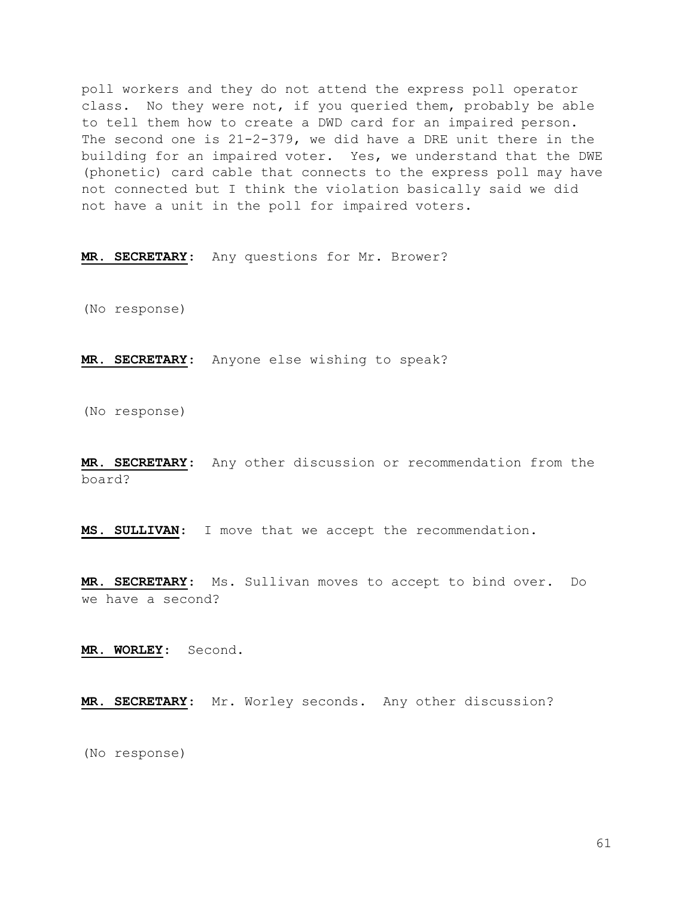poll workers and they do not attend the express poll operator class. No they were not, if you queried them, probably be able to tell them how to create a DWD card for an impaired person. The second one is 21-2-379, we did have a DRE unit there in the building for an impaired voter. Yes, we understand that the DWE (phonetic) card cable that connects to the express poll may have not connected but I think the violation basically said we did not have a unit in the poll for impaired voters.

MR. SECRETARY: Any questions for Mr. Brower?

(No response)

MR. SECRETARY: Anyone else wishing to speak?

(No response)

MR. SECRETARY: Any other discussion or recommendation from the board?

MS. SULLIVAN: I move that we accept the recommendation.

MR. SECRETARY: Ms. Sullivan moves to accept to bind over. Do we have a second?

MR. WORLEY: Second.

MR. SECRETARY: Mr. Worley seconds. Any other discussion?

(No response)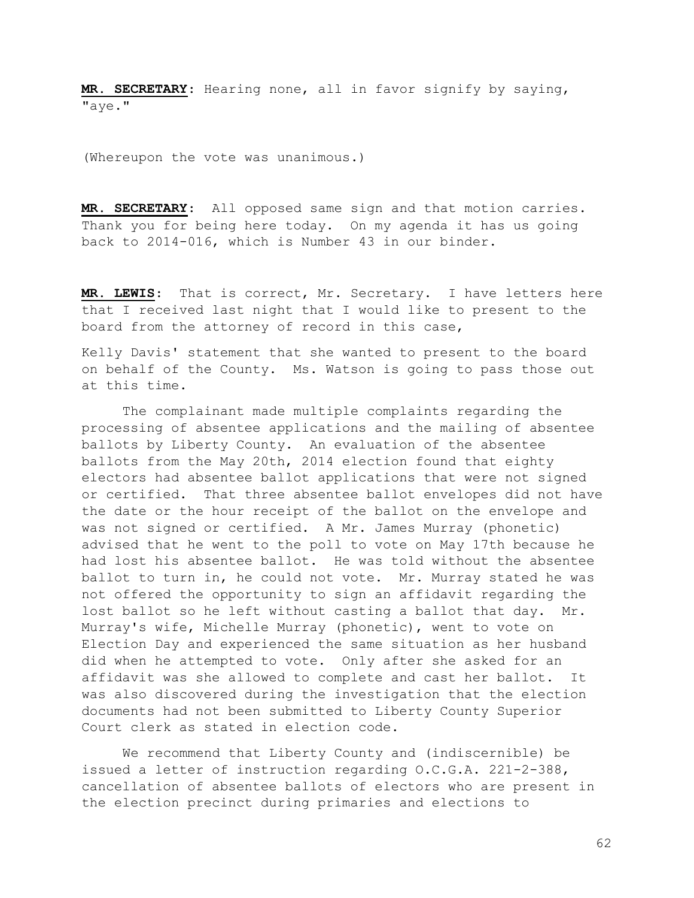MR. SECRETARY: Hearing none, all in favor signify by saying, "aye."

(Whereupon the vote was unanimous.)

MR. SECRETARY: All opposed same sign and that motion carries. Thank you for being here today. On my agenda it has us going back to 2014-016, which is Number 43 in our binder.

MR. LEWIS: That is correct, Mr. Secretary. I have letters here that I received last night that I would like to present to the board from the attorney of record in this case,

Kelly Davis' statement that she wanted to present to the board on behalf of the County. Ms. Watson is going to pass those out at this time.

 The complainant made multiple complaints regarding the processing of absentee applications and the mailing of absentee ballots by Liberty County. An evaluation of the absentee ballots from the May 20th, 2014 election found that eighty electors had absentee ballot applications that were not signed or certified. That three absentee ballot envelopes did not have the date or the hour receipt of the ballot on the envelope and was not signed or certified. A Mr. James Murray (phonetic) advised that he went to the poll to vote on May 17th because he had lost his absentee ballot. He was told without the absentee ballot to turn in, he could not vote. Mr. Murray stated he was not offered the opportunity to sign an affidavit regarding the lost ballot so he left without casting a ballot that day. Mr. Murray's wife, Michelle Murray (phonetic), went to vote on Election Day and experienced the same situation as her husband did when he attempted to vote. Only after she asked for an affidavit was she allowed to complete and cast her ballot. It was also discovered during the investigation that the election documents had not been submitted to Liberty County Superior Court clerk as stated in election code.

 We recommend that Liberty County and (indiscernible) be issued a letter of instruction regarding O.C.G.A. 221-2-388, cancellation of absentee ballots of electors who are present in the election precinct during primaries and elections to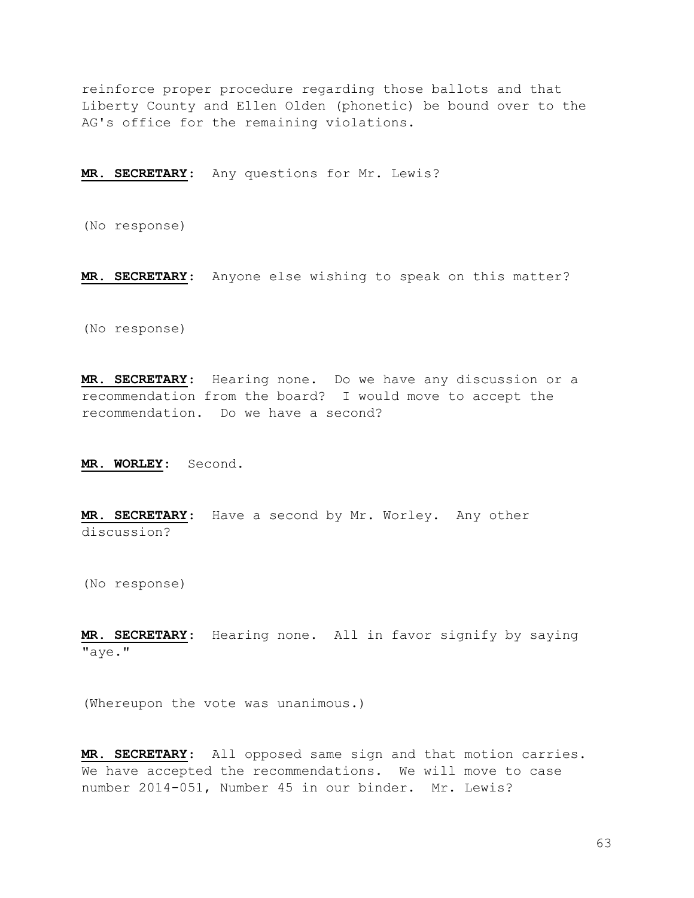reinforce proper procedure regarding those ballots and that Liberty County and Ellen Olden (phonetic) be bound over to the AG's office for the remaining violations.

MR. SECRETARY: Any questions for Mr. Lewis?

(No response)

MR. SECRETARY: Anyone else wishing to speak on this matter?

(No response)

MR. SECRETARY: Hearing none. Do we have any discussion or a recommendation from the board? I would move to accept the recommendation. Do we have a second?

MR. WORLEY: Second.

MR. SECRETARY: Have a second by Mr. Worley. Any other discussion?

(No response)

MR. SECRETARY: Hearing none. All in favor signify by saying "aye."

(Whereupon the vote was unanimous.)

MR. SECRETARY: All opposed same sign and that motion carries. We have accepted the recommendations. We will move to case number 2014-051, Number 45 in our binder. Mr. Lewis?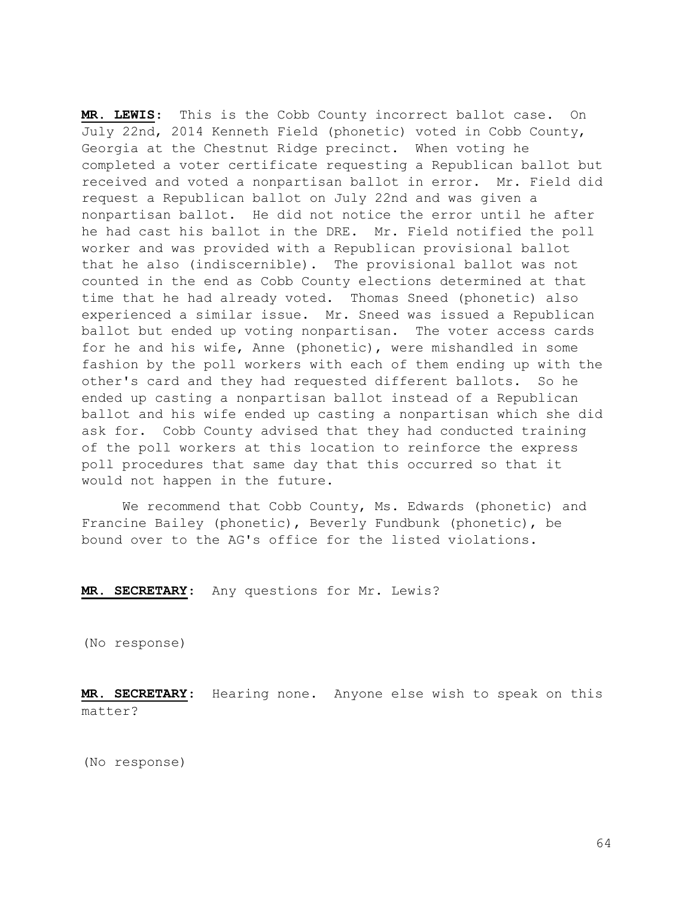MR. LEWIS: This is the Cobb County incorrect ballot case. On July 22nd, 2014 Kenneth Field (phonetic) voted in Cobb County, Georgia at the Chestnut Ridge precinct. When voting he completed a voter certificate requesting a Republican ballot but received and voted a nonpartisan ballot in error. Mr. Field did request a Republican ballot on July 22nd and was given a nonpartisan ballot. He did not notice the error until he after he had cast his ballot in the DRE. Mr. Field notified the poll worker and was provided with a Republican provisional ballot that he also (indiscernible). The provisional ballot was not counted in the end as Cobb County elections determined at that time that he had already voted. Thomas Sneed (phonetic) also experienced a similar issue. Mr. Sneed was issued a Republican ballot but ended up voting nonpartisan. The voter access cards for he and his wife, Anne (phonetic), were mishandled in some fashion by the poll workers with each of them ending up with the other's card and they had requested different ballots. So he ended up casting a nonpartisan ballot instead of a Republican ballot and his wife ended up casting a nonpartisan which she did ask for. Cobb County advised that they had conducted training of the poll workers at this location to reinforce the express poll procedures that same day that this occurred so that it would not happen in the future.

 We recommend that Cobb County, Ms. Edwards (phonetic) and Francine Bailey (phonetic), Beverly Fundbunk (phonetic), be bound over to the AG's office for the listed violations.

MR. SECRETARY: Any questions for Mr. Lewis?

(No response)

MR. SECRETARY: Hearing none. Anyone else wish to speak on this matter?

(No response)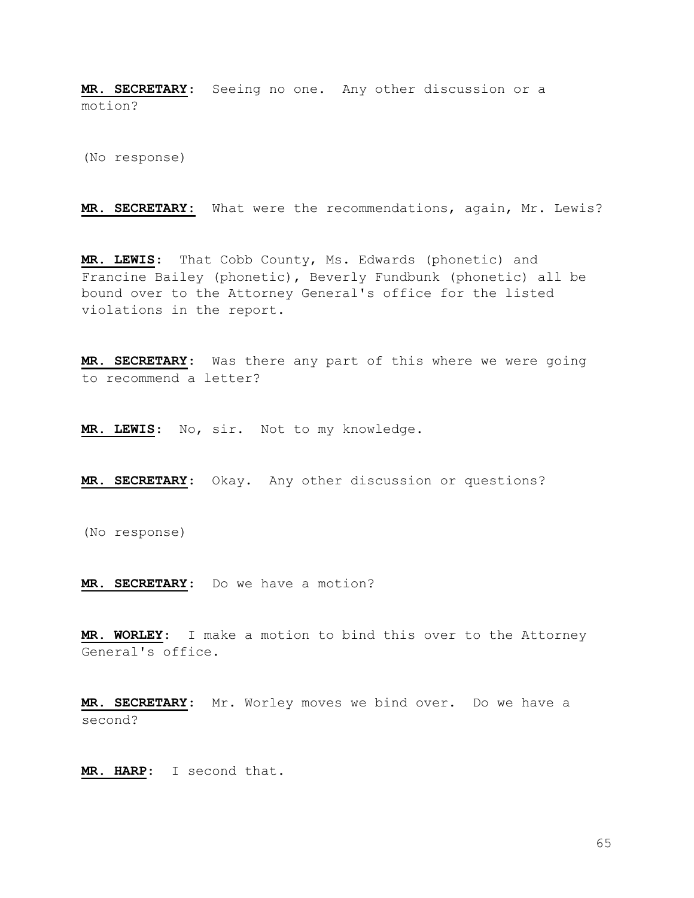MR. SECRETARY: Seeing no one. Any other discussion or a motion?

(No response)

MR. SECRETARY: What were the recommendations, again, Mr. Lewis?

MR. LEWIS: That Cobb County, Ms. Edwards (phonetic) and Francine Bailey (phonetic), Beverly Fundbunk (phonetic) all be bound over to the Attorney General's office for the listed violations in the report.

MR. SECRETARY: Was there any part of this where we were going to recommend a letter?

MR. LEWIS: No, sir. Not to my knowledge.

MR. SECRETARY: Okay. Any other discussion or questions?

(No response)

MR. SECRETARY: Do we have a motion?

MR. WORLEY: I make a motion to bind this over to the Attorney General's office.

MR. SECRETARY: Mr. Worley moves we bind over. Do we have a second?

MR. HARP: I second that.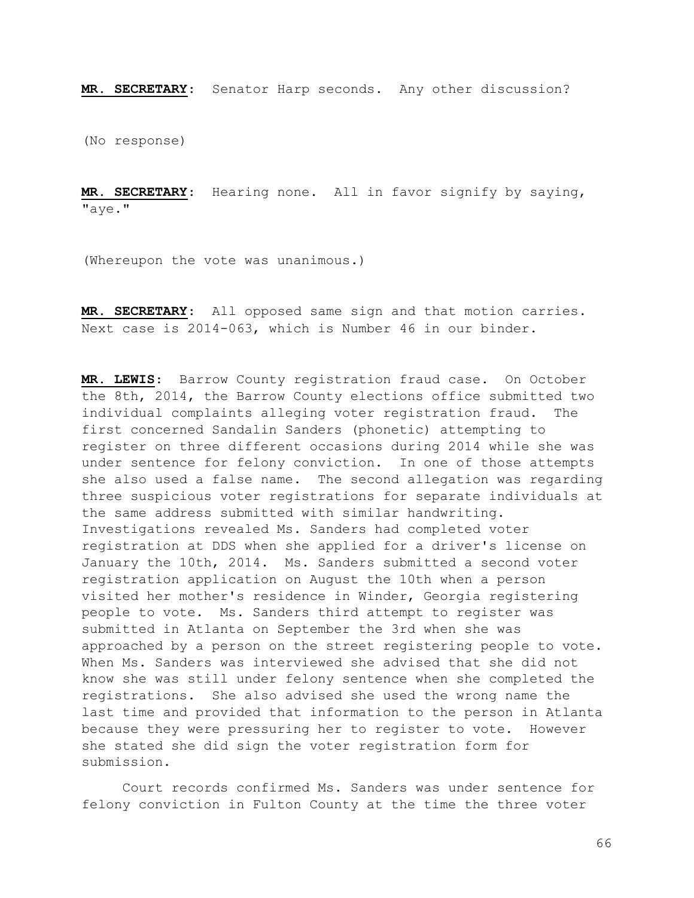MR. SECRETARY: Senator Harp seconds. Any other discussion?

(No response)

MR. SECRETARY: Hearing none. All in favor signify by saying, "aye."

(Whereupon the vote was unanimous.)

MR. SECRETARY: All opposed same sign and that motion carries. Next case is 2014-063, which is Number 46 in our binder.

MR. LEWIS: Barrow County registration fraud case. On October the 8th, 2014, the Barrow County elections office submitted two individual complaints alleging voter registration fraud. The first concerned Sandalin Sanders (phonetic) attempting to register on three different occasions during 2014 while she was under sentence for felony conviction. In one of those attempts she also used a false name. The second allegation was regarding three suspicious voter registrations for separate individuals at the same address submitted with similar handwriting. Investigations revealed Ms. Sanders had completed voter registration at DDS when she applied for a driver's license on January the 10th, 2014. Ms. Sanders submitted a second voter registration application on August the 10th when a person visited her mother's residence in Winder, Georgia registering people to vote. Ms. Sanders third attempt to register was submitted in Atlanta on September the 3rd when she was approached by a person on the street registering people to vote. When Ms. Sanders was interviewed she advised that she did not know she was still under felony sentence when she completed the registrations. She also advised she used the wrong name the last time and provided that information to the person in Atlanta because they were pressuring her to register to vote. However she stated she did sign the voter registration form for submission.

 Court records confirmed Ms. Sanders was under sentence for felony conviction in Fulton County at the time the three voter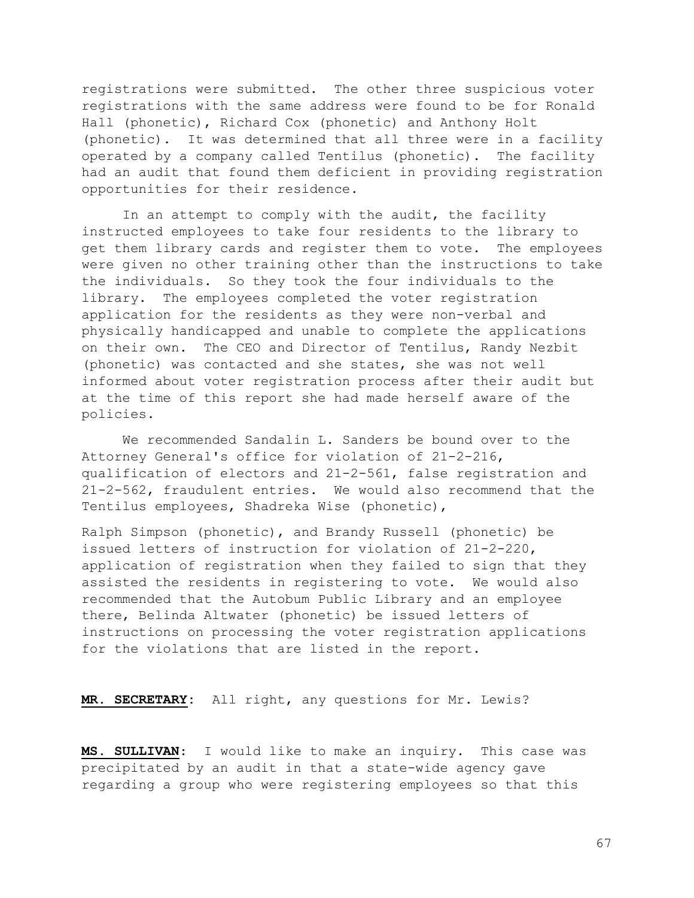registrations were submitted. The other three suspicious voter registrations with the same address were found to be for Ronald Hall (phonetic), Richard Cox (phonetic) and Anthony Holt (phonetic). It was determined that all three were in a facility operated by a company called Tentilus (phonetic). The facility had an audit that found them deficient in providing registration opportunities for their residence.

 In an attempt to comply with the audit, the facility instructed employees to take four residents to the library to get them library cards and register them to vote. The employees were given no other training other than the instructions to take the individuals. So they took the four individuals to the library. The employees completed the voter registration application for the residents as they were non-verbal and physically handicapped and unable to complete the applications on their own. The CEO and Director of Tentilus, Randy Nezbit (phonetic) was contacted and she states, she was not well informed about voter registration process after their audit but at the time of this report she had made herself aware of the policies.

 We recommended Sandalin L. Sanders be bound over to the Attorney General's office for violation of 21-2-216, qualification of electors and 21-2-561, false registration and 21-2-562, fraudulent entries. We would also recommend that the Tentilus employees, Shadreka Wise (phonetic),

Ralph Simpson (phonetic), and Brandy Russell (phonetic) be issued letters of instruction for violation of 21-2-220, application of registration when they failed to sign that they assisted the residents in registering to vote. We would also recommended that the Autobum Public Library and an employee there, Belinda Altwater (phonetic) be issued letters of instructions on processing the voter registration applications for the violations that are listed in the report.

MR. SECRETARY: All right, any questions for Mr. Lewis?

MS. SULLIVAN: I would like to make an inquiry. This case was precipitated by an audit in that a state-wide agency gave regarding a group who were registering employees so that this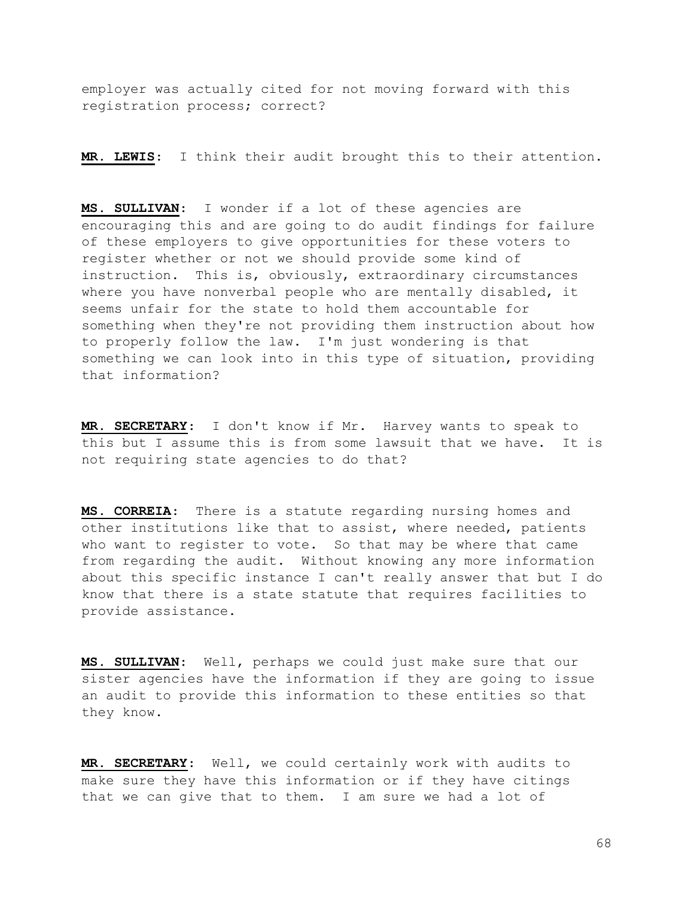employer was actually cited for not moving forward with this registration process; correct?

MR. LEWIS: I think their audit brought this to their attention.

MS. SULLIVAN: I wonder if a lot of these agencies are encouraging this and are going to do audit findings for failure of these employers to give opportunities for these voters to register whether or not we should provide some kind of instruction. This is, obviously, extraordinary circumstances where you have nonverbal people who are mentally disabled, it seems unfair for the state to hold them accountable for something when they're not providing them instruction about how to properly follow the law. I'm just wondering is that something we can look into in this type of situation, providing that information?

MR. SECRETARY: I don't know if Mr. Harvey wants to speak to this but I assume this is from some lawsuit that we have. It is not requiring state agencies to do that?

MS. CORREIA: There is a statute regarding nursing homes and other institutions like that to assist, where needed, patients who want to register to vote. So that may be where that came from regarding the audit. Without knowing any more information about this specific instance I can't really answer that but I do know that there is a state statute that requires facilities to provide assistance.

MS. SULLIVAN: Well, perhaps we could just make sure that our sister agencies have the information if they are going to issue an audit to provide this information to these entities so that they know.

MR. SECRETARY: Well, we could certainly work with audits to make sure they have this information or if they have citings that we can give that to them. I am sure we had a lot of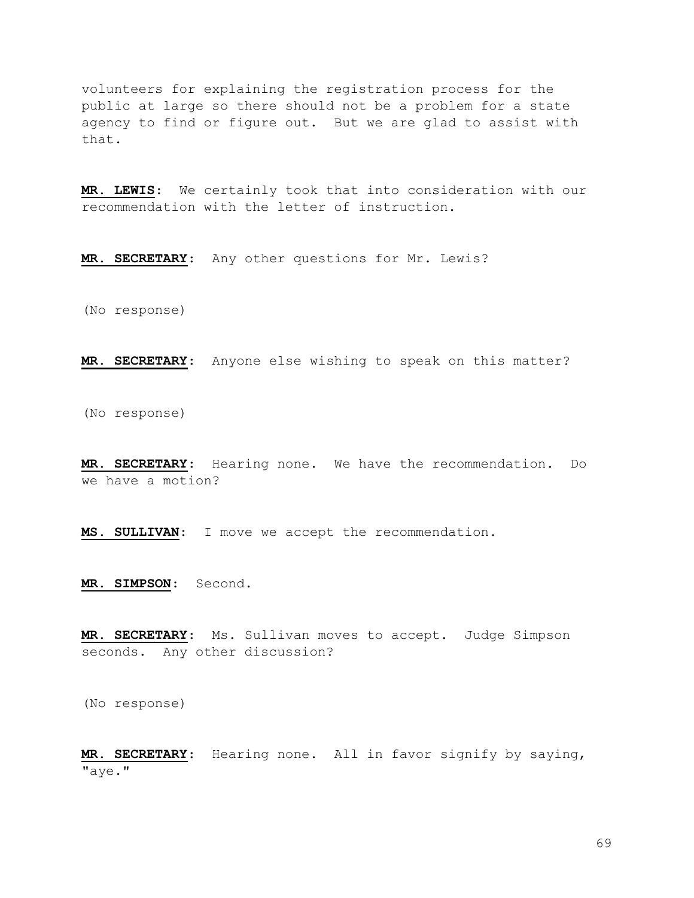volunteers for explaining the registration process for the public at large so there should not be a problem for a state agency to find or figure out. But we are glad to assist with that.

MR. LEWIS: We certainly took that into consideration with our recommendation with the letter of instruction.

MR. SECRETARY: Any other questions for Mr. Lewis?

(No response)

MR. SECRETARY: Anyone else wishing to speak on this matter?

(No response)

MR. SECRETARY: Hearing none. We have the recommendation. Do we have a motion?

MS. SULLIVAN: I move we accept the recommendation.

MR. SIMPSON: Second.

MR. SECRETARY: Ms. Sullivan moves to accept. Judge Simpson seconds. Any other discussion?

(No response)

MR. SECRETARY: Hearing none. All in favor signify by saying, "aye."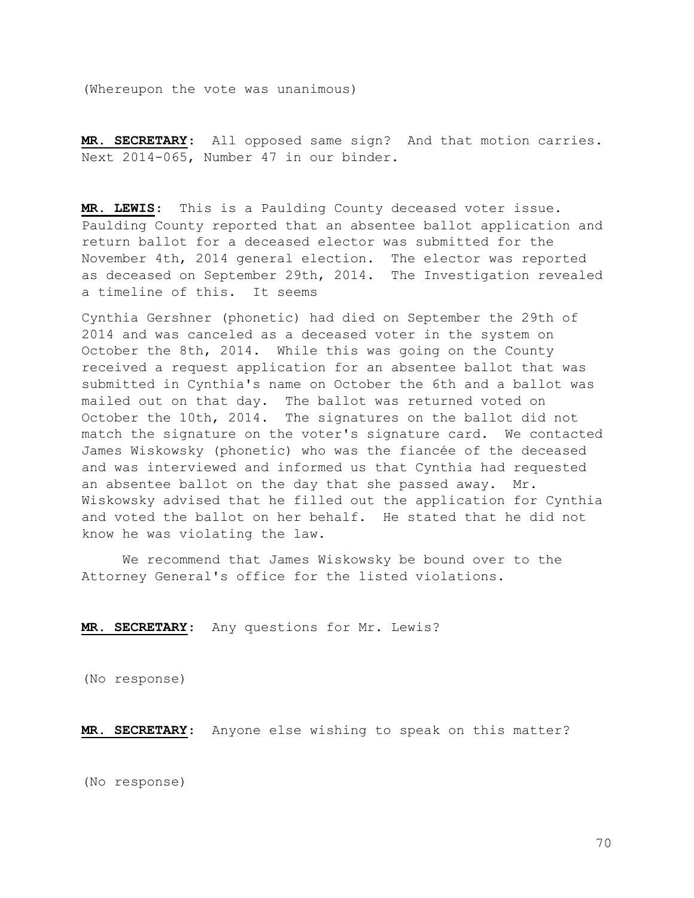(Whereupon the vote was unanimous)

MR. SECRETARY: All opposed same sign? And that motion carries. Next 2014-065, Number 47 in our binder.

MR. LEWIS: This is a Paulding County deceased voter issue. Paulding County reported that an absentee ballot application and return ballot for a deceased elector was submitted for the November 4th, 2014 general election. The elector was reported as deceased on September 29th, 2014. The Investigation revealed a timeline of this. It seems

Cynthia Gershner (phonetic) had died on September the 29th of 2014 and was canceled as a deceased voter in the system on October the 8th, 2014. While this was going on the County received a request application for an absentee ballot that was submitted in Cynthia's name on October the 6th and a ballot was mailed out on that day. The ballot was returned voted on October the 10th, 2014. The signatures on the ballot did not match the signature on the voter's signature card. We contacted James Wiskowsky (phonetic) who was the fiancée of the deceased and was interviewed and informed us that Cynthia had requested an absentee ballot on the day that she passed away. Mr. Wiskowsky advised that he filled out the application for Cynthia and voted the ballot on her behalf. He stated that he did not know he was violating the law.

 We recommend that James Wiskowsky be bound over to the Attorney General's office for the listed violations.

MR. SECRETARY: Any questions for Mr. Lewis?

(No response)

MR. SECRETARY: Anyone else wishing to speak on this matter?

(No response)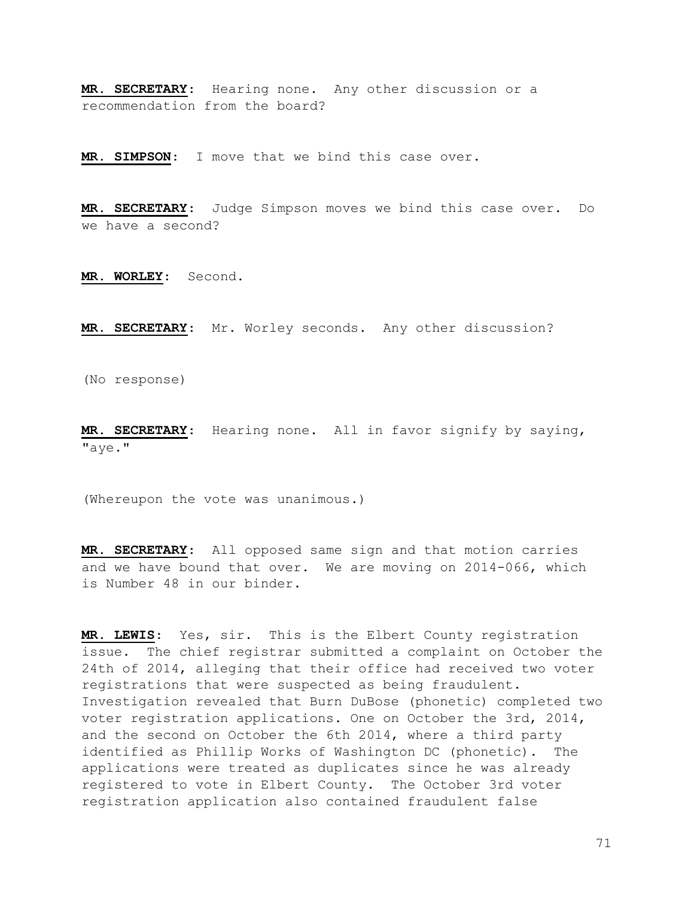MR. SECRETARY: Hearing none. Any other discussion or a recommendation from the board?

MR. SIMPSON: I move that we bind this case over.

MR. SECRETARY: Judge Simpson moves we bind this case over. Do we have a second?

MR. WORLEY: Second.

MR. SECRETARY: Mr. Worley seconds. Any other discussion?

(No response)

MR. SECRETARY: Hearing none. All in favor signify by saying, "aye."

(Whereupon the vote was unanimous.)

MR. SECRETARY: All opposed same sign and that motion carries and we have bound that over. We are moving on 2014-066, which is Number 48 in our binder.

MR. LEWIS: Yes, sir. This is the Elbert County registration issue. The chief registrar submitted a complaint on October the 24th of 2014, alleging that their office had received two voter registrations that were suspected as being fraudulent. Investigation revealed that Burn DuBose (phonetic) completed two voter registration applications. One on October the 3rd, 2014, and the second on October the 6th 2014, where a third party identified as Phillip Works of Washington DC (phonetic). The applications were treated as duplicates since he was already registered to vote in Elbert County. The October 3rd voter registration application also contained fraudulent false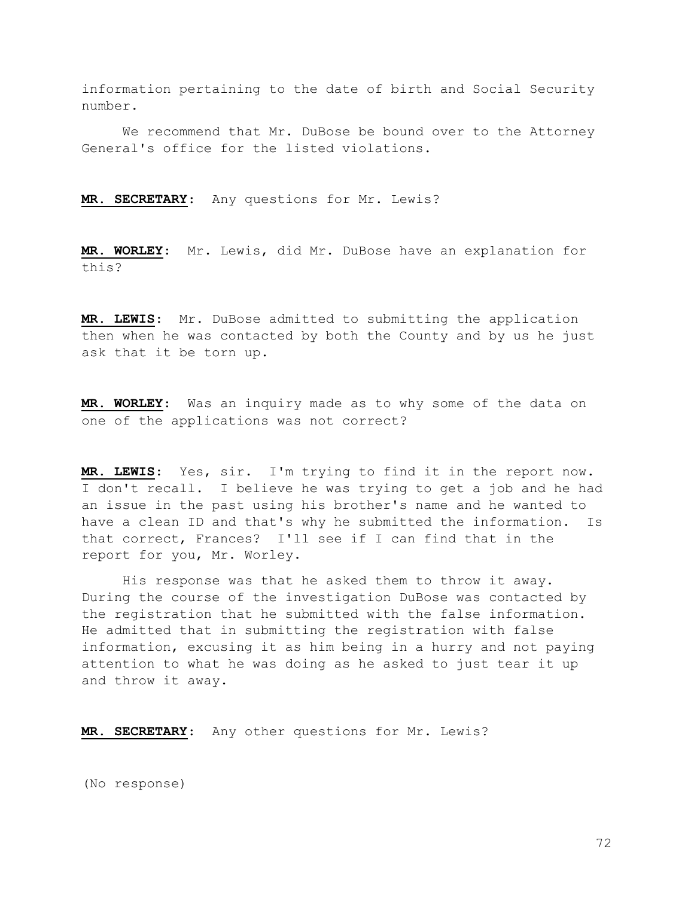information pertaining to the date of birth and Social Security number.

 We recommend that Mr. DuBose be bound over to the Attorney General's office for the listed violations.

MR. SECRETARY: Any questions for Mr. Lewis?

MR. WORLEY: Mr. Lewis, did Mr. DuBose have an explanation for this?

MR. LEWIS: Mr. DuBose admitted to submitting the application then when he was contacted by both the County and by us he just ask that it be torn up.

MR. WORLEY: Was an inquiry made as to why some of the data on one of the applications was not correct?

MR. LEWIS: Yes, sir. I'm trying to find it in the report now. I don't recall. I believe he was trying to get a job and he had an issue in the past using his brother's name and he wanted to have a clean ID and that's why he submitted the information. Is that correct, Frances? I'll see if I can find that in the report for you, Mr. Worley.

 His response was that he asked them to throw it away. During the course of the investigation DuBose was contacted by the registration that he submitted with the false information. He admitted that in submitting the registration with false information, excusing it as him being in a hurry and not paying attention to what he was doing as he asked to just tear it up and throw it away.

MR. SECRETARY: Any other questions for Mr. Lewis?

(No response)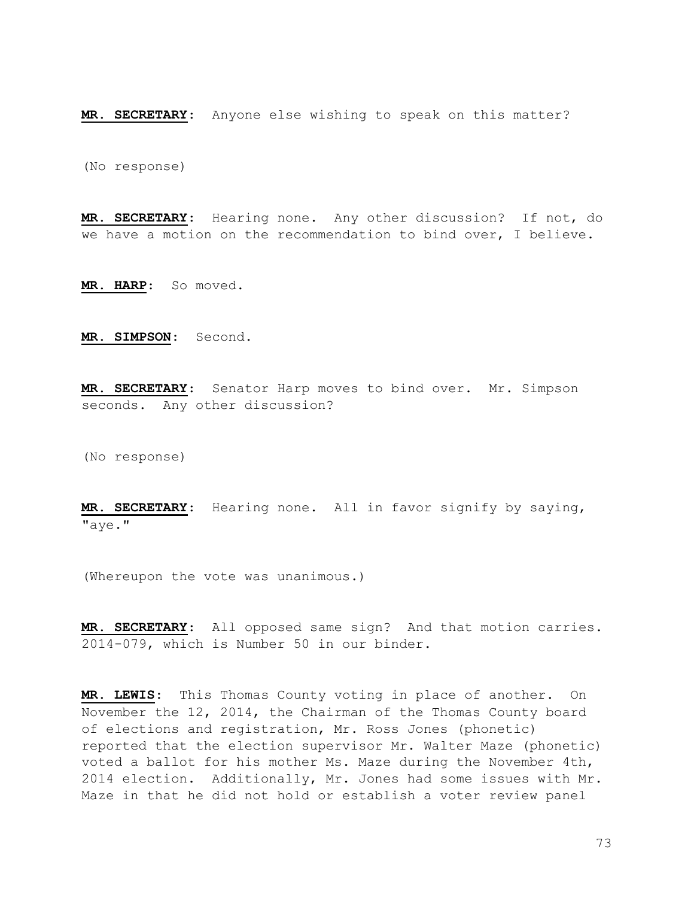MR. SECRETARY: Anyone else wishing to speak on this matter?

(No response)

MR. SECRETARY: Hearing none. Any other discussion? If not, do we have a motion on the recommendation to bind over, I believe.

MR. HARP: So moved.

MR. SIMPSON: Second.

MR. SECRETARY: Senator Harp moves to bind over. Mr. Simpson seconds. Any other discussion?

(No response)

MR. SECRETARY: Hearing none. All in favor signify by saying, "aye."

(Whereupon the vote was unanimous.)

MR. SECRETARY: All opposed same sign? And that motion carries. 2014-079, which is Number 50 in our binder.

MR. LEWIS: This Thomas County voting in place of another. On November the 12, 2014, the Chairman of the Thomas County board of elections and registration, Mr. Ross Jones (phonetic) reported that the election supervisor Mr. Walter Maze (phonetic) voted a ballot for his mother Ms. Maze during the November 4th, 2014 election. Additionally, Mr. Jones had some issues with Mr. Maze in that he did not hold or establish a voter review panel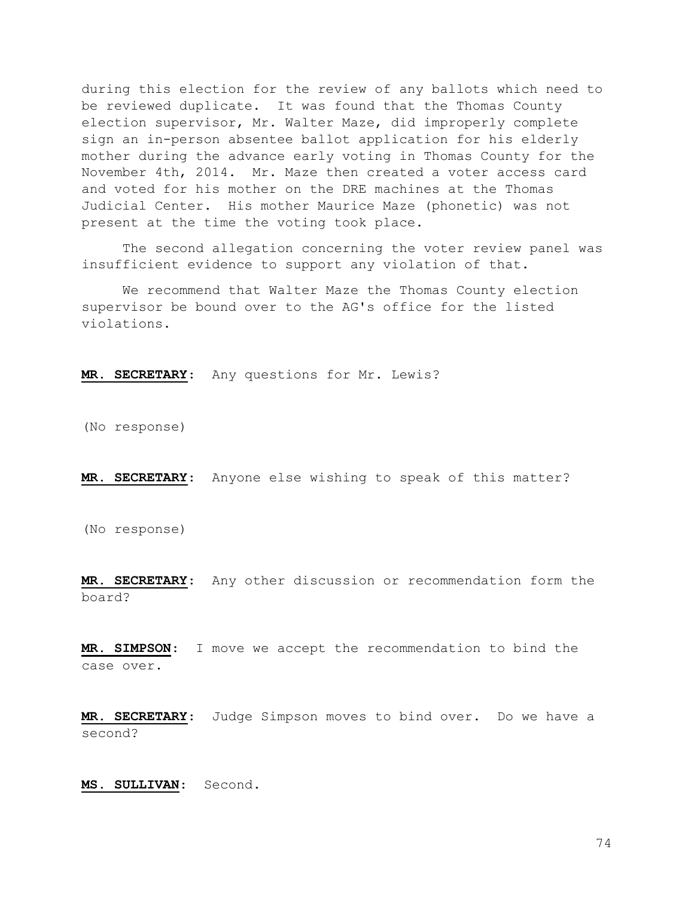during this election for the review of any ballots which need to be reviewed duplicate. It was found that the Thomas County election supervisor, Mr. Walter Maze, did improperly complete sign an in-person absentee ballot application for his elderly mother during the advance early voting in Thomas County for the November 4th, 2014. Mr. Maze then created a voter access card and voted for his mother on the DRE machines at the Thomas Judicial Center. His mother Maurice Maze (phonetic) was not present at the time the voting took place.

 The second allegation concerning the voter review panel was insufficient evidence to support any violation of that.

 We recommend that Walter Maze the Thomas County election supervisor be bound over to the AG's office for the listed violations.

MR. SECRETARY: Any questions for Mr. Lewis?

(No response)

MR. SECRETARY: Anyone else wishing to speak of this matter?

(No response)

MR. SECRETARY: Any other discussion or recommendation form the board?

MR. SIMPSON: I move we accept the recommendation to bind the case over.

MR. SECRETARY: Judge Simpson moves to bind over. Do we have a second?

MS. SULLIVAN: Second.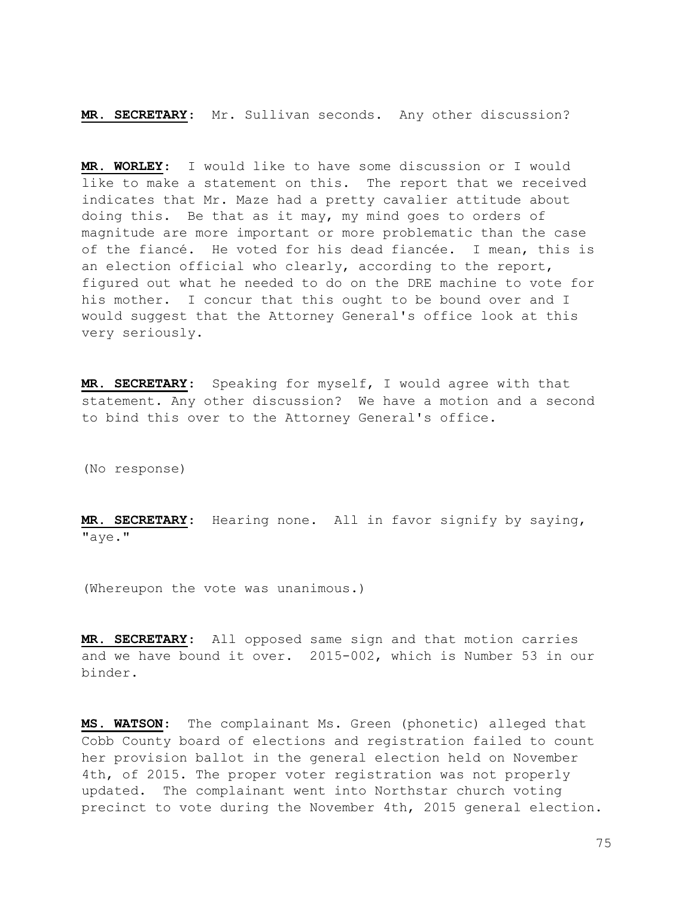MR. SECRETARY: Mr. Sullivan seconds. Any other discussion?

MR. WORLEY: I would like to have some discussion or I would like to make a statement on this. The report that we received indicates that Mr. Maze had a pretty cavalier attitude about doing this. Be that as it may, my mind goes to orders of magnitude are more important or more problematic than the case of the fiancé. He voted for his dead fiancée. I mean, this is an election official who clearly, according to the report, figured out what he needed to do on the DRE machine to vote for his mother. I concur that this ought to be bound over and I would suggest that the Attorney General's office look at this very seriously.

MR. SECRETARY: Speaking for myself, I would agree with that statement. Any other discussion? We have a motion and a second to bind this over to the Attorney General's office.

(No response)

MR. SECRETARY: Hearing none. All in favor signify by saying, "aye."

(Whereupon the vote was unanimous.)

MR. SECRETARY: All opposed same sign and that motion carries and we have bound it over. 2015-002, which is Number 53 in our binder.

MS. WATSON: The complainant Ms. Green (phonetic) alleged that Cobb County board of elections and registration failed to count her provision ballot in the general election held on November 4th, of 2015. The proper voter registration was not properly updated. The complainant went into Northstar church voting precinct to vote during the November 4th, 2015 general election.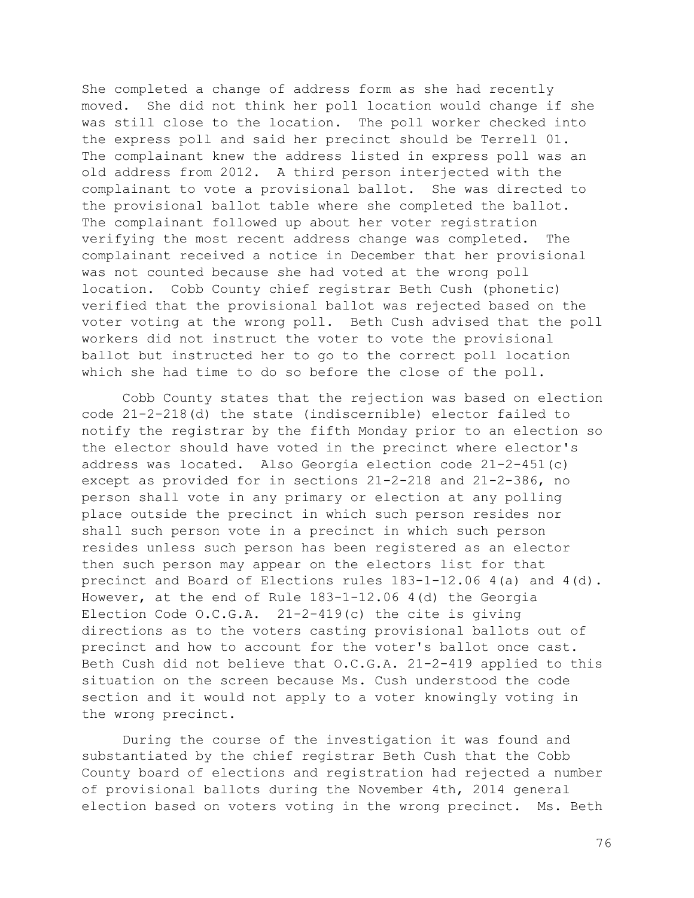She completed a change of address form as she had recently moved. She did not think her poll location would change if she was still close to the location. The poll worker checked into the express poll and said her precinct should be Terrell 01. The complainant knew the address listed in express poll was an old address from 2012. A third person interjected with the complainant to vote a provisional ballot. She was directed to the provisional ballot table where she completed the ballot. The complainant followed up about her voter registration verifying the most recent address change was completed. The complainant received a notice in December that her provisional was not counted because she had voted at the wrong poll location. Cobb County chief registrar Beth Cush (phonetic) verified that the provisional ballot was rejected based on the voter voting at the wrong poll. Beth Cush advised that the poll workers did not instruct the voter to vote the provisional ballot but instructed her to go to the correct poll location which she had time to do so before the close of the poll.

 Cobb County states that the rejection was based on election code 21-2-218(d) the state (indiscernible) elector failed to notify the registrar by the fifth Monday prior to an election so the elector should have voted in the precinct where elector's address was located. Also Georgia election code 21-2-451(c) except as provided for in sections 21-2-218 and 21-2-386, no person shall vote in any primary or election at any polling place outside the precinct in which such person resides nor shall such person vote in a precinct in which such person resides unless such person has been registered as an elector then such person may appear on the electors list for that precinct and Board of Elections rules 183-1-12.06 4(a) and 4(d). However, at the end of Rule 183-1-12.06 4(d) the Georgia Election Code O.C.G.A. 21-2-419(c) the cite is giving directions as to the voters casting provisional ballots out of precinct and how to account for the voter's ballot once cast. Beth Cush did not believe that O.C.G.A. 21-2-419 applied to this situation on the screen because Ms. Cush understood the code section and it would not apply to a voter knowingly voting in the wrong precinct.

 During the course of the investigation it was found and substantiated by the chief registrar Beth Cush that the Cobb County board of elections and registration had rejected a number of provisional ballots during the November 4th, 2014 general election based on voters voting in the wrong precinct. Ms. Beth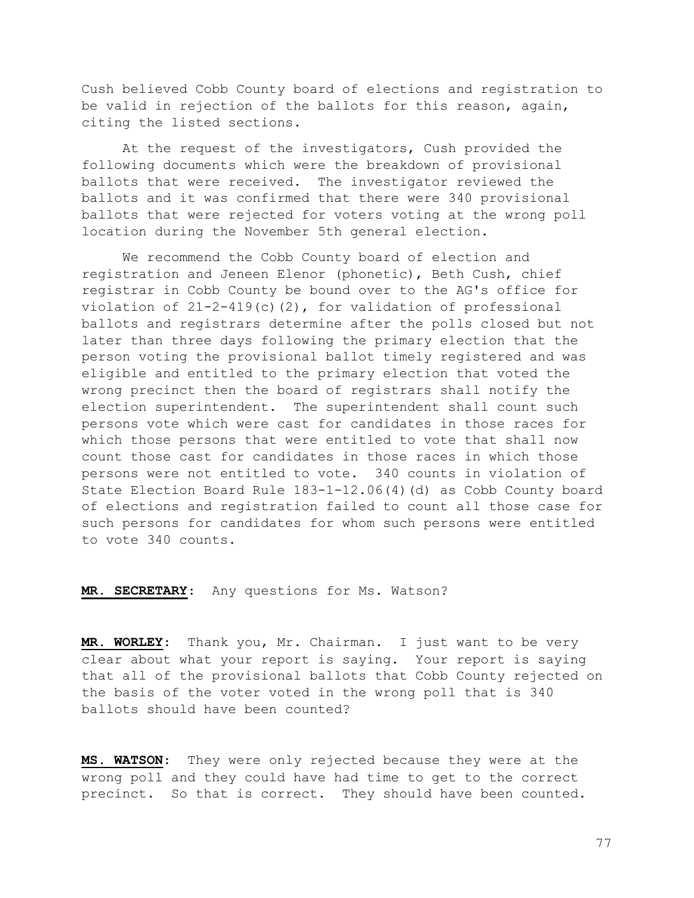Cush believed Cobb County board of elections and registration to be valid in rejection of the ballots for this reason, again, citing the listed sections.

 At the request of the investigators, Cush provided the following documents which were the breakdown of provisional ballots that were received. The investigator reviewed the ballots and it was confirmed that there were 340 provisional ballots that were rejected for voters voting at the wrong poll location during the November 5th general election.

 We recommend the Cobb County board of election and registration and Jeneen Elenor (phonetic), Beth Cush, chief registrar in Cobb County be bound over to the AG's office for violation of  $21-2-419(c)(2)$ , for validation of professional ballots and registrars determine after the polls closed but not later than three days following the primary election that the person voting the provisional ballot timely registered and was eligible and entitled to the primary election that voted the wrong precinct then the board of registrars shall notify the election superintendent. The superintendent shall count such persons vote which were cast for candidates in those races for which those persons that were entitled to vote that shall now count those cast for candidates in those races in which those persons were not entitled to vote. 340 counts in violation of State Election Board Rule 183-1-12.06(4)(d) as Cobb County board of elections and registration failed to count all those case for such persons for candidates for whom such persons were entitled to vote 340 counts.

MR. SECRETARY: Any questions for Ms. Watson?

MR. WORLEY: Thank you, Mr. Chairman. I just want to be very clear about what your report is saying. Your report is saying that all of the provisional ballots that Cobb County rejected on the basis of the voter voted in the wrong poll that is 340 ballots should have been counted?

MS. WATSON: They were only rejected because they were at the wrong poll and they could have had time to get to the correct precinct. So that is correct. They should have been counted.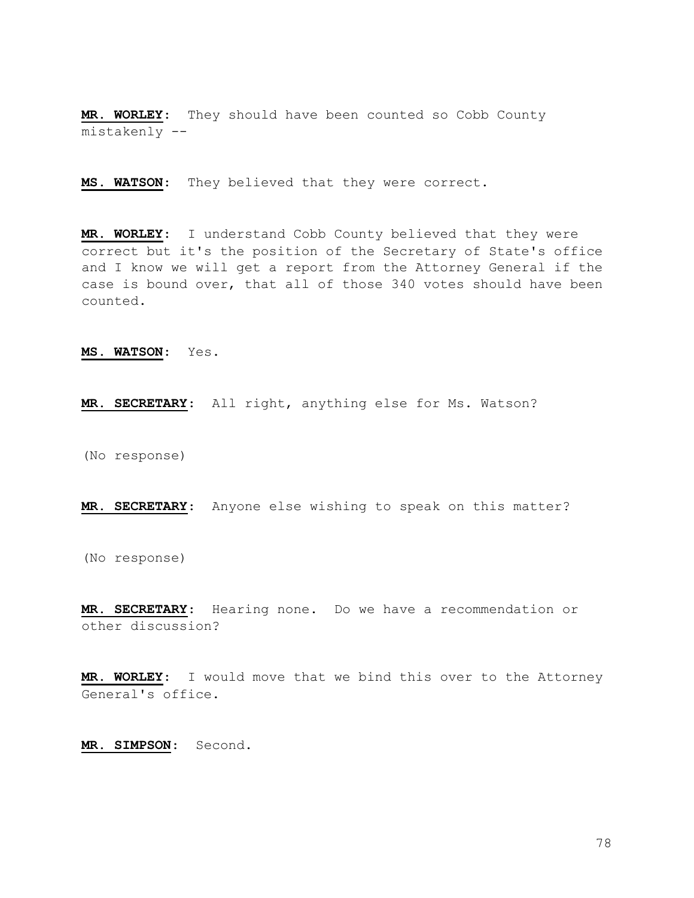MR. WORLEY: They should have been counted so Cobb County mistakenly --

MS. WATSON: They believed that they were correct.

MR. WORLEY: I understand Cobb County believed that they were correct but it's the position of the Secretary of State's office and I know we will get a report from the Attorney General if the case is bound over, that all of those 340 votes should have been counted.

MS. WATSON: Yes.

MR. SECRETARY: All right, anything else for Ms. Watson?

(No response)

MR. SECRETARY: Anyone else wishing to speak on this matter?

(No response)

MR. SECRETARY: Hearing none. Do we have a recommendation or other discussion?

MR. WORLEY: I would move that we bind this over to the Attorney General's office.

MR. SIMPSON: Second.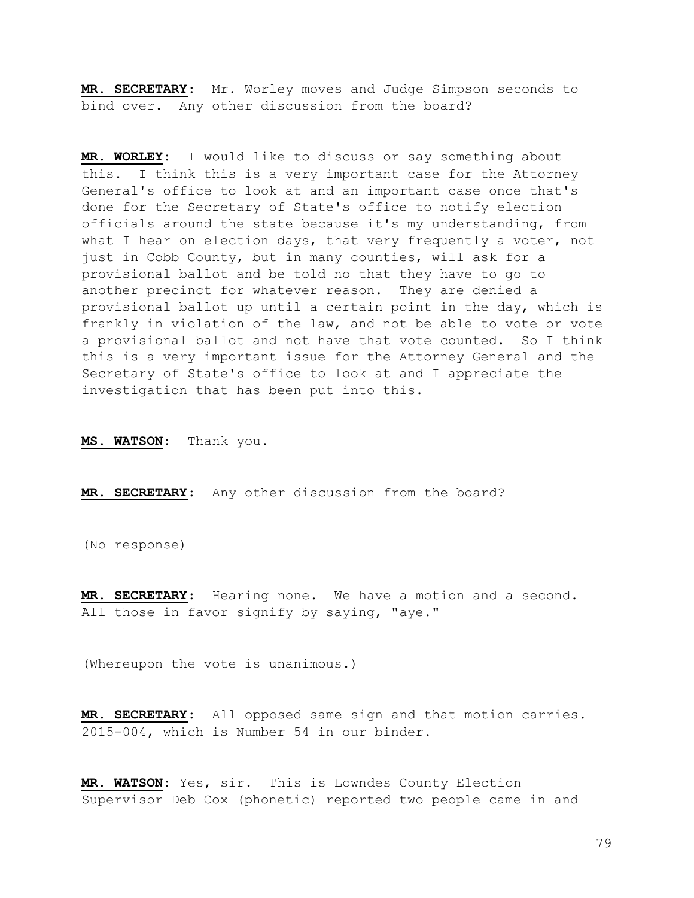MR. SECRETARY: Mr. Worley moves and Judge Simpson seconds to bind over. Any other discussion from the board?

MR. WORLEY: I would like to discuss or say something about this. I think this is a very important case for the Attorney General's office to look at and an important case once that's done for the Secretary of State's office to notify election officials around the state because it's my understanding, from what I hear on election days, that very frequently a voter, not just in Cobb County, but in many counties, will ask for a provisional ballot and be told no that they have to go to another precinct for whatever reason. They are denied a provisional ballot up until a certain point in the day, which is frankly in violation of the law, and not be able to vote or vote a provisional ballot and not have that vote counted. So I think this is a very important issue for the Attorney General and the Secretary of State's office to look at and I appreciate the investigation that has been put into this.

MS. WATSON: Thank you.

MR. SECRETARY: Any other discussion from the board?

(No response)

MR. SECRETARY: Hearing none. We have a motion and a second. All those in favor signify by saying, "aye."

(Whereupon the vote is unanimous.)

MR. SECRETARY: All opposed same sign and that motion carries. 2015-004, which is Number 54 in our binder.

MR. WATSON: Yes, sir. This is Lowndes County Election Supervisor Deb Cox (phonetic) reported two people came in and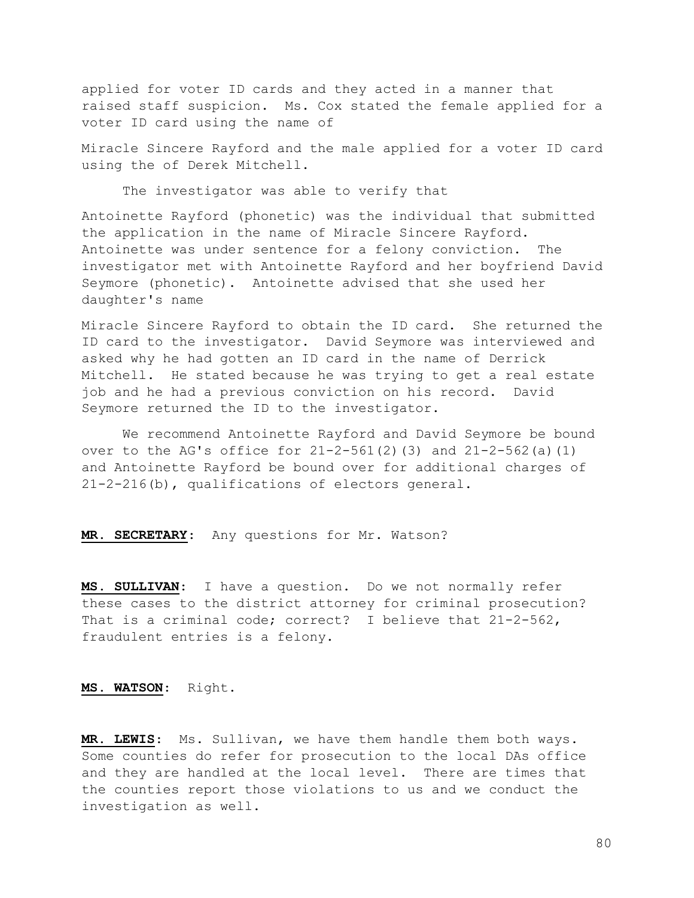applied for voter ID cards and they acted in a manner that raised staff suspicion. Ms. Cox stated the female applied for a voter ID card using the name of

Miracle Sincere Rayford and the male applied for a voter ID card using the of Derek Mitchell.

The investigator was able to verify that

Antoinette Rayford (phonetic) was the individual that submitted the application in the name of Miracle Sincere Rayford. Antoinette was under sentence for a felony conviction. The investigator met with Antoinette Rayford and her boyfriend David Seymore (phonetic). Antoinette advised that she used her daughter's name

Miracle Sincere Rayford to obtain the ID card. She returned the ID card to the investigator. David Seymore was interviewed and asked why he had gotten an ID card in the name of Derrick Mitchell. He stated because he was trying to get a real estate job and he had a previous conviction on his record. David Seymore returned the ID to the investigator.

 We recommend Antoinette Rayford and David Seymore be bound over to the AG's office for  $21-2-561(2)(3)$  and  $21-2-562(a)(1)$ and Antoinette Rayford be bound over for additional charges of 21-2-216(b), qualifications of electors general.

MR. SECRETARY: Any questions for Mr. Watson?

MS. SULLIVAN: I have a question. Do we not normally refer these cases to the district attorney for criminal prosecution? That is a criminal code; correct? I believe that 21-2-562, fraudulent entries is a felony.

MS. WATSON: Right.

MR. LEWIS: Ms. Sullivan, we have them handle them both ways. Some counties do refer for prosecution to the local DAs office and they are handled at the local level. There are times that the counties report those violations to us and we conduct the investigation as well.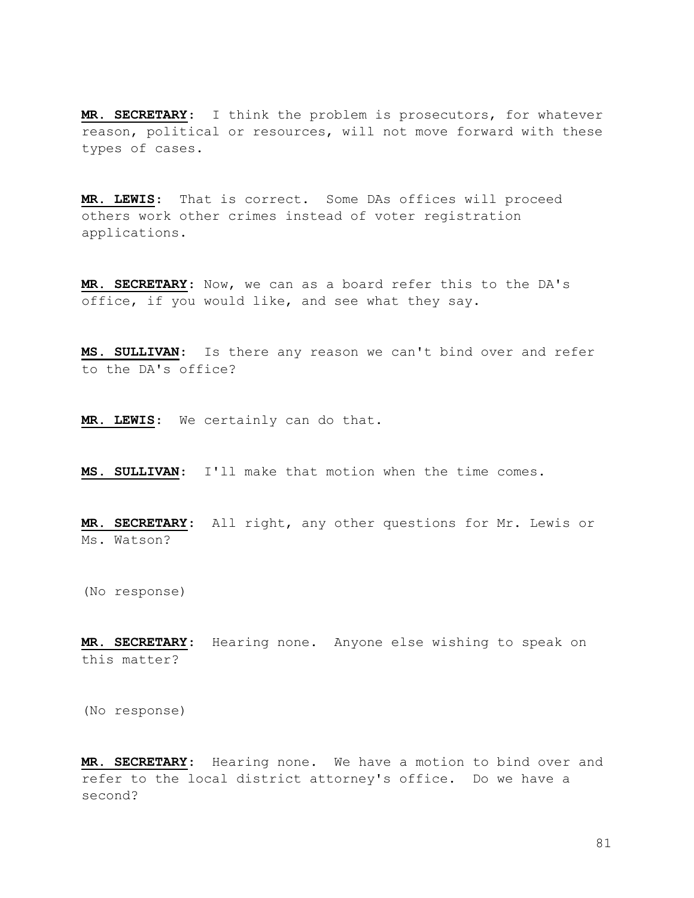MR. SECRETARY: I think the problem is prosecutors, for whatever reason, political or resources, will not move forward with these types of cases.

MR. LEWIS: That is correct. Some DAs offices will proceed others work other crimes instead of voter registration applications.

MR. SECRETARY: Now, we can as a board refer this to the DA's office, if you would like, and see what they say.

MS. SULLIVAN: Is there any reason we can't bind over and refer to the DA's office?

MR. LEWIS: We certainly can do that.

MS. SULLIVAN: I'll make that motion when the time comes.

MR. SECRETARY: All right, any other questions for Mr. Lewis or Ms. Watson?

(No response)

MR. SECRETARY: Hearing none. Anyone else wishing to speak on this matter?

(No response)

MR. SECRETARY: Hearing none. We have a motion to bind over and refer to the local district attorney's office. Do we have a second?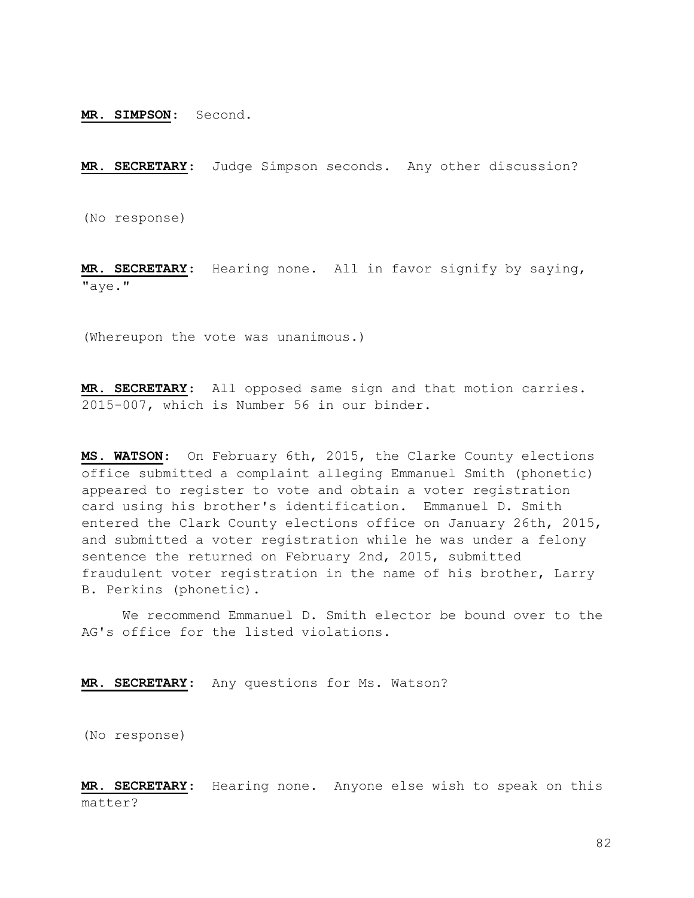MR. SIMPSON: Second.

MR. SECRETARY: Judge Simpson seconds. Any other discussion?

(No response)

MR. SECRETARY: Hearing none. All in favor signify by saying, "aye."

(Whereupon the vote was unanimous.)

MR. SECRETARY: All opposed same sign and that motion carries. 2015-007, which is Number 56 in our binder.

MS. WATSON: On February 6th, 2015, the Clarke County elections office submitted a complaint alleging Emmanuel Smith (phonetic) appeared to register to vote and obtain a voter registration card using his brother's identification. Emmanuel D. Smith entered the Clark County elections office on January 26th, 2015, and submitted a voter registration while he was under a felony sentence the returned on February 2nd, 2015, submitted fraudulent voter registration in the name of his brother, Larry B. Perkins (phonetic).

 We recommend Emmanuel D. Smith elector be bound over to the AG's office for the listed violations.

MR. SECRETARY: Any questions for Ms. Watson?

(No response)

MR. SECRETARY: Hearing none. Anyone else wish to speak on this matter?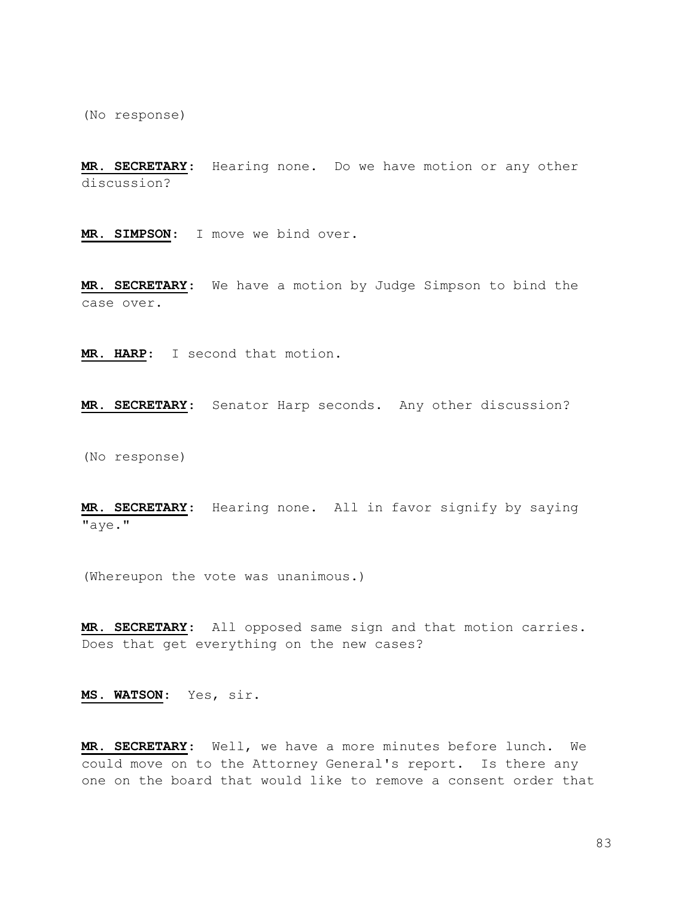(No response)

MR. SECRETARY: Hearing none. Do we have motion or any other discussion?

MR. SIMPSON: I move we bind over.

MR. SECRETARY: We have a motion by Judge Simpson to bind the case over.

MR. HARP: I second that motion.

MR. SECRETARY: Senator Harp seconds. Any other discussion?

(No response)

MR. SECRETARY: Hearing none. All in favor signify by saying "aye."

(Whereupon the vote was unanimous.)

MR. SECRETARY: All opposed same sign and that motion carries. Does that get everything on the new cases?

MS. WATSON: Yes, sir.

MR. SECRETARY: Well, we have a more minutes before lunch. We could move on to the Attorney General's report. Is there any one on the board that would like to remove a consent order that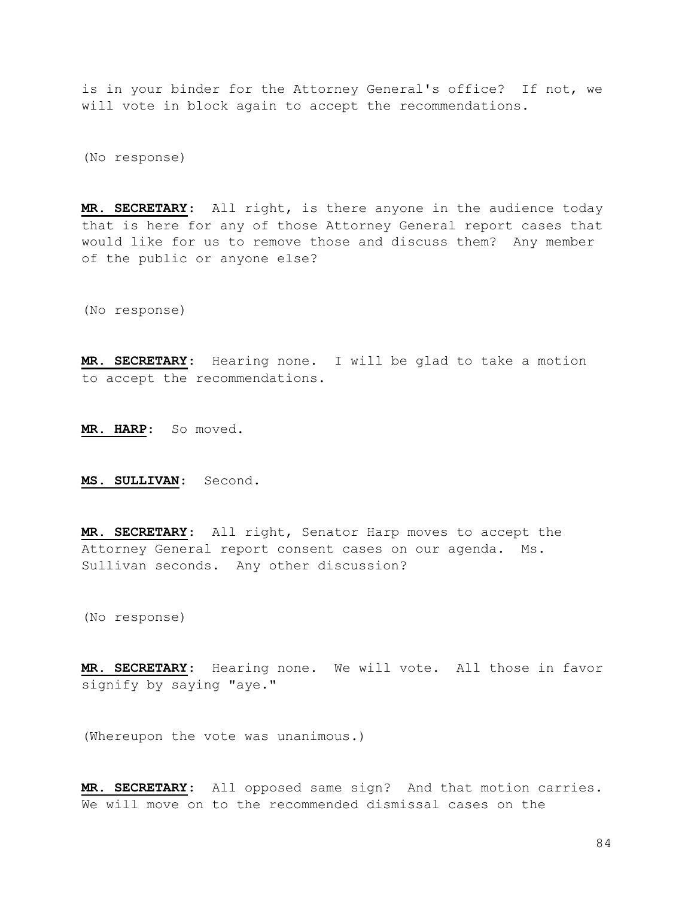is in your binder for the Attorney General's office? If not, we will vote in block again to accept the recommendations.

(No response)

MR. SECRETARY: All right, is there anyone in the audience today that is here for any of those Attorney General report cases that would like for us to remove those and discuss them? Any member of the public or anyone else?

(No response)

MR. SECRETARY: Hearing none. I will be glad to take a motion to accept the recommendations.

MR. HARP: So moved.

MS. SULLIVAN: Second.

MR. SECRETARY: All right, Senator Harp moves to accept the Attorney General report consent cases on our agenda. Ms. Sullivan seconds. Any other discussion?

(No response)

MR. SECRETARY: Hearing none. We will vote. All those in favor signify by saying "aye."

(Whereupon the vote was unanimous.)

MR. SECRETARY: All opposed same sign? And that motion carries. We will move on to the recommended dismissal cases on the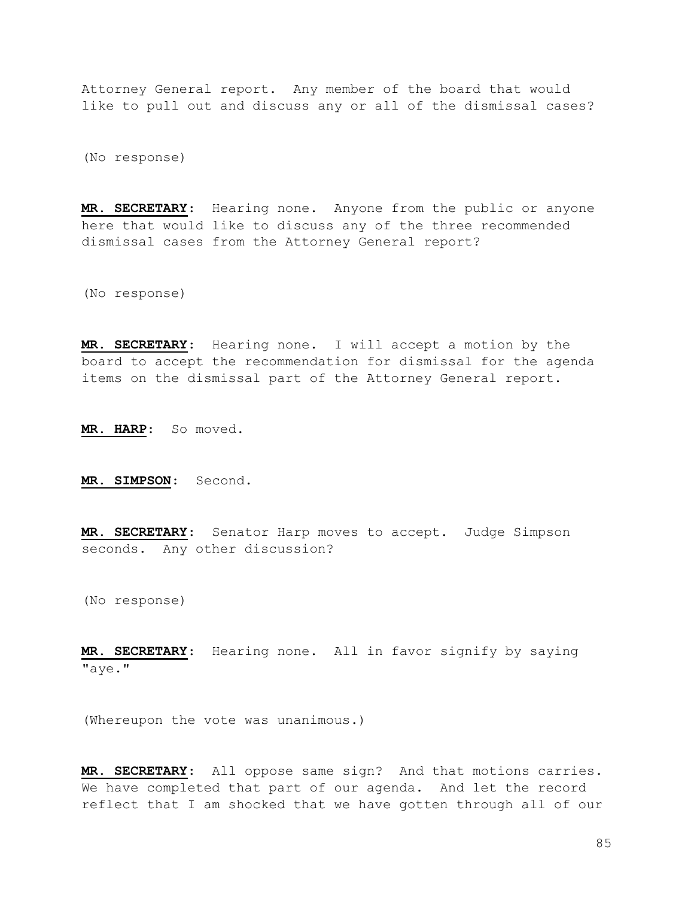Attorney General report. Any member of the board that would like to pull out and discuss any or all of the dismissal cases?

(No response)

MR. SECRETARY: Hearing none. Anyone from the public or anyone here that would like to discuss any of the three recommended dismissal cases from the Attorney General report?

(No response)

MR. SECRETARY: Hearing none. I will accept a motion by the board to accept the recommendation for dismissal for the agenda items on the dismissal part of the Attorney General report.

MR. HARP: So moved.

MR. SIMPSON: Second.

MR. SECRETARY: Senator Harp moves to accept. Judge Simpson seconds. Any other discussion?

(No response)

MR. SECRETARY: Hearing none. All in favor signify by saying "aye."

(Whereupon the vote was unanimous.)

MR. SECRETARY: All oppose same sign? And that motions carries. We have completed that part of our agenda. And let the record reflect that I am shocked that we have gotten through all of our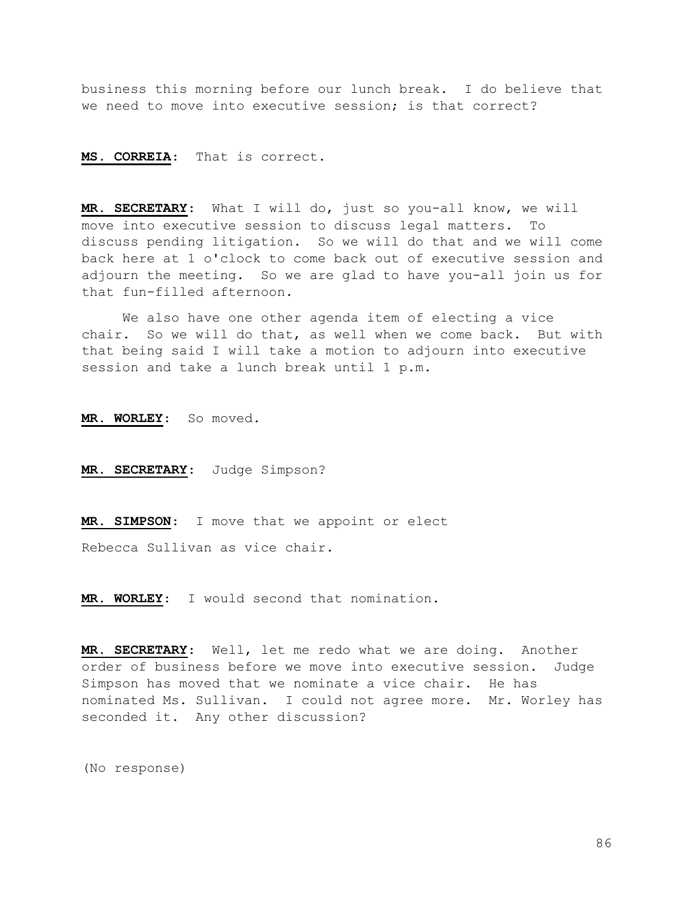business this morning before our lunch break. I do believe that we need to move into executive session; is that correct?

## MS. CORREIA: That is correct.

MR. SECRETARY: What I will do, just so you-all know, we will move into executive session to discuss legal matters. To discuss pending litigation. So we will do that and we will come back here at 1 o'clock to come back out of executive session and adjourn the meeting. So we are glad to have you-all join us for that fun-filled afternoon.

 We also have one other agenda item of electing a vice chair. So we will do that, as well when we come back. But with that being said I will take a motion to adjourn into executive session and take a lunch break until 1 p.m.

MR. WORLEY: So moved.

MR. SECRETARY: Judge Simpson?

MR. SIMPSON: I move that we appoint or elect

Rebecca Sullivan as vice chair.

MR. WORLEY: I would second that nomination.

MR. SECRETARY: Well, let me redo what we are doing. Another order of business before we move into executive session. Judge Simpson has moved that we nominate a vice chair. He has nominated Ms. Sullivan. I could not agree more. Mr. Worley has seconded it. Any other discussion?

(No response)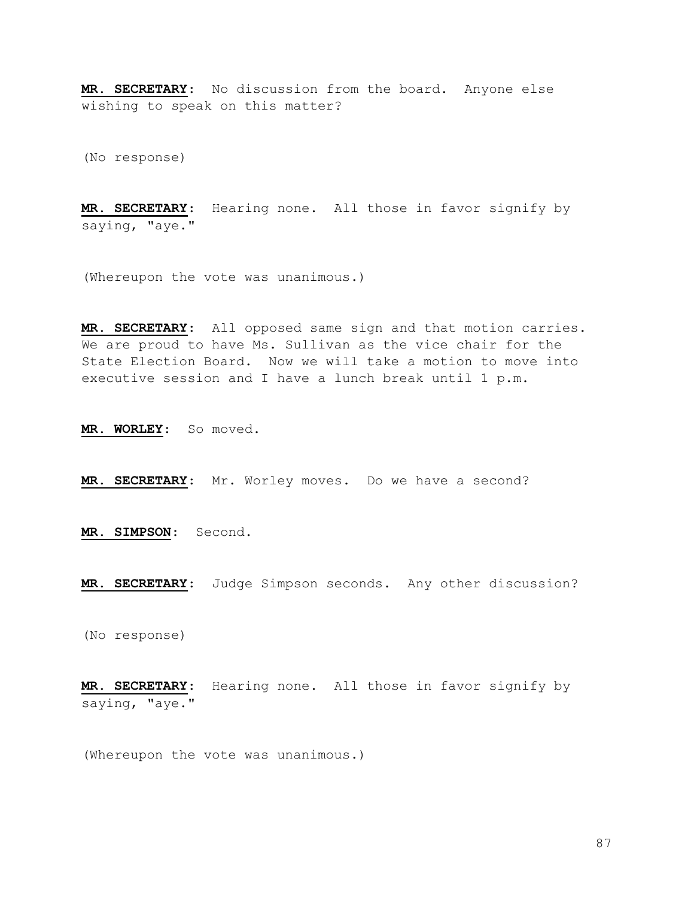MR. SECRETARY: No discussion from the board. Anyone else wishing to speak on this matter?

(No response)

MR. SECRETARY: Hearing none. All those in favor signify by saying, "aye."

(Whereupon the vote was unanimous.)

MR. SECRETARY: All opposed same sign and that motion carries. We are proud to have Ms. Sullivan as the vice chair for the State Election Board. Now we will take a motion to move into executive session and I have a lunch break until 1 p.m.

MR. WORLEY: So moved.

MR. SECRETARY: Mr. Worley moves. Do we have a second?

MR. SIMPSON: Second.

MR. SECRETARY: Judge Simpson seconds. Any other discussion?

(No response)

MR. SECRETARY: Hearing none. All those in favor signify by saying, "aye."

(Whereupon the vote was unanimous.)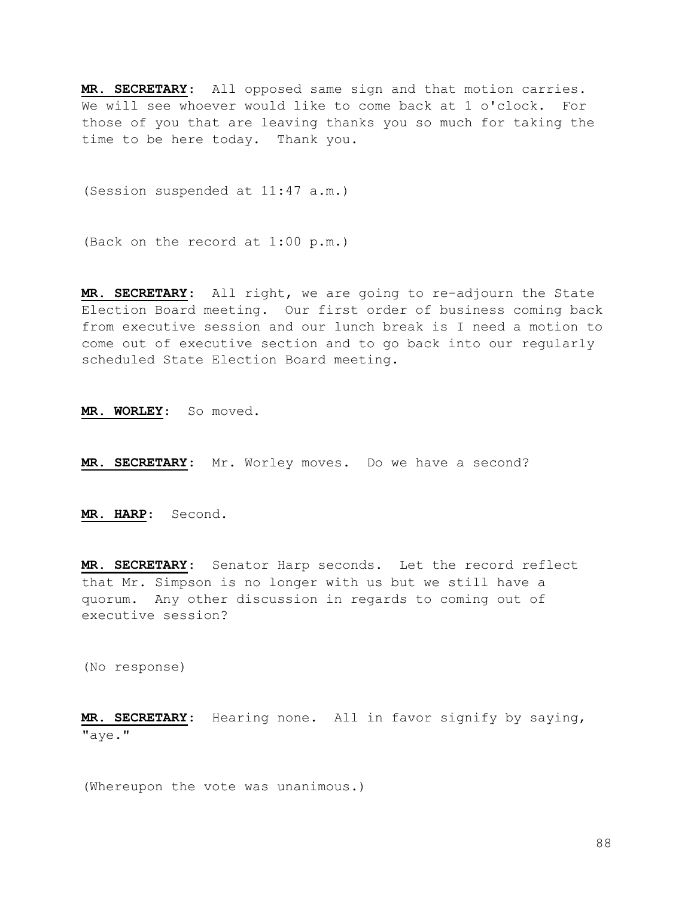MR. SECRETARY: All opposed same sign and that motion carries. We will see whoever would like to come back at 1 o'clock. For those of you that are leaving thanks you so much for taking the time to be here today. Thank you.

(Session suspended at 11:47 a.m.)

(Back on the record at 1:00 p.m.)

MR. SECRETARY: All right, we are going to re-adjourn the State Election Board meeting. Our first order of business coming back from executive session and our lunch break is I need a motion to come out of executive section and to go back into our regularly scheduled State Election Board meeting.

MR. WORLEY: So moved.

MR. SECRETARY: Mr. Worley moves. Do we have a second?

MR. HARP: Second.

MR. SECRETARY: Senator Harp seconds. Let the record reflect that Mr. Simpson is no longer with us but we still have a quorum. Any other discussion in regards to coming out of executive session?

(No response)

MR. SECRETARY: Hearing none. All in favor signify by saying, "aye."

(Whereupon the vote was unanimous.)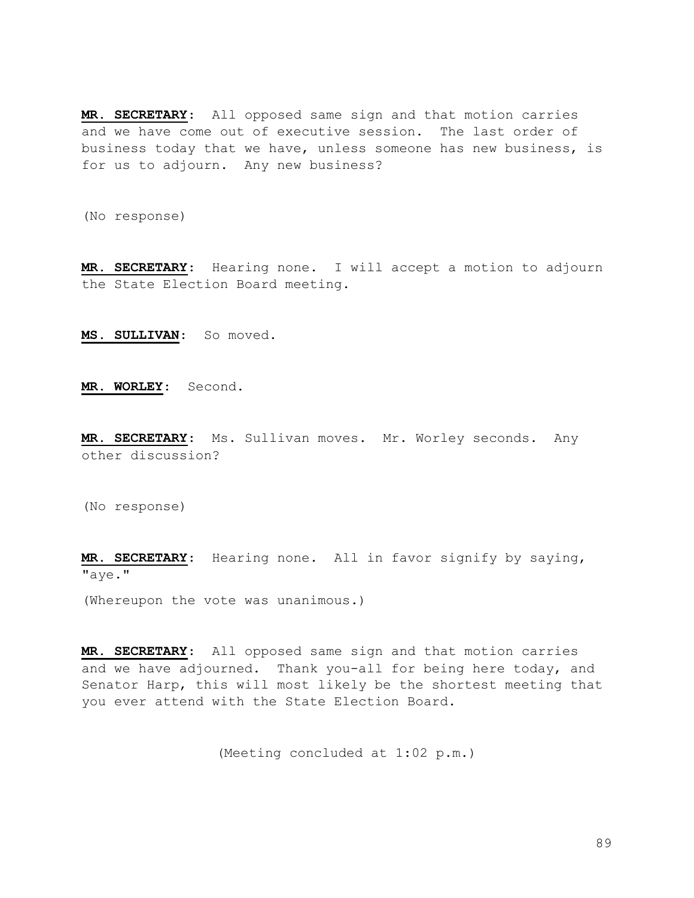MR. SECRETARY: All opposed same sign and that motion carries and we have come out of executive session. The last order of business today that we have, unless someone has new business, is for us to adjourn. Any new business?

(No response)

MR. SECRETARY: Hearing none. I will accept a motion to adjourn the State Election Board meeting.

MS. SULLIVAN: So moved.

MR. WORLEY: Second.

MR. SECRETARY: Ms. Sullivan moves. Mr. Worley seconds. Any other discussion?

(No response)

MR. SECRETARY: Hearing none. All in favor signify by saying, "aye."

(Whereupon the vote was unanimous.)

MR. SECRETARY: All opposed same sign and that motion carries and we have adjourned. Thank you-all for being here today, and Senator Harp, this will most likely be the shortest meeting that you ever attend with the State Election Board.

(Meeting concluded at 1:02 p.m.)